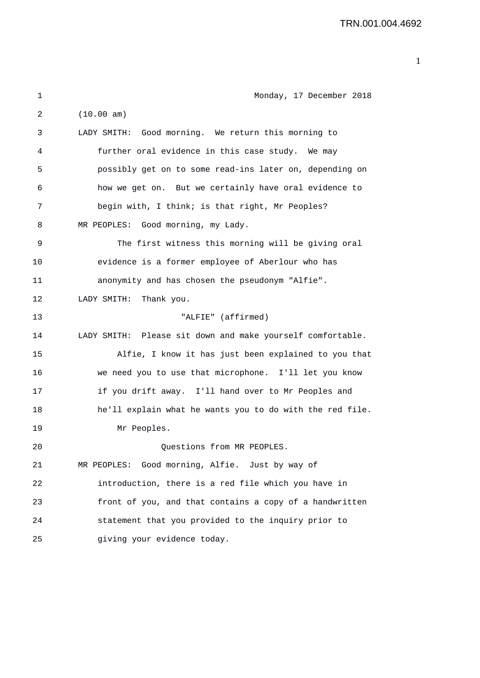| 1       | Monday, 17 December 2018                                   |
|---------|------------------------------------------------------------|
| 2       | (10.00 am)                                                 |
| 3       | LADY SMITH: Good morning. We return this morning to        |
| 4       | further oral evidence in this case study. We may           |
| 5       | possibly get on to some read-ins later on, depending on    |
| 6       | how we get on. But we certainly have oral evidence to      |
| 7       | begin with, I think; is that right, Mr Peoples?            |
| 8       | MR PEOPLES: Good morning, my Lady.                         |
| 9       | The first witness this morning will be giving oral         |
| 10      | evidence is a former employee of Aberlour who has          |
| 11      | anonymity and has chosen the pseudonym "Alfie".            |
| 12      | Thank you.<br>LADY SMITH:                                  |
| 13      | "ALFIE" (affirmed)                                         |
| 14      | LADY SMITH: Please sit down and make yourself comfortable. |
| 15      | Alfie, I know it has just been explained to you that       |
| 16      | we need you to use that microphone. I'll let you know      |
| 17      | if you drift away. I'll hand over to Mr Peoples and        |
| 18      | he'll explain what he wants you to do with the red file.   |
| 19      | Mr Peoples.                                                |
| $20 \,$ | Questions from MR PEOPLES.                                 |
| 21      | MR PEOPLES: Good morning, Alfie. Just by way of            |
| 22      | introduction, there is a red file which you have in        |
| 23      | front of you, and that contains a copy of a handwritten    |
| 24      | statement that you provided to the inquiry prior to        |
| 25      | giving your evidence today.                                |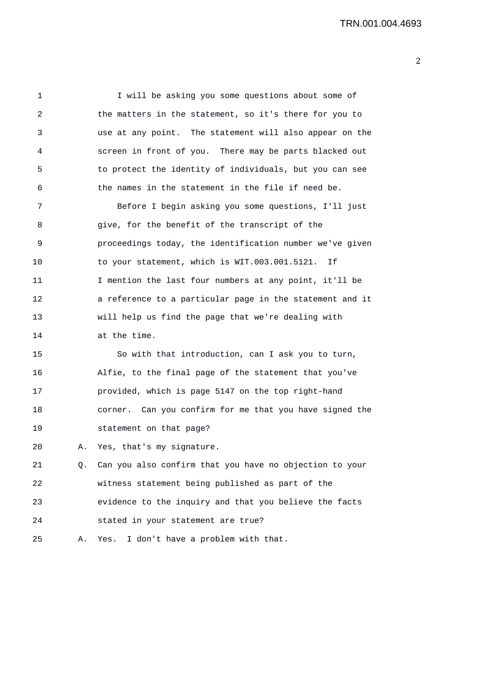1 I will be asking you some questions about some of 2 the matters in the statement, so it's there for you to 3 use at any point. The statement will also appear on the 4 screen in front of you. There may be parts blacked out 5 to protect the identity of individuals, but you can see 6 the names in the statement in the file if need be. 7 Before I begin asking you some questions, I'll just 8 give, for the benefit of the transcript of the 9 proceedings today, the identification number we've given 10 to your statement, which is WIT.003.001.5121. If 11 I mention the last four numbers at any point, it'll be 12 a reference to a particular page in the statement and it 13 will help us find the page that we're dealing with 14 at the time. 15 So with that introduction, can I ask you to turn, 16 Alfie, to the final page of the statement that you've 17 provided, which is page 5147 on the top right-hand 18 corner. Can you confirm for me that you have signed the 19 statement on that page? 20 A. Yes, that's my signature. 21 Q. Can you also confirm that you have no objection to your

22 witness statement being published as part of the 23 evidence to the inquiry and that you believe the facts 24 stated in your statement are true?

25 A. Yes. I don't have a problem with that.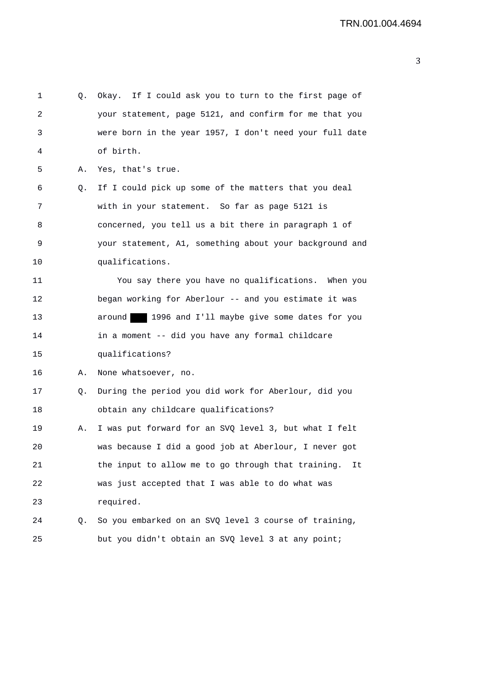| 1  |    | Q. Okay. If I could ask you to turn to the first page of |
|----|----|----------------------------------------------------------|
| 2  |    | your statement, page 5121, and confirm for me that you   |
| 3  |    | were born in the year 1957, I don't need your full date  |
| 4  |    | of birth.                                                |
| 5  | Α. | Yes, that's true.                                        |
| 6  | Q. | If I could pick up some of the matters that you deal     |
| 7  |    | with in your statement. So far as page 5121 is           |
| 8  |    | concerned, you tell us a bit there in paragraph 1 of     |
| 9  |    | your statement, A1, something about your background and  |
| 10 |    | qualifications.                                          |
| 11 |    | You say there you have no qualifications. When you       |
| 12 |    | began working for Aberlour -- and you estimate it was    |
| 13 |    | around 1996 and I'll maybe give some dates for you       |
| 14 |    | in a moment -- did you have any formal childcare         |
| 15 |    | qualifications?                                          |
| 16 | Α. | None whatsoever, no.                                     |
| 17 | Q. | During the period you did work for Aberlour, did you     |
| 18 |    | obtain any childcare qualifications?                     |
| 19 | Α. | I was put forward for an SVQ level 3, but what I felt    |
| 20 |    | was because I did a good job at Aberlour, I never got    |
| 21 |    | the input to allow me to go through that training.<br>It |
| 22 |    | was just accepted that I was able to do what was         |
| 23 |    | required.                                                |
| 24 | Q. | So you embarked on an SVQ level 3 course of training,    |
| 25 |    | but you didn't obtain an SVQ level 3 at any point;       |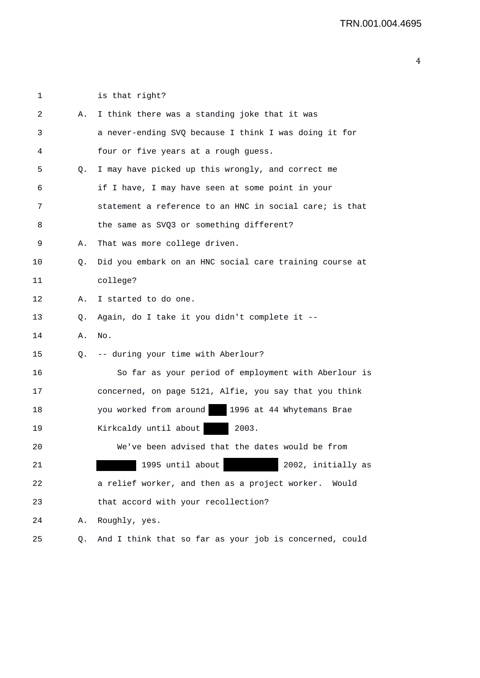1 is that right?

| 2  | Α. | I think there was a standing joke that it was           |
|----|----|---------------------------------------------------------|
| 3  |    | a never-ending SVQ because I think I was doing it for   |
| 4  |    | four or five years at a rough guess.                    |
| 5  | Q. | I may have picked up this wrongly, and correct me       |
| 6  |    | if I have, I may have seen at some point in your        |
| 7  |    | statement a reference to an HNC in social care; is that |
| 8  |    | the same as SVQ3 or something different?                |
| 9  | Α. | That was more college driven.                           |
| 10 | Q. | Did you embark on an HNC social care training course at |
| 11 |    | college?                                                |
| 12 | Α. | I started to do one.                                    |
| 13 | Q. | Again, do I take it you didn't complete it --           |
| 14 | Α. | No.                                                     |
| 15 | Q. | -- during your time with Aberlour?                      |
| 16 |    | So far as your period of employment with Aberlour is    |
| 17 |    | concerned, on page 5121, Alfie, you say that you think  |
| 18 |    | you worked from around   1996 at 44 Whytemans Brae      |
| 19 |    | Kirkcaldy until about<br>2003.                          |
| 20 |    | We've been advised that the dates would be from         |
| 21 |    | 1995 until about<br>2002, initially as                  |
| 22 |    | a relief worker, and then as a project worker. Would    |
| 23 |    | that accord with your recollection?                     |
| 24 | Α. | Roughly, yes.                                           |
| 25 | Q. | And I think that so far as your job is concerned, could |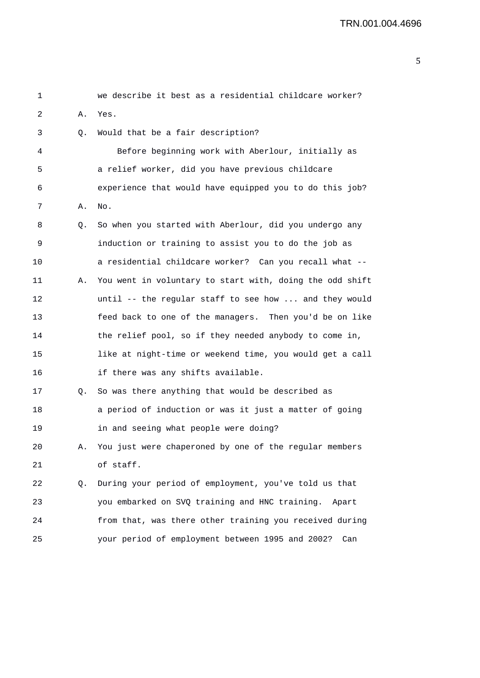| 1  |    | we describe it best as a residential childcare worker?   |
|----|----|----------------------------------------------------------|
| 2  | Α. | Yes.                                                     |
| 3  | Q. | Would that be a fair description?                        |
| 4  |    | Before beginning work with Aberlour, initially as        |
| 5  |    | a relief worker, did you have previous childcare         |
| 6  |    | experience that would have equipped you to do this job?  |
| 7  | Α. | No.                                                      |
| 8  | Q. | So when you started with Aberlour, did you undergo any   |
| 9  |    | induction or training to assist you to do the job as     |
| 10 |    | a residential childcare worker? Can you recall what --   |
| 11 | Α. | You went in voluntary to start with, doing the odd shift |
| 12 |    | until -- the regular staff to see how  and they would    |
| 13 |    | feed back to one of the managers. Then you'd be on like  |
| 14 |    | the relief pool, so if they needed anybody to come in,   |
| 15 |    | like at night-time or weekend time, you would get a call |
| 16 |    | if there was any shifts available.                       |
| 17 | Q. | So was there anything that would be described as         |
| 18 |    | a period of induction or was it just a matter of going   |
| 19 |    | in and seeing what people were doing?                    |
| 20 | Α. | You just were chaperoned by one of the regular members   |
| 21 |    | of staff.                                                |
| 22 | Q. | During your period of employment, you've told us that    |
| 23 |    | you embarked on SVQ training and HNC training.<br>Apart  |
| 24 |    | from that, was there other training you received during  |
| 25 |    | your period of employment between 1995 and 2002?<br>Can  |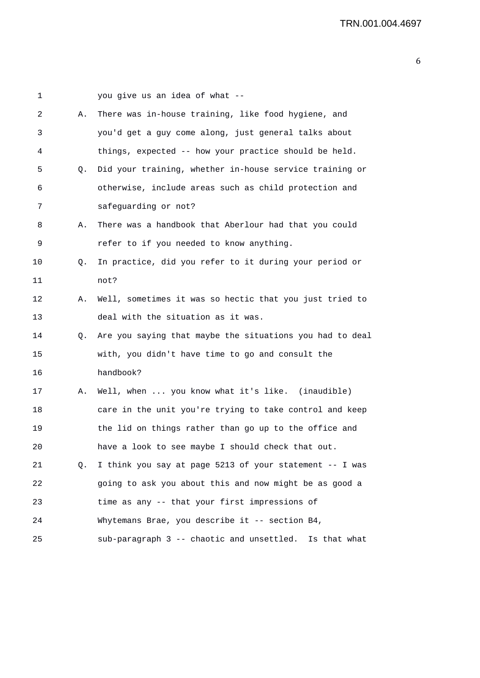| 1  |    | you give us an idea of what --                           |
|----|----|----------------------------------------------------------|
| 2  | Α. | There was in-house training, like food hygiene, and      |
| 3  |    | you'd get a guy come along, just general talks about     |
| 4  |    | things, expected -- how your practice should be held.    |
| 5  | Q. | Did your training, whether in-house service training or  |
| 6  |    | otherwise, include areas such as child protection and    |
| 7  |    | safeguarding or not?                                     |
| 8  | Α. | There was a handbook that Aberlour had that you could    |
| 9  |    | refer to if you needed to know anything.                 |
| 10 | Q. | In practice, did you refer to it during your period or   |
| 11 |    | not?                                                     |
| 12 | Α. | Well, sometimes it was so hectic that you just tried to  |
| 13 |    | deal with the situation as it was.                       |
| 14 | Q. | Are you saying that maybe the situations you had to deal |
| 15 |    | with, you didn't have time to go and consult the         |
| 16 |    | handbook?                                                |
| 17 | Α. | Well, when  you know what it's like. (inaudible)         |
| 18 |    | care in the unit you're trying to take control and keep  |
| 19 |    | the lid on things rather than go up to the office and    |
| 20 |    | have a look to see maybe I should check that out.        |
| 21 | Q. | I think you say at page 5213 of your statement -- I was  |
| 22 |    | going to ask you about this and now might be as good a   |
| 23 |    | time as any -- that your first impressions of            |
| 24 |    | Whytemans Brae, you describe it -- section B4,           |
| 25 |    | sub-paragraph 3 -- chaotic and unsettled. Is that what   |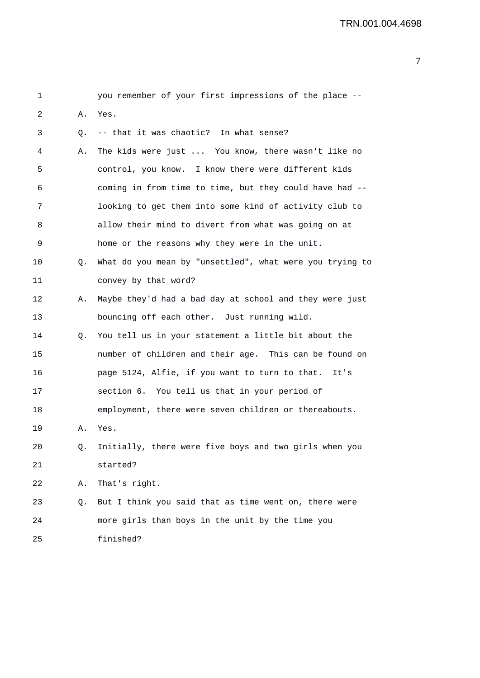| 1  |    | you remember of your first impressions of the place --   |
|----|----|----------------------------------------------------------|
| 2  | Α. | Yes.                                                     |
| 3  | Q. | -- that it was chaotic? In what sense?                   |
| 4  | Α. | The kids were just  You know, there wasn't like no       |
| 5  |    | control, you know. I know there were different kids      |
| 6  |    | coming in from time to time, but they could have had --  |
| 7  |    | looking to get them into some kind of activity club to   |
| 8  |    | allow their mind to divert from what was going on at     |
| 9  |    | home or the reasons why they were in the unit.           |
| 10 | Q. | What do you mean by "unsettled", what were you trying to |
| 11 |    | convey by that word?                                     |
| 12 | Α. | Maybe they'd had a bad day at school and they were just  |
| 13 |    | bouncing off each other. Just running wild.              |
| 14 | Q. | You tell us in your statement a little bit about the     |
| 15 |    | number of children and their age. This can be found on   |
| 16 |    | page 5124, Alfie, if you want to turn to that. It's      |
| 17 |    | section 6. You tell us that in your period of            |
| 18 |    | employment, there were seven children or thereabouts.    |
| 19 | Α. | Yes.                                                     |
| 20 | Q. | Initially, there were five boys and two girls when you   |
| 21 |    | started?                                                 |
| 22 | Α. | That's right.                                            |
| 23 | Q. | But I think you said that as time went on, there were    |
| 24 |    | more girls than boys in the unit by the time you         |
| 25 |    | finished?                                                |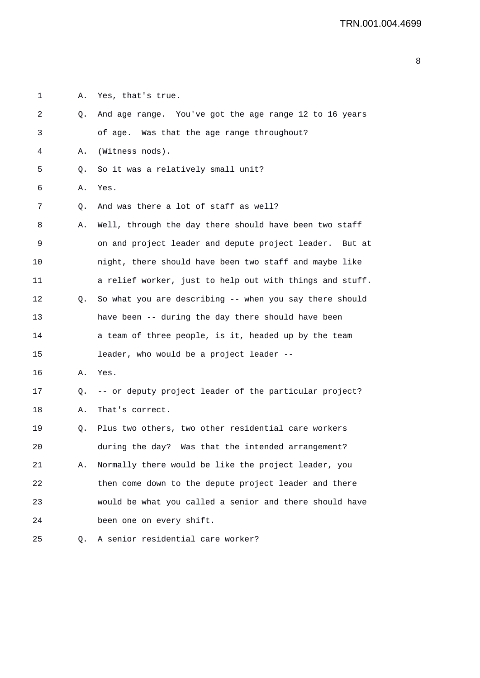2 Q. And age range. You've got the age range 12 to 16 years 3 of age. Was that the age range throughout? 4 A. (Witness nods). 5 Q. So it was a relatively small unit? 6 A. Yes. 7 Q. And was there a lot of staff as well? 8 A. Well, through the day there should have been two staff 9 on and project leader and depute project leader. But at 10 night, there should have been two staff and maybe like 11 a relief worker, just to help out with things and stuff.

1 A. Yes, that's true.

12 Q. So what you are describing -- when you say there should 13 have been -- during the day there should have been 14 **a** team of three people, is it, headed up by the team 15 leader, who would be a project leader --

16 A. Yes.

17 Q. -- or deputy project leader of the particular project? 18 A. That's correct.

19 Q. Plus two others, two other residential care workers 20 during the day? Was that the intended arrangement? 21 A. Normally there would be like the project leader, you 22 then come down to the depute project leader and there 23 would be what you called a senior and there should have 24 been one on every shift.

25 Q. A senior residential care worker?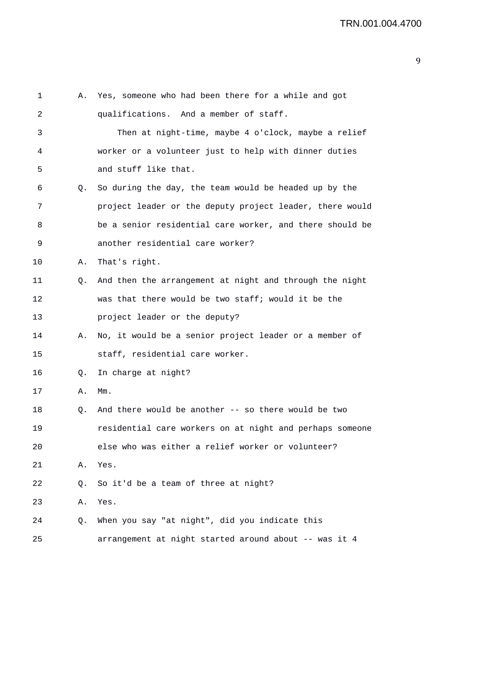| 1  | Α. | Yes, someone who had been there for a while and got      |
|----|----|----------------------------------------------------------|
| 2  |    | qualifications. And a member of staff.                   |
| 3  |    | Then at night-time, maybe 4 o'clock, maybe a relief      |
| 4  |    | worker or a volunteer just to help with dinner duties    |
| 5  |    | and stuff like that.                                     |
| 6  | Q. | So during the day, the team would be headed up by the    |
| 7  |    | project leader or the deputy project leader, there would |
| 8  |    | be a senior residential care worker, and there should be |
| 9  |    | another residential care worker?                         |
| 10 | Α. | That's right.                                            |
| 11 | Q. | And then the arrangement at night and through the night  |
| 12 |    | was that there would be two staff; would it be the       |
| 13 |    | project leader or the deputy?                            |
| 14 | Α. | No, it would be a senior project leader or a member of   |
| 15 |    | staff, residential care worker.                          |
| 16 | Q. | In charge at night?                                      |
| 17 | Α. | $Mm$ .                                                   |
| 18 | Q. | And there would be another -- so there would be two      |
| 19 |    | residential care workers on at night and perhaps someone |
| 20 |    | else who was either a relief worker or volunteer?        |
| 21 | Α. | Yes.                                                     |
| 22 | Q. | So it'd be a team of three at night?                     |
| 23 | Α. | Yes.                                                     |
| 24 | Q. | When you say "at night", did you indicate this           |
| 25 |    | arrangement at night started around about -- was it 4    |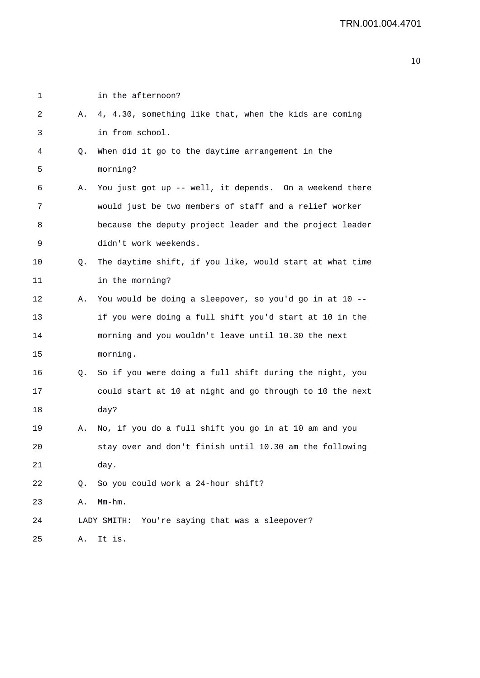| 1  |    | in the afternoon?                                        |
|----|----|----------------------------------------------------------|
| 2  | Α. | 4, 4.30, something like that, when the kids are coming   |
| 3  |    | in from school.                                          |
| 4  | Q. | When did it go to the daytime arrangement in the         |
| 5  |    | morning?                                                 |
| 6  | Α. | You just got up -- well, it depends. On a weekend there  |
| 7  |    | would just be two members of staff and a relief worker   |
| 8  |    | because the deputy project leader and the project leader |
| 9  |    | didn't work weekends.                                    |
| 10 | Q. | The daytime shift, if you like, would start at what time |
| 11 |    | in the morning?                                          |
| 12 | Α. | You would be doing a sleepover, so you'd go in at 10 --  |
| 13 |    | if you were doing a full shift you'd start at 10 in the  |
| 14 |    | morning and you wouldn't leave until 10.30 the next      |
| 15 |    | morning.                                                 |
| 16 | Q. | So if you were doing a full shift during the night, you  |
| 17 |    | could start at 10 at night and go through to 10 the next |
| 18 |    | day?                                                     |
| 19 | Α. | No, if you do a full shift you go in at 10 am and you    |
| 20 |    | stay over and don't finish until 10.30 am the following  |
| 21 |    | day.                                                     |
| 22 | Q. | So you could work a 24-hour shift?                       |
| 23 | Α. | $Mm-hm$ .                                                |
| 24 |    | LADY SMITH: You're saying that was a sleepover?          |
| 25 | Α. | It is.                                                   |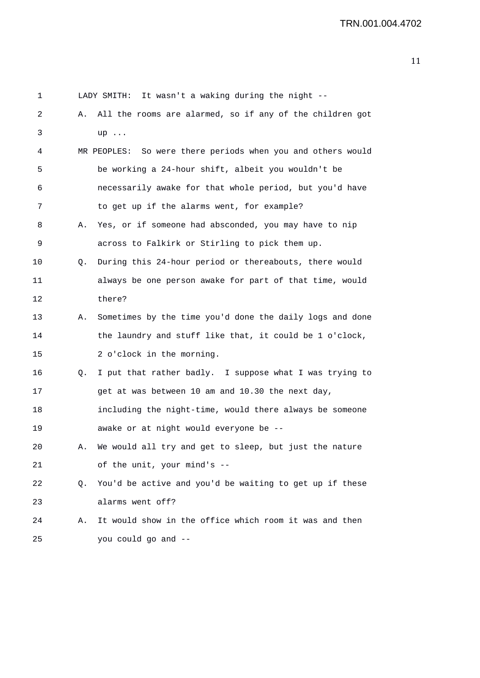| 1       |    | It wasn't a waking during the night --<br>LADY SMITH:          |
|---------|----|----------------------------------------------------------------|
| 2       | Α. | All the rooms are alarmed, so if any of the children got       |
| 3       |    | $up \dots$                                                     |
| 4       |    | So were there periods when you and others would<br>MR PEOPLES: |
| 5       |    | be working a 24-hour shift, albeit you wouldn't be             |
| 6       |    | necessarily awake for that whole period, but you'd have        |
| 7       |    | to get up if the alarms went, for example?                     |
| 8       | Α. | Yes, or if someone had absconded, you may have to nip          |
| 9       |    | across to Falkirk or Stirling to pick them up.                 |
| 10      | Q. | During this 24-hour period or thereabouts, there would         |
| 11      |    | always be one person awake for part of that time, would        |
| 12      |    | there?                                                         |
| 13      | Α. | Sometimes by the time you'd done the daily logs and done       |
| 14      |    | the laundry and stuff like that, it could be 1 o'clock,        |
| 15      |    | 2 o'clock in the morning.                                      |
| 16      | Q. | I put that rather badly. I suppose what I was trying to        |
| 17      |    | get at was between 10 am and 10.30 the next day,               |
| 18      |    | including the night-time, would there always be someone        |
| 19      |    | awake or at night would everyone be --                         |
| $20 \,$ |    | We would all try and get to sleep, but just the nature         |
| 21      |    | of the unit, your mind's --                                    |
| 22      | Q. | You'd be active and you'd be waiting to get up if these        |
| 23      |    | alarms went off?                                               |
| 24      | Α. | It would show in the office which room it was and then         |
| 25      |    | you could go and --                                            |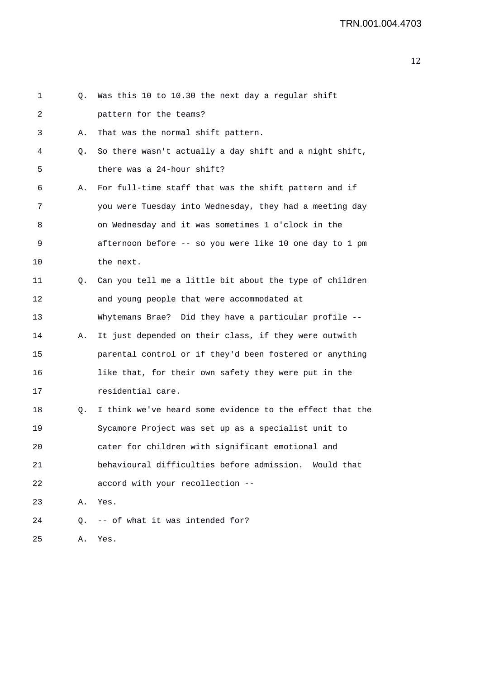| 1  | Q. | Was this 10 to 10.30 the next day a regular shift        |
|----|----|----------------------------------------------------------|
| 2  |    | pattern for the teams?                                   |
| 3  | Α. | That was the normal shift pattern.                       |
| 4  | Q. | So there wasn't actually a day shift and a night shift,  |
| 5  |    | there was a 24-hour shift?                               |
| 6  | Α. | For full-time staff that was the shift pattern and if    |
| 7  |    | you were Tuesday into Wednesday, they had a meeting day  |
| 8  |    | on Wednesday and it was sometimes 1 o'clock in the       |
| 9  |    | afternoon before -- so you were like 10 one day to 1 pm  |
| 10 |    | the next.                                                |
| 11 | Q. | Can you tell me a little bit about the type of children  |
| 12 |    | and young people that were accommodated at               |
| 13 |    | Whytemans Brae? Did they have a particular profile --    |
| 14 | Α. | It just depended on their class, if they were outwith    |
| 15 |    | parental control or if they'd been fostered or anything  |
| 16 |    | like that, for their own safety they were put in the     |
| 17 |    | residential care.                                        |
| 18 | Q. | I think we've heard some evidence to the effect that the |
| 19 |    | Sycamore Project was set up as a specialist unit to      |
| 20 |    | cater for children with significant emotional and        |
| 21 |    | behavioural difficulties before admission. Would that    |
| 22 |    | accord with your recollection --                         |
| 23 | Α. | Yes.                                                     |
| 24 | Q. | -- of what it was intended for?                          |
| 25 | Α. | Yes.                                                     |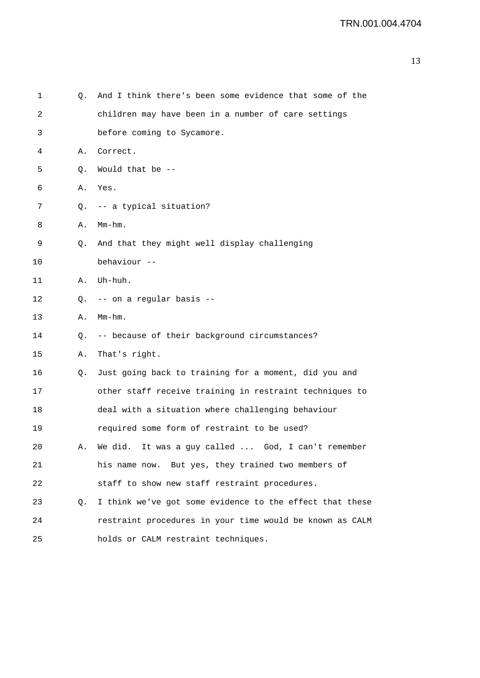| 1  | Q. | And I think there's been some evidence that some of the  |
|----|----|----------------------------------------------------------|
| 2  |    | children may have been in a number of care settings      |
| 3  |    | before coming to Sycamore.                               |
| 4  | Α. | Correct.                                                 |
| 5  | Q. | Would that be --                                         |
| 6  | Α. | Yes.                                                     |
| 7  | Q. | -- a typical situation?                                  |
| 8  | Α. | $Mm-hm$ .                                                |
| 9  | Q. | And that they might well display challenging             |
| 10 |    | behaviour --                                             |
| 11 | Α. | Uh-huh.                                                  |
| 12 | Q. | -- on a regular basis --                                 |
| 13 | Α. | $Mm-hm$ .                                                |
| 14 | Q. | -- because of their background circumstances?            |
| 15 | Α. | That's right.                                            |
| 16 | Q. | Just going back to training for a moment, did you and    |
| 17 |    | other staff receive training in restraint techniques to  |
| 18 |    | deal with a situation where challenging behaviour        |
| 19 |    | required some form of restraint to be used?              |
| 20 | Α. | It was a guy called  God, I can't remember<br>We did.    |
| 21 |    | his name now. But yes, they trained two members of       |
| 22 |    | staff to show new staff restraint procedures.            |
| 23 | Q. | I think we've got some evidence to the effect that these |
| 24 |    | restraint procedures in your time would be known as CALM |
| 25 |    | holds or CALM restraint techniques.                      |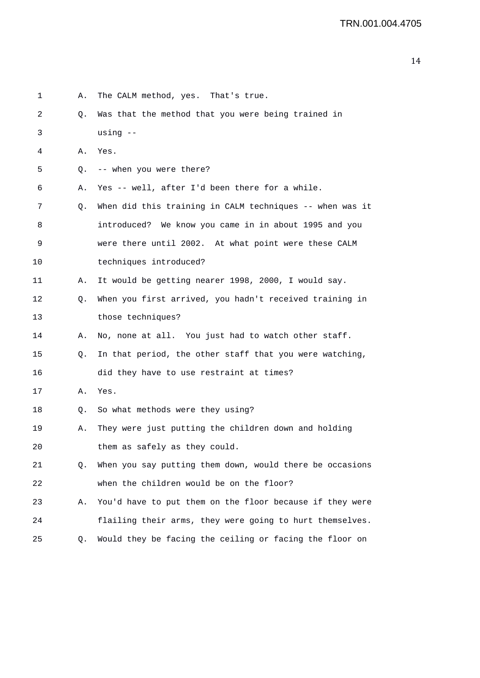| 1       | Α. | The CALM method, yes. That's true.                       |
|---------|----|----------------------------------------------------------|
| 2       | Q. | Was that the method that you were being trained in       |
| 3       |    | using $--$                                               |
| 4       | Α. | Yes.                                                     |
| 5       | Q. | -- when you were there?                                  |
| 6       | Α. | Yes -- well, after I'd been there for a while.           |
| 7       | Q. | When did this training in CALM techniques -- when was it |
| 8       |    | introduced? We know you came in in about 1995 and you    |
| 9       |    | were there until 2002. At what point were these CALM     |
| $10 \,$ |    | techniques introduced?                                   |
| 11      | Α. | It would be getting nearer 1998, 2000, I would say.      |
| 12      | Q. | When you first arrived, you hadn't received training in  |
| 13      |    | those techniques?                                        |
| 14      | Α. | No, none at all. You just had to watch other staff.      |
| 15      | Q. | In that period, the other staff that you were watching,  |
| 16      |    | did they have to use restraint at times?                 |
| 17      | Α. | Yes.                                                     |
| 18      | Q. | So what methods were they using?                         |
| 19      | Α. | They were just putting the children down and holding     |
| 20      |    | them as safely as they could.                            |
| 21      | Q. | When you say putting them down, would there be occasions |
| 22      |    | when the children would be on the floor?                 |
| 23      | Α. | You'd have to put them on the floor because if they were |
| 24      |    | flailing their arms, they were going to hurt themselves. |
| 25      | Q. | Would they be facing the ceiling or facing the floor on  |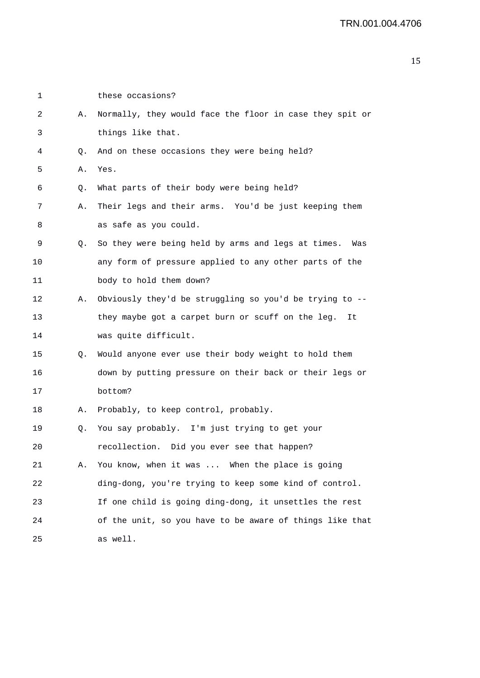| 1       |    | these occasions?                                          |
|---------|----|-----------------------------------------------------------|
| 2       | Α. | Normally, they would face the floor in case they spit or  |
| 3       |    | things like that.                                         |
| 4       | Q. | And on these occasions they were being held?              |
| 5       | Α. | Yes.                                                      |
| 6       | Q. | What parts of their body were being held?                 |
| 7       | Α. | Their legs and their arms. You'd be just keeping them     |
| 8       |    | as safe as you could.                                     |
| 9       | Q. | So they were being held by arms and legs at times.<br>Was |
| $10 \,$ |    | any form of pressure applied to any other parts of the    |
| 11      |    | body to hold them down?                                   |
| 12      | Α. | Obviously they'd be struggling so you'd be trying to --   |
| 13      |    | they maybe got a carpet burn or scuff on the leg.<br>It   |
| 14      |    | was quite difficult.                                      |
| 15      | Q. | Would anyone ever use their body weight to hold them      |
| 16      |    | down by putting pressure on their back or their legs or   |
| 17      |    | bottom?                                                   |
| 18      | Α. | Probably, to keep control, probably.                      |
| 19      | Q. | You say probably. I'm just trying to get your             |
| 20      |    | recollection.<br>Did you ever see that happen?            |
| 21      | Α. | You know, when it was  When the place is going            |
| 22      |    | ding-dong, you're trying to keep some kind of control.    |
| 23      |    | If one child is going ding-dong, it unsettles the rest    |
| 24      |    | of the unit, so you have to be aware of things like that  |
| 25      |    | as well.                                                  |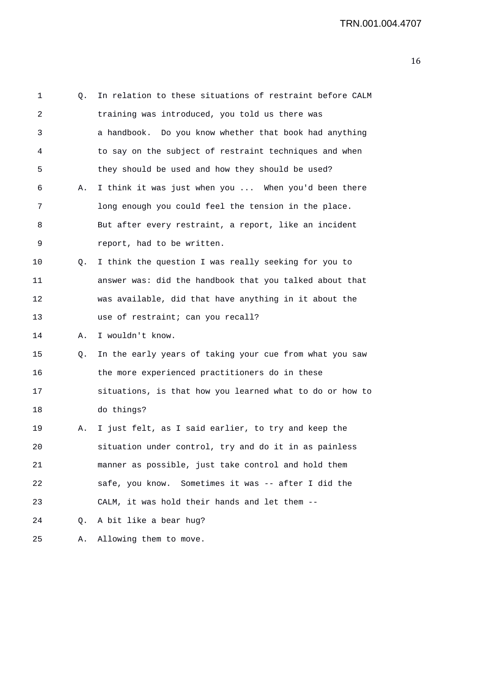| 1       | Q. | In relation to these situations of restraint before CALM |
|---------|----|----------------------------------------------------------|
| 2       |    | training was introduced, you told us there was           |
| 3       |    | a handbook. Do you know whether that book had anything   |
| 4       |    | to say on the subject of restraint techniques and when   |
| 5       |    | they should be used and how they should be used?         |
| 6       | Α. | I think it was just when you  When you'd been there      |
| 7       |    | long enough you could feel the tension in the place.     |
| 8       |    | But after every restraint, a report, like an incident    |
| 9       |    | report, had to be written.                               |
| $10 \,$ | Q. | I think the question I was really seeking for you to     |
| 11      |    | answer was: did the handbook that you talked about that  |
| 12      |    | was available, did that have anything in it about the    |
| 13      |    | use of restraint; can you recall?                        |
| 14      | Α. | I wouldn't know.                                         |
| 15      | Q. | In the early years of taking your cue from what you saw  |
| 16      |    | the more experienced practitioners do in these           |
| 17      |    | situations, is that how you learned what to do or how to |
| 18      |    | do things?                                               |
| 19      | Α. | I just felt, as I said earlier, to try and keep the      |
| 20      |    | situation under control, try and do it in as painless    |
| 21      |    | manner as possible, just take control and hold them      |
| 22      |    | safe, you know. Sometimes it was -- after I did the      |
| 23      |    | CALM, it was hold their hands and let them --            |
| 24      | Q. | A bit like a bear hug?                                   |
| 25      | Α. | Allowing them to move.                                   |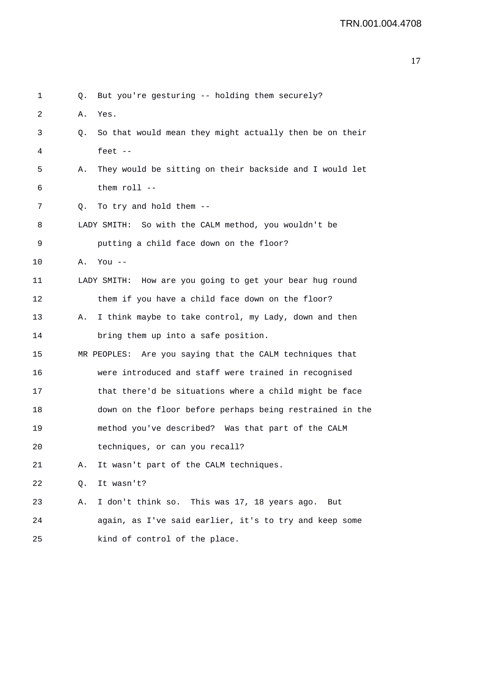| 1  | Q. | But you're gesturing -- holding them securely?           |
|----|----|----------------------------------------------------------|
| 2  | Α. | Yes.                                                     |
| 3  | Q. | So that would mean they might actually then be on their  |
| 4  |    | feet $--$                                                |
| 5  | Α. | They would be sitting on their backside and I would let  |
| 6  |    | them $roll$ --                                           |
| 7  | Q. | To try and hold them --                                  |
| 8  |    | LADY SMITH: So with the CALM method, you wouldn't be     |
| 9  |    | putting a child face down on the floor?                  |
| 10 | Α. | You $--$                                                 |
| 11 |    | LADY SMITH: How are you going to get your bear hug round |
| 12 |    | them if you have a child face down on the floor?         |
| 13 | Α. | I think maybe to take control, my Lady, down and then    |
| 14 |    | bring them up into a safe position.                      |
| 15 |    | MR PEOPLES: Are you saying that the CALM techniques that |
| 16 |    | were introduced and staff were trained in recognised     |
| 17 |    | that there'd be situations where a child might be face   |
| 18 |    | down on the floor before perhaps being restrained in the |
| 19 |    | method you've described? Was that part of the CALM       |
| 20 |    | techniques, or can you recall?                           |
| 21 | Α. | It wasn't part of the CALM techniques.                   |
| 22 | Q. | It wasn't?                                               |
| 23 | Α. | I don't think so. This was 17, 18 years ago. But         |
| 24 |    | again, as I've said earlier, it's to try and keep some   |
| 25 |    | kind of control of the place.                            |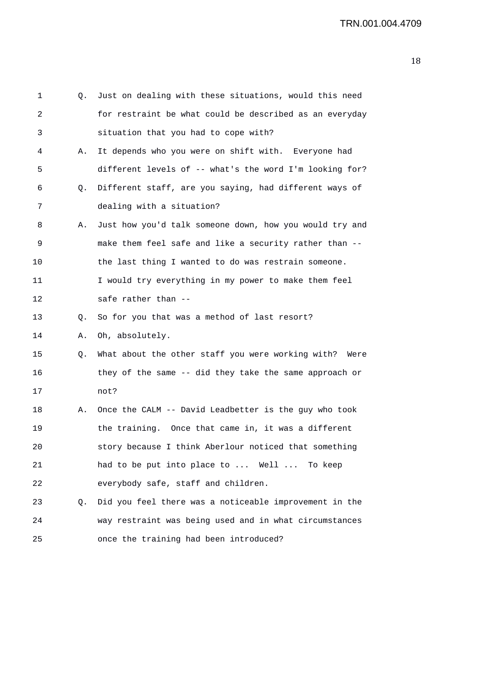| 1  | Q. | Just on dealing with these situations, would this need  |
|----|----|---------------------------------------------------------|
| 2  |    | for restraint be what could be described as an everyday |
| 3  |    | situation that you had to cope with?                    |
| 4  | Α. | It depends who you were on shift with. Everyone had     |
| 5  |    | different levels of -- what's the word I'm looking for? |
| 6  | Q. | Different staff, are you saying, had different ways of  |
| 7  |    | dealing with a situation?                               |
| 8  | Α. | Just how you'd talk someone down, how you would try and |
| 9  |    | make them feel safe and like a security rather than --  |
| 10 |    | the last thing I wanted to do was restrain someone.     |
| 11 |    | I would try everything in my power to make them feel    |
| 12 |    | safe rather than --                                     |
| 13 | Q. | So for you that was a method of last resort?            |
| 14 | Α. | Oh, absolutely.                                         |
| 15 | Q. | What about the other staff you were working with? Were  |
| 16 |    | they of the same -- did they take the same approach or  |
| 17 |    | not?                                                    |
| 18 | Α. | Once the CALM -- David Leadbetter is the guy who took   |
| 19 |    | the training. Once that came in, it was a different     |
| 20 |    | story because I think Aberlour noticed that something   |
| 21 |    | had to be put into place to  Well  To keep              |
| 22 |    | everybody safe, staff and children.                     |
| 23 | Q. | Did you feel there was a noticeable improvement in the  |
| 24 |    | way restraint was being used and in what circumstances  |
| 25 |    | once the training had been introduced?                  |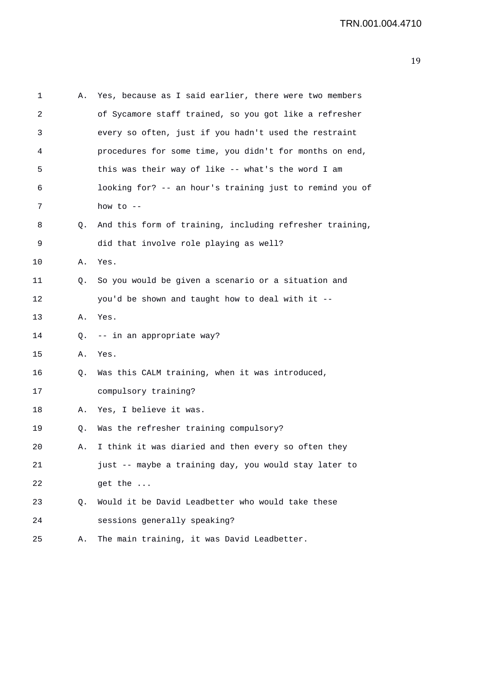| 1  | А. | Yes, because as I said earlier, there were two members   |
|----|----|----------------------------------------------------------|
| 2  |    | of Sycamore staff trained, so you got like a refresher   |
| 3  |    | every so often, just if you hadn't used the restraint    |
| 4  |    | procedures for some time, you didn't for months on end,  |
| 5  |    | this was their way of like -- what's the word I am       |
| 6  |    | looking for? -- an hour's training just to remind you of |
| 7  |    | how to $--$                                              |
| 8  | Q. | And this form of training, including refresher training, |
| 9  |    | did that involve role playing as well?                   |
| 10 | Α. | Yes.                                                     |
| 11 | Q. | So you would be given a scenario or a situation and      |
| 12 |    | you'd be shown and taught how to deal with it --         |
| 13 | Α. | Yes.                                                     |
| 14 | Q. | -- in an appropriate way?                                |
| 15 | Α. | Yes.                                                     |
| 16 | Q. | Was this CALM training, when it was introduced,          |
| 17 |    | compulsory training?                                     |
| 18 | Α. | Yes, I believe it was.                                   |
| 19 | Q. | Was the refresher training compulsory?                   |
| 20 | Α. | I think it was diaried and then every so often they      |
| 21 |    | just -- maybe a training day, you would stay later to    |
| 22 |    | get the                                                  |
| 23 | Q. | Would it be David Leadbetter who would take these        |
| 24 |    | sessions generally speaking?                             |
| 25 | Α. | The main training, it was David Leadbetter.              |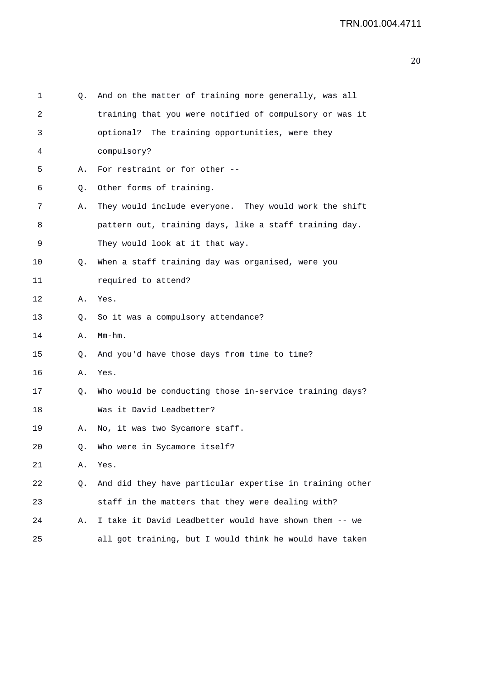| 1  | Q. | And on the matter of training more generally, was all    |
|----|----|----------------------------------------------------------|
| 2  |    | training that you were notified of compulsory or was it  |
| 3  |    | optional? The training opportunities, were they          |
| 4  |    | compulsory?                                              |
| 5  | Α. | For restraint or for other --                            |
| 6  | Q. | Other forms of training.                                 |
| 7  | Α. | They would include everyone. They would work the shift   |
| 8  |    | pattern out, training days, like a staff training day.   |
| 9  |    | They would look at it that way.                          |
| 10 | Q. | When a staff training day was organised, were you        |
| 11 |    | required to attend?                                      |
| 12 | Α. | Yes.                                                     |
| 13 | Q. | So it was a compulsory attendance?                       |
| 14 | Α. | $Mm-hm$ .                                                |
| 15 | Q. | And you'd have those days from time to time?             |
| 16 | Α. | Yes.                                                     |
| 17 | Q. | Who would be conducting those in-service training days?  |
| 18 |    | Was it David Leadbetter?                                 |
| 19 | Α. | No, it was two Sycamore staff.                           |
| 20 | Q. | Who were in Sycamore itself?                             |
| 21 | Α. | Yes.                                                     |
| 22 | Q. | And did they have particular expertise in training other |
| 23 |    | staff in the matters that they were dealing with?        |
| 24 | Α. | I take it David Leadbetter would have shown them -- we   |
| 25 |    | all got training, but I would think he would have taken  |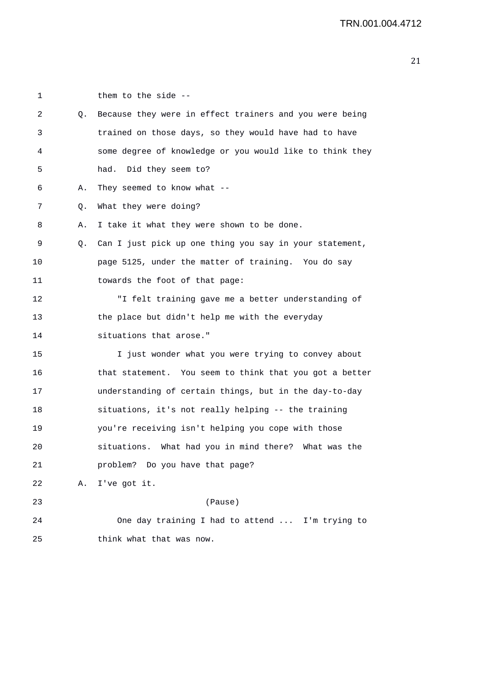| 1  |    | them to the side --                                      |
|----|----|----------------------------------------------------------|
| 2  | Q. | Because they were in effect trainers and you were being  |
| 3  |    | trained on those days, so they would have had to have    |
| 4  |    | some degree of knowledge or you would like to think they |
| 5  |    | had. Did they seem to?                                   |
| 6  | Α. | They seemed to know what $-$                             |
| 7  | Q. | What they were doing?                                    |
| 8  | Α. | I take it what they were shown to be done.               |
| 9  | Q. | Can I just pick up one thing you say in your statement,  |
| 10 |    | page 5125, under the matter of training. You do say      |
| 11 |    | towards the foot of that page:                           |
| 12 |    | "I felt training gave me a better understanding of       |
| 13 |    | the place but didn't help me with the everyday           |
| 14 |    | situations that arose."                                  |
| 15 |    | I just wonder what you were trying to convey about       |
| 16 |    | that statement. You seem to think that you got a better  |
| 17 |    | understanding of certain things, but in the day-to-day   |
| 18 |    | situations, it's not really helping -- the training      |
| 19 |    | you're receiving isn't helping you cope with those       |
| 20 |    | situations. What had you in mind there? What was the     |
| 21 |    | problem? Do you have that page?                          |
| 22 |    | A. I've got it.                                          |
| 23 |    | (Pause)                                                  |
| 24 |    | One day training I had to attend  I'm trying to          |
| 25 |    | think what that was now.                                 |
|    |    |                                                          |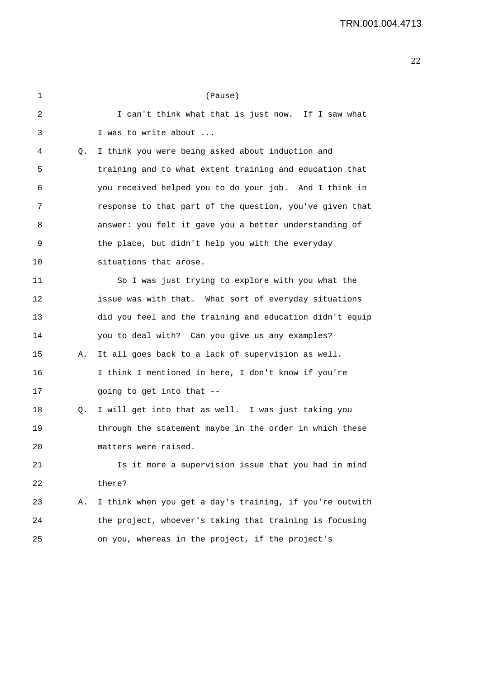| 1  |    | (Pause)                                                  |
|----|----|----------------------------------------------------------|
| 2  |    | I can't think what that is just now. If I saw what       |
| 3  |    | I was to write about                                     |
| 4  | Q. | I think you were being asked about induction and         |
| 5  |    | training and to what extent training and education that  |
| 6  |    | you received helped you to do your job. And I think in   |
| 7  |    | response to that part of the question, you've given that |
| 8  |    | answer: you felt it gave you a better understanding of   |
| 9  |    | the place, but didn't help you with the everyday         |
| 10 |    | situations that arose.                                   |
| 11 |    | So I was just trying to explore with you what the        |
| 12 |    | issue was with that. What sort of everyday situations    |
| 13 |    | did you feel and the training and education didn't equip |
| 14 |    | you to deal with? Can you give us any examples?          |
| 15 | Α. | It all goes back to a lack of supervision as well.       |
| 16 |    | I think I mentioned in here, I don't know if you're      |
| 17 |    | going to get into that --                                |
| 18 | Q. | I will get into that as well. I was just taking you      |
| 19 |    | through the statement maybe in the order in which these  |
| 20 |    | matters were raised.                                     |
| 21 |    | Is it more a supervision issue that you had in mind      |
| 22 |    | there?                                                   |
| 23 | Α. | I think when you get a day's training, if you're outwith |
| 24 |    | the project, whoever's taking that training is focusing  |
| 25 |    | on you, whereas in the project, if the project's         |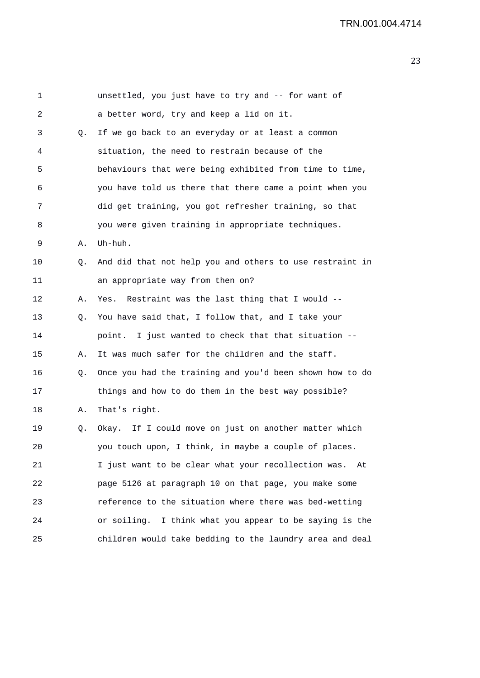1 unsettled, you just have to try and -- for want of 2 a better word, try and keep a lid on it. 3 Q. If we go back to an everyday or at least a common 4 situation, the need to restrain because of the 5 behaviours that were being exhibited from time to time, 6 you have told us there that there came a point when you 7 did get training, you got refresher training, so that 8 you were given training in appropriate techniques. 9 A. Uh-huh. 10 0. And did that not help you and others to use restraint in 11 an appropriate way from then on? 12 A. Yes. Restraint was the last thing that I would -- 13 Q. You have said that, I follow that, and I take your 14 point. I just wanted to check that that situation -- 15 A. It was much safer for the children and the staff. 16 Q. Once you had the training and you'd been shown how to do 17 things and how to do them in the best way possible? 18 A. That's right. 19 Q. Okay. If I could move on just on another matter which 20 you touch upon, I think, in maybe a couple of places. 21 I just want to be clear what your recollection was. At 22 page 5126 at paragraph 10 on that page, you make some 23 reference to the situation where there was bed-wetting 24 or soiling. I think what you appear to be saying is the 25 children would take bedding to the laundry area and deal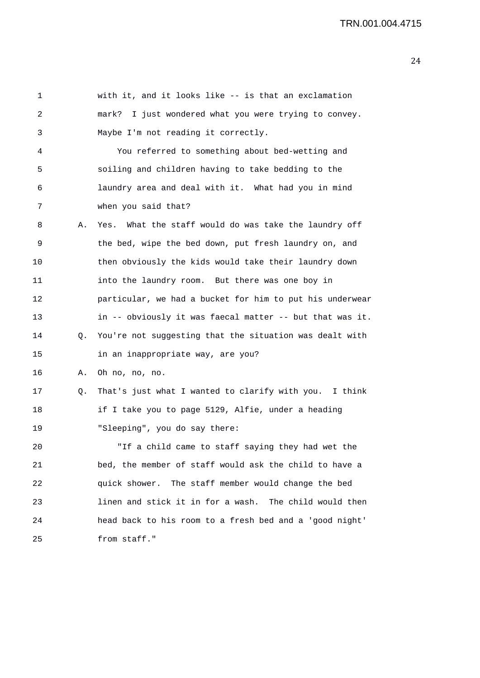1 with it, and it looks like -- is that an exclamation 2 mark? I just wondered what you were trying to convey. 3 Maybe I'm not reading it correctly. 4 You referred to something about bed-wetting and 5 soiling and children having to take bedding to the 6 laundry area and deal with it. What had you in mind 7 when you said that? 8 A. Yes. What the staff would do was take the laundry off 9 the bed, wipe the bed down, put fresh laundry on, and 10 then obviously the kids would take their laundry down 11 into the laundry room. But there was one boy in 12 particular, we had a bucket for him to put his underwear 13 in -- obviously it was faecal matter -- but that was it. 14 Q. You're not suggesting that the situation was dealt with 15 in an inappropriate way, are you? 16 A. Oh no, no, no. 17 Q. That's just what I wanted to clarify with you. I think 18 if I take you to page 5129, Alfie, under a heading 19 "Sleeping", you do say there: 20 "If a child came to staff saying they had wet the 21 bed, the member of staff would ask the child to have a 22 quick shower. The staff member would change the bed 23 linen and stick it in for a wash. The child would then 24 head back to his room to a fresh bed and a 'good night' 25 from staff."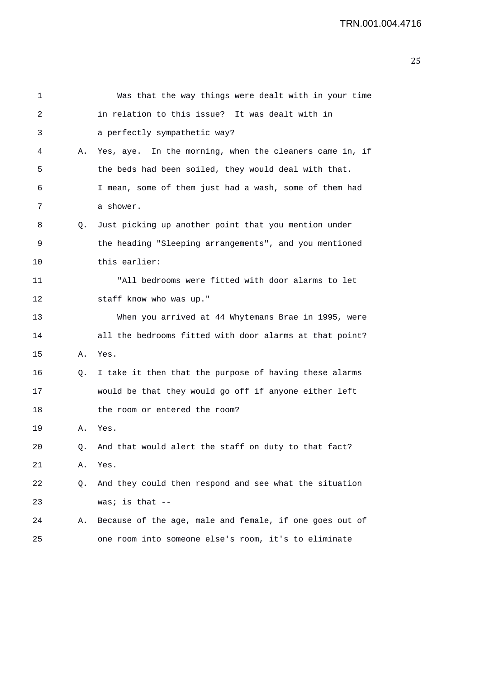| 1  |    | Was that the way things were dealt with in your time    |
|----|----|---------------------------------------------------------|
| 2  |    | in relation to this issue? It was dealt with in         |
| 3  |    | a perfectly sympathetic way?                            |
| 4  | Α. | Yes, aye. In the morning, when the cleaners came in, if |
| 5  |    | the beds had been soiled, they would deal with that.    |
| 6  |    | I mean, some of them just had a wash, some of them had  |
| 7  |    | a shower.                                               |
| 8  | Q. | Just picking up another point that you mention under    |
| 9  |    | the heading "Sleeping arrangements", and you mentioned  |
| 10 |    | this earlier:                                           |
| 11 |    | "All bedrooms were fitted with door alarms to let       |
| 12 |    | staff know who was up."                                 |
| 13 |    | When you arrived at 44 Whytemans Brae in 1995, were     |
| 14 |    | all the bedrooms fitted with door alarms at that point? |
| 15 | Α. | Yes.                                                    |
| 16 | Q. | I take it then that the purpose of having these alarms  |
| 17 |    | would be that they would go off if anyone either left   |
| 18 |    | the room or entered the room?                           |
| 19 | Α. | Yes.                                                    |
| 20 | Q. | And that would alert the staff on duty to that fact?    |
| 21 | Α. | Yes.                                                    |
| 22 | Q. | And they could then respond and see what the situation  |
| 23 |    | was; is that $--$                                       |
| 24 | Α. | Because of the age, male and female, if one goes out of |
| 25 |    | one room into someone else's room, it's to eliminate    |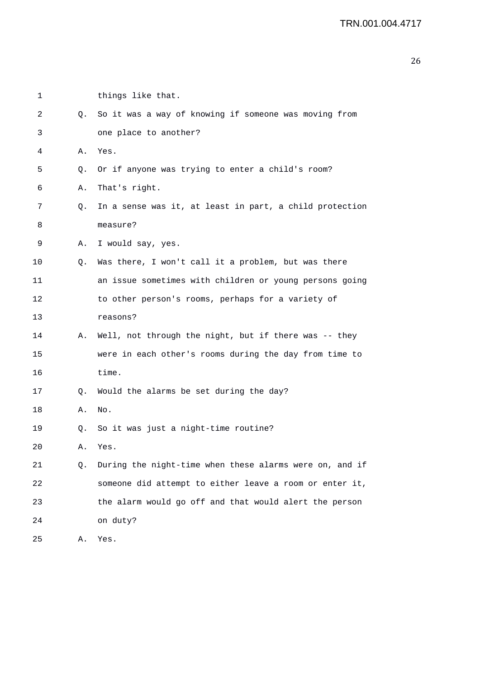| 1  |    | things like that.                                       |
|----|----|---------------------------------------------------------|
| 2  | Q. | So it was a way of knowing if someone was moving from   |
| 3  |    | one place to another?                                   |
| 4  | Α. | Yes.                                                    |
| 5  | Q. | Or if anyone was trying to enter a child's room?        |
| 6  | Α. | That's right.                                           |
| 7  | Q. | In a sense was it, at least in part, a child protection |
| 8  |    | measure?                                                |
| 9  | Α. | I would say, yes.                                       |
| 10 | Q. | Was there, I won't call it a problem, but was there     |
| 11 |    | an issue sometimes with children or young persons going |
| 12 |    | to other person's rooms, perhaps for a variety of       |
| 13 |    | reasons?                                                |
| 14 | А. | Well, not through the night, but if there was -- they   |
| 15 |    | were in each other's rooms during the day from time to  |
| 16 |    | time.                                                   |
| 17 | Q. | Would the alarms be set during the day?                 |
| 18 | Α. | No.                                                     |
| 19 | Q. | So it was just a night-time routine?                    |
| 20 | Α. | Yes.                                                    |
| 21 | Q. | During the night-time when these alarms were on, and if |
| 22 |    | someone did attempt to either leave a room or enter it, |
| 23 |    | the alarm would go off and that would alert the person  |
| 24 |    | on duty?                                                |
| 25 | Α. | Yes.                                                    |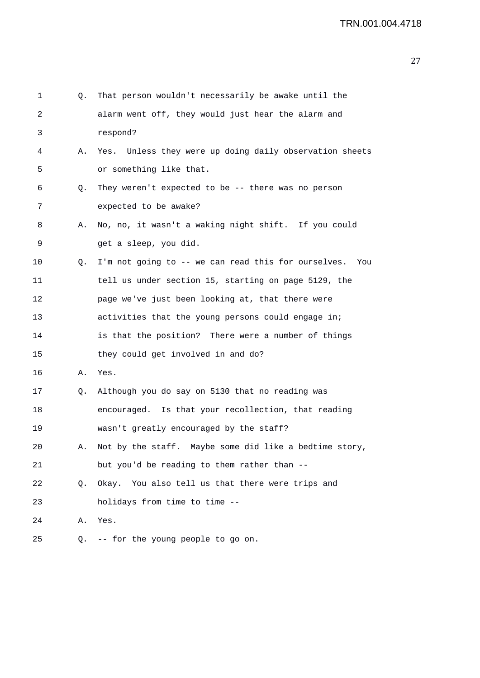| 1  | Q. | That person wouldn't necessarily be awake until the        |
|----|----|------------------------------------------------------------|
| 2  |    | alarm went off, they would just hear the alarm and         |
| 3  |    | respond?                                                   |
| 4  | Α. | Yes. Unless they were up doing daily observation sheets    |
| 5  |    | or something like that.                                    |
| 6  | Q. | They weren't expected to be $-$ - there was no person      |
| 7  |    | expected to be awake?                                      |
| 8  | Α. | No, no, it wasn't a waking night shift. If you could       |
| 9  |    | get a sleep, you did.                                      |
| 10 | Q. | I'm not going to -- we can read this for ourselves.<br>You |
| 11 |    | tell us under section 15, starting on page 5129, the       |
| 12 |    | page we've just been looking at, that there were           |
| 13 |    | activities that the young persons could engage in;         |
| 14 |    | is that the position? There were a number of things        |
| 15 |    | they could get involved in and do?                         |
| 16 | Α. | Yes.                                                       |
| 17 | Q. | Although you do say on 5130 that no reading was            |
| 18 |    | encouraged. Is that your recollection, that reading        |
| 19 |    | wasn't greatly encouraged by the staff?                    |
| 20 |    | A. Not by the staff. Maybe some did like a bedtime story,  |
| 21 |    | but you'd be reading to them rather than --                |
| 22 | Q. | Okay. You also tell us that there were trips and           |
| 23 |    | holidays from time to time --                              |
| 24 | Α. | Yes.                                                       |
| 25 | Q. | -- for the young people to go on.                          |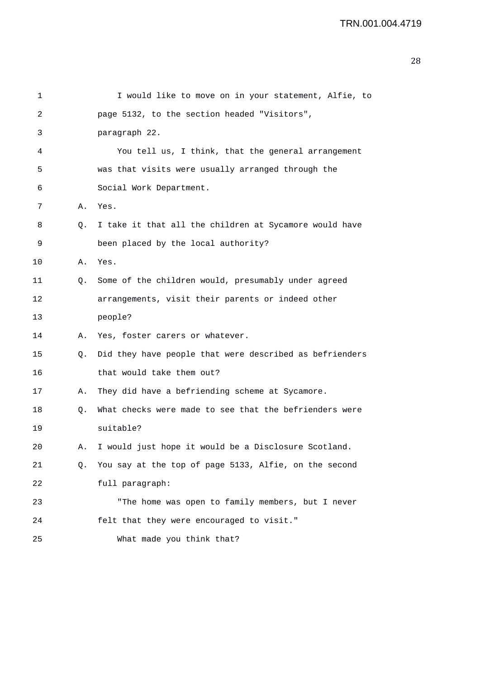| 1       |    | I would like to move on in your statement, Alfie, to    |
|---------|----|---------------------------------------------------------|
| 2       |    | page 5132, to the section headed "Visitors",            |
| 3       |    | paragraph 22.                                           |
| 4       |    | You tell us, I think, that the general arrangement      |
| 5       |    | was that visits were usually arranged through the       |
| 6       |    | Social Work Department.                                 |
| 7       | Α. | Yes.                                                    |
| 8       | Q. | I take it that all the children at Sycamore would have  |
| 9       |    | been placed by the local authority?                     |
| $10 \,$ | Α. | Yes.                                                    |
| 11      | Q. | Some of the children would, presumably under agreed     |
| 12      |    | arrangements, visit their parents or indeed other       |
| 13      |    | people?                                                 |
| 14      | Α. | Yes, foster carers or whatever.                         |
| 15      | Q. | Did they have people that were described as befrienders |
| 16      |    | that would take them out?                               |
| 17      | Α. | They did have a befriending scheme at Sycamore.         |
| 18      | Q. | What checks were made to see that the befrienders were  |
| 19      |    | suitable?                                               |
| 20      | Α. | I would just hope it would be a Disclosure Scotland.    |
| 21      | Q. | You say at the top of page 5133, Alfie, on the second   |
| 22      |    | full paragraph:                                         |
| 23      |    | "The home was open to family members, but I never       |
| 24      |    | felt that they were encouraged to visit."               |
| 25      |    | What made you think that?                               |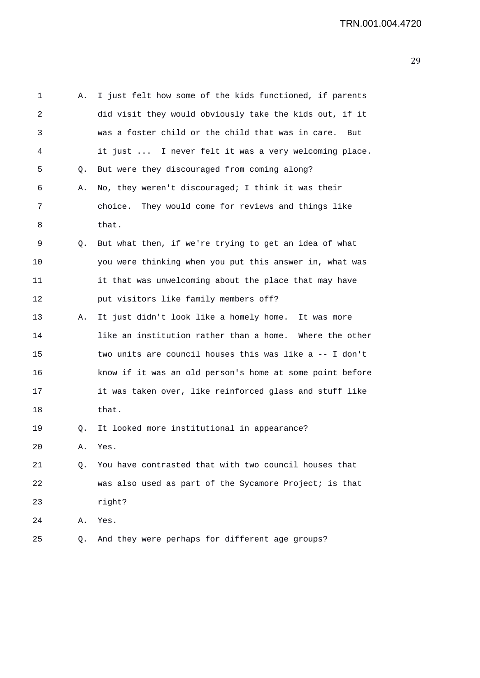| 1  | Α. | I just felt how some of the kids functioned, if parents  |
|----|----|----------------------------------------------------------|
| 2  |    | did visit they would obviously take the kids out, if it  |
| 3  |    | was a foster child or the child that was in care.<br>But |
| 4  |    | it just  I never felt it was a very welcoming place.     |
| 5  | Q. | But were they discouraged from coming along?             |
| 6  | Α. | No, they weren't discouraged; I think it was their       |
| 7  |    | They would come for reviews and things like<br>choice.   |
| 8  |    | that.                                                    |
| 9  | Q. | But what then, if we're trying to get an idea of what    |
| 10 |    | you were thinking when you put this answer in, what was  |
| 11 |    | it that was unwelcoming about the place that may have    |
| 12 |    | put visitors like family members off?                    |
| 13 | А. | It just didn't look like a homely home. It was more      |
| 14 |    | like an institution rather than a home. Where the other  |
| 15 |    | two units are council houses this was like a -- I don't  |
| 16 |    | know if it was an old person's home at some point before |
| 17 |    | it was taken over, like reinforced glass and stuff like  |
| 18 |    | that.                                                    |
| 19 | Q. | It looked more institutional in appearance?              |
| 20 | Α. | Yes.                                                     |
| 21 | Q. | You have contrasted that with two council houses that    |
| 22 |    | was also used as part of the Sycamore Project; is that   |
| 23 |    | right?                                                   |
| 24 | Α. | Yes.                                                     |
| 25 | Q. | And they were perhaps for different age groups?          |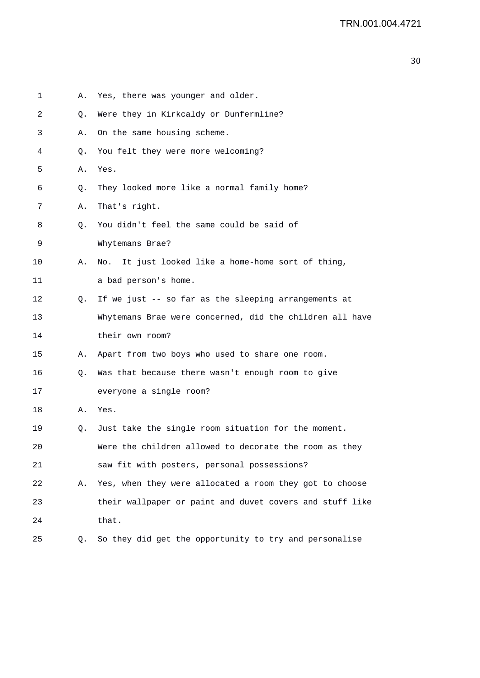1 A. Yes, there was younger and older. 2 Q. Were they in Kirkcaldy or Dunfermline? 3 A. On the same housing scheme. 4 Q. You felt they were more welcoming? 5 A. Yes. 6 Q. They looked more like a normal family home? 7 A. That's right. 8 Q. You didn't feel the same could be said of 9 Whytemans Brae? 10 A. No. It just looked like a home-home sort of thing, 11 a bad person's home. 12 Q. If we just -- so far as the sleeping arrangements at 13 Whytemans Brae were concerned, did the children all have 14 their own room? 15 A. Apart from two boys who used to share one room. 16 Q. Was that because there wasn't enough room to give 17 everyone a single room? 18 A. Yes. 19 Q. Just take the single room situation for the moment. 20 Were the children allowed to decorate the room as they 21 saw fit with posters, personal possessions? 22 A. Yes, when they were allocated a room they got to choose 23 their wallpaper or paint and duvet covers and stuff like 24 that. 25 Q. So they did get the opportunity to try and personalise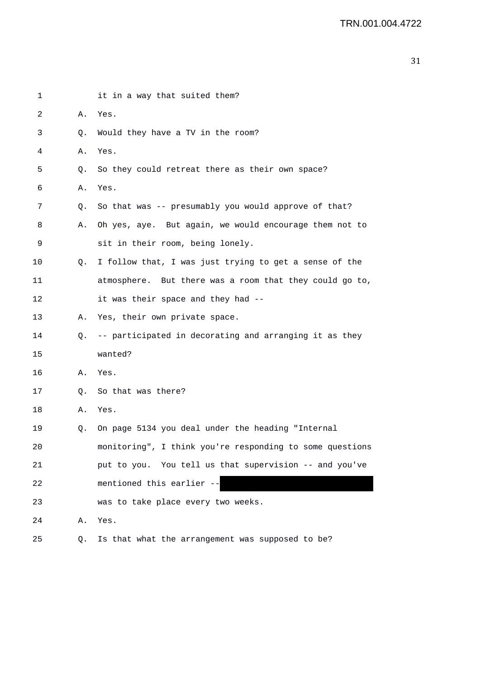| 1  |    | it in a way that suited them?                                                                                                                                                                                                                                     |
|----|----|-------------------------------------------------------------------------------------------------------------------------------------------------------------------------------------------------------------------------------------------------------------------|
| 2  | Α. | Yes.                                                                                                                                                                                                                                                              |
| 3  | Q. | Would they have a TV in the room?                                                                                                                                                                                                                                 |
| 4  | Α. | Yes.                                                                                                                                                                                                                                                              |
| 5  | Q. | So they could retreat there as their own space?                                                                                                                                                                                                                   |
| 6  | Α. | Yes.                                                                                                                                                                                                                                                              |
| 7  | Q. | So that was -- presumably you would approve of that?                                                                                                                                                                                                              |
| 8  | Α. | Oh yes, aye. But again, we would encourage them not to                                                                                                                                                                                                            |
| 9  |    | sit in their room, being lonely.                                                                                                                                                                                                                                  |
| 10 | Q. | I follow that, I was just trying to get a sense of the                                                                                                                                                                                                            |
| 11 |    | atmosphere. But there was a room that they could go to,                                                                                                                                                                                                           |
| 12 |    | it was their space and they had --                                                                                                                                                                                                                                |
| 13 | Α. | Yes, their own private space.                                                                                                                                                                                                                                     |
| 14 | Q. | -- participated in decorating and arranging it as they                                                                                                                                                                                                            |
| 15 |    | wanted?                                                                                                                                                                                                                                                           |
| 16 | Α. | Yes.                                                                                                                                                                                                                                                              |
| 17 | Q. | So that was there?                                                                                                                                                                                                                                                |
| 18 | Α. | Yes.                                                                                                                                                                                                                                                              |
| 19 | Q. | On page 5134 you deal under the heading "Internal                                                                                                                                                                                                                 |
| 20 |    | monitoring", I think you're responding to some questions                                                                                                                                                                                                          |
| 21 |    | put to you. You tell us that supervision -- and you've                                                                                                                                                                                                            |
| 22 |    | mentioned this earlier --<br><u> Tanzania de San Japonia de San Japonia de San Japonia de San Japonia de San Japonia de San Japonia de San Japonia de San Japonia de San Japonia de San Japonia de San Japonia de San Japonia de San Japonia de San Japonia d</u> |
| 23 |    | was to take place every two weeks.                                                                                                                                                                                                                                |
| 24 | Α. | Yes.                                                                                                                                                                                                                                                              |
| 25 | Q. | Is that what the arrangement was supposed to be?                                                                                                                                                                                                                  |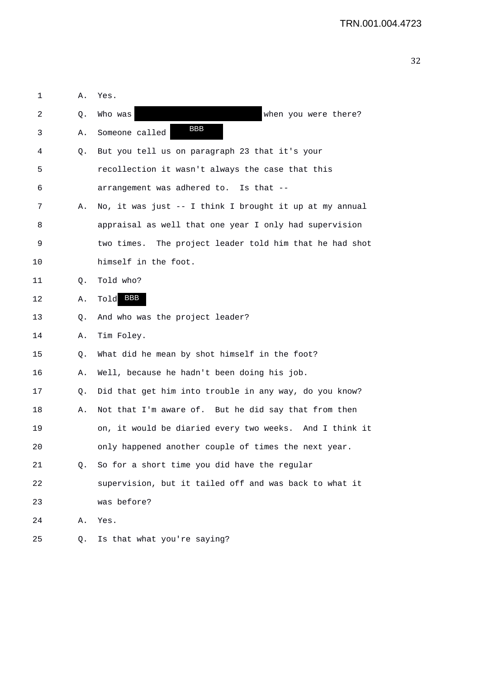| 1  | Α. | Yes.                                                    |
|----|----|---------------------------------------------------------|
| 2  | Q. | Who was<br>when you were there?                         |
| 3  | Α. | <b>BBB</b><br>Someone called                            |
| 4  | Q. | But you tell us on paragraph 23 that it's your          |
| 5  |    | recollection it wasn't always the case that this        |
| 6  |    | arrangement was adhered to. Is that --                  |
| 7  | Α. | No, it was just -- I think I brought it up at my annual |
| 8  |    | appraisal as well that one year I only had supervision  |
| 9  |    | two times. The project leader told him that he had shot |
| 10 |    | himself in the foot.                                    |
| 11 | Q. | Told who?                                               |
| 12 | Α. | BBB<br>Told                                             |
| 13 | Q. | And who was the project leader?                         |
| 14 | Α. | Tim Foley.                                              |
| 15 | Q. | What did he mean by shot himself in the foot?           |
| 16 | Α. | Well, because he hadn't been doing his job.             |
| 17 | Q. | Did that get him into trouble in any way, do you know?  |
| 18 | Α. | Not that I'm aware of. But he did say that from then    |
| 19 |    | on, it would be diaried every two weeks. And I think it |
| 20 |    | only happened another couple of times the next year.    |
| 21 | Q. | So for a short time you did have the regular            |
| 22 |    | supervision, but it tailed off and was back to what it  |
| 23 |    | was before?                                             |
| 24 | Α. | Yes.                                                    |
| 25 | Q. | Is that what you're saying?                             |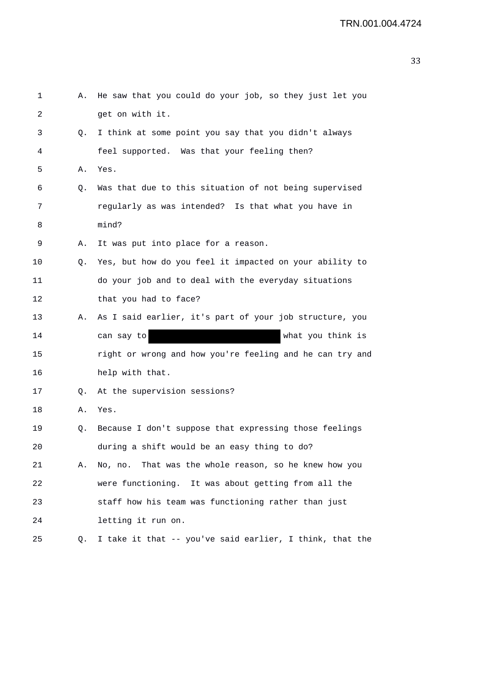| 1  | Α. | He saw that you could do your job, so they just let you  |
|----|----|----------------------------------------------------------|
| 2  |    | get on with it.                                          |
| 3  | Q. | I think at some point you say that you didn't always     |
| 4  |    | feel supported. Was that your feeling then?              |
| 5  | Α. | Yes.                                                     |
| 6  | Q. | Was that due to this situation of not being supervised   |
| 7  |    | regularly as was intended? Is that what you have in      |
| 8  |    | mind?                                                    |
| 9  | Α. | It was put into place for a reason.                      |
| 10 | Q. | Yes, but how do you feel it impacted on your ability to  |
| 11 |    | do your job and to deal with the everyday situations     |
| 12 |    | that you had to face?                                    |
| 13 | Α. | As I said earlier, it's part of your job structure, you  |
| 14 |    | what you think is<br>can say to                          |
| 15 |    | right or wrong and how you're feeling and he can try and |
| 16 |    | help with that.                                          |
| 17 | Q. | At the supervision sessions?                             |
| 18 | Α. | Yes.                                                     |
| 19 | Q. | Because I don't suppose that expressing those feelings   |
| 20 |    | during a shift would be an easy thing to do?             |
| 21 | Α. | No, no. That was the whole reason, so he knew how you    |
| 22 |    | were functioning. It was about getting from all the      |
| 23 |    | staff how his team was functioning rather than just      |
| 24 |    | letting it run on.                                       |
| 25 | Q. | I take it that -- you've said earlier, I think, that the |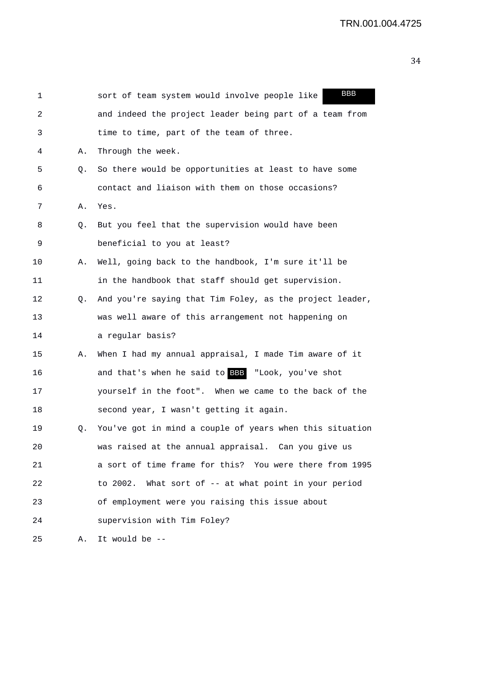| 1  |    | BBB<br>sort of team system would involve people like     |
|----|----|----------------------------------------------------------|
| 2  |    | and indeed the project leader being part of a team from  |
| 3  |    | time to time, part of the team of three.                 |
| 4  | Α. | Through the week.                                        |
| 5  | Q. | So there would be opportunities at least to have some    |
| 6  |    | contact and liaison with them on those occasions?        |
| 7  | Α. | Yes.                                                     |
| 8  | Q. | But you feel that the supervision would have been        |
| 9  |    | beneficial to you at least?                              |
| 10 | Α. | Well, going back to the handbook, I'm sure it'll be      |
| 11 |    | in the handbook that staff should get supervision.       |
| 12 | Q. | And you're saying that Tim Foley, as the project leader, |
| 13 |    | was well aware of this arrangement not happening on      |
| 14 |    | a regular basis?                                         |
| 15 | Α. | When I had my annual appraisal, I made Tim aware of it   |
| 16 |    | and that's when he said to BBB "Look, you've shot        |
| 17 |    | yourself in the foot". When we came to the back of the   |
| 18 |    | second year, I wasn't getting it again.                  |
| 19 | Q. | You've got in mind a couple of years when this situation |
| 20 |    | was raised at the annual appraisal. Can you give us      |
| 21 |    | a sort of time frame for this? You were there from 1995  |
| 22 |    | to 2002. What sort of -- at what point in your period    |
| 23 |    | of employment were you raising this issue about          |
| 24 |    | supervision with Tim Foley?                              |
| 25 | Α. | It would be --                                           |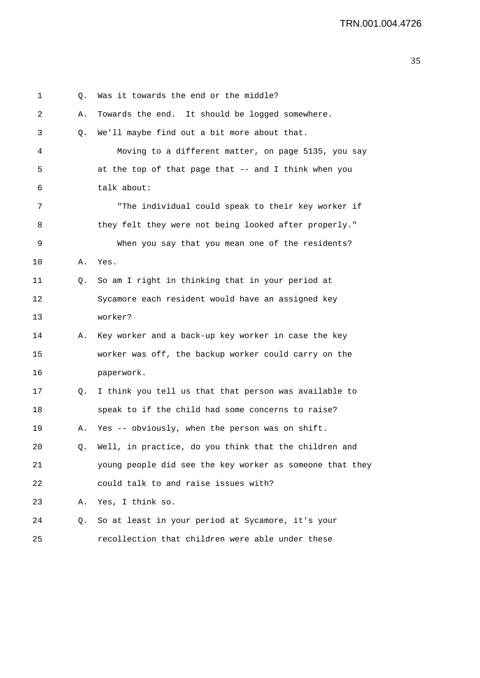1 0. Was it towards the end or the middle? 2 A. Towards the end. It should be logged somewhere. 3 Q. We'll maybe find out a bit more about that. 4 Moving to a different matter, on page 5135, you say 5 at the top of that page that -- and I think when you 6 talk about: 7 "The individual could speak to their key worker if 8 they felt they were not being looked after properly." 9 When you say that you mean one of the residents? 10 A. Yes. 11 Q. So am I right in thinking that in your period at 12 Sycamore each resident would have an assigned key 13 worker? 14 A. Key worker and a back-up key worker in case the key 15 worker was off, the backup worker could carry on the 16 paperwork. 17 Q. I think you tell us that that person was available to 18 speak to if the child had some concerns to raise? 19 A. Yes -- obviously, when the person was on shift. 20 Q. Well, in practice, do you think that the children and 21 young people did see the key worker as someone that they 22 could talk to and raise issues with? 23 A. Yes, I think so. 24 Q. So at least in your period at Sycamore, it's your 25 recollection that children were able under these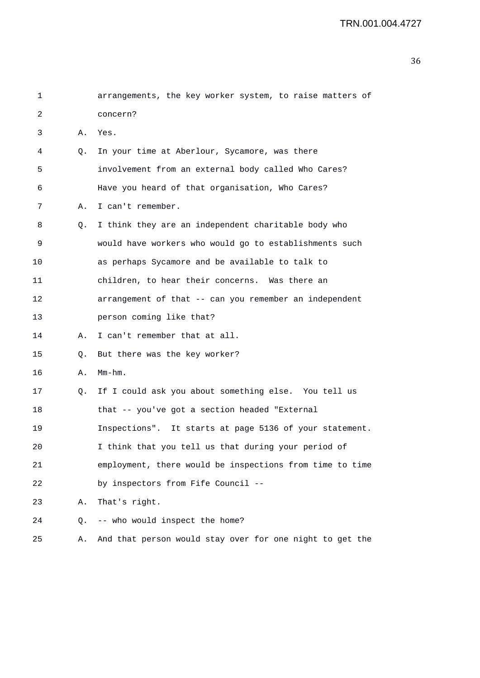| 1  |    | arrangements, the key worker system, to raise matters of |
|----|----|----------------------------------------------------------|
| 2  |    | concern?                                                 |
| 3  | Α. | Yes.                                                     |
| 4  | Q. | In your time at Aberlour, Sycamore, was there            |
| 5  |    | involvement from an external body called Who Cares?      |
| 6  |    | Have you heard of that organisation, Who Cares?          |
| 7  | Α. | I can't remember.                                        |
| 8  | Q. | I think they are an independent charitable body who      |
| 9  |    | would have workers who would go to establishments such   |
| 10 |    | as perhaps Sycamore and be available to talk to          |
| 11 |    | children, to hear their concerns. Was there an           |
| 12 |    | arrangement of that -- can you remember an independent   |
| 13 |    | person coming like that?                                 |
| 14 | А. | I can't remember that at all.                            |
| 15 | Q. | But there was the key worker?                            |
| 16 | Α. | $Mm-hm$ .                                                |
| 17 | Q. | If I could ask you about something else. You tell us     |
| 18 |    | that -- you've got a section headed "External            |
| 19 |    | Inspections". It starts at page 5136 of your statement.  |
| 20 |    | I think that you tell us that during your period of      |
| 21 |    | employment, there would be inspections from time to time |
| 22 |    | by inspectors from Fife Council --                       |
| 23 | Α. | That's right.                                            |
| 24 | Q. | -- who would inspect the home?                           |
| 25 | Α. | And that person would stay over for one night to get the |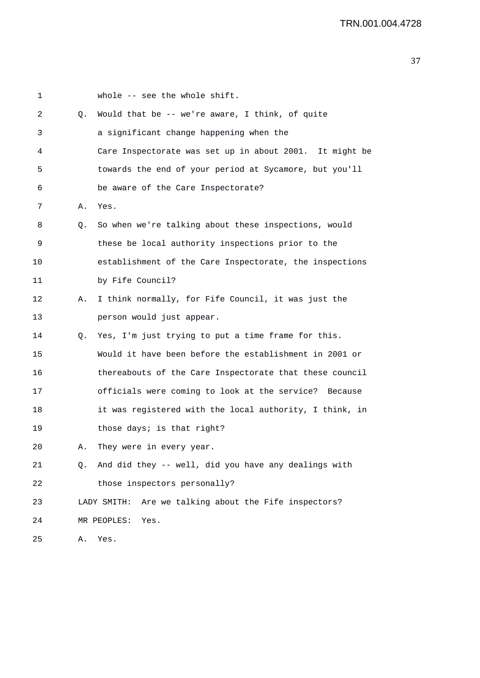| 1  |    | whole -- see the whole shift.                            |
|----|----|----------------------------------------------------------|
| 2  | Q. | Would that be -- we're aware, I think, of quite          |
| 3  |    | a significant change happening when the                  |
| 4  |    | Care Inspectorate was set up in about 2001. It might be  |
| 5  |    | towards the end of your period at Sycamore, but you'll   |
| 6  |    | be aware of the Care Inspectorate?                       |
| 7  | Α. | Yes.                                                     |
| 8  | Q. | So when we're talking about these inspections, would     |
| 9  |    | these be local authority inspections prior to the        |
| 10 |    | establishment of the Care Inspectorate, the inspections  |
| 11 |    | by Fife Council?                                         |
| 12 | Α. | I think normally, for Fife Council, it was just the      |
| 13 |    | person would just appear.                                |
| 14 | Q. | Yes, I'm just trying to put a time frame for this.       |
| 15 |    | Would it have been before the establishment in 2001 or   |
| 16 |    | thereabouts of the Care Inspectorate that these council  |
| 17 |    | officials were coming to look at the service? Because    |
| 18 |    | it was registered with the local authority, I think, in  |
| 19 |    | those days; is that right?                               |
| 20 |    | They were in every year.                                 |
| 21 | Q. | And did they -- well, did you have any dealings with     |
| 22 |    | those inspectors personally?                             |
| 23 |    | Are we talking about the Fife inspectors?<br>LADY SMITH: |
| 24 |    | MR PEOPLES:<br>Yes.                                      |
| 25 | Α. | Yes.                                                     |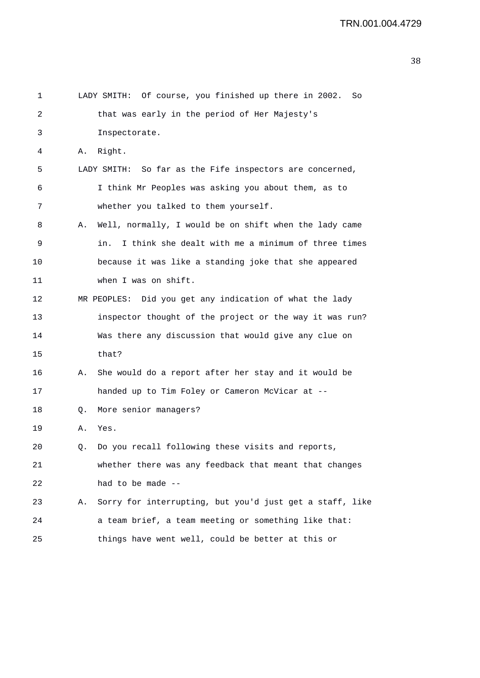```
1 LADY SMITH: Of course, you finished up there in 2002. So 
2 that was early in the period of Her Majesty's 
3 Inspectorate. 
4 A. Right. 
5 LADY SMITH: So far as the Fife inspectors are concerned, 
6 I think Mr Peoples was asking you about them, as to 
7 whether you talked to them yourself. 
8 A. Well, normally, I would be on shift when the lady came 
9 in. I think she dealt with me a minimum of three times 
10 because it was like a standing joke that she appeared 
11 when I was on shift. 
12 MR PEOPLES: Did you get any indication of what the lady 
13 inspector thought of the project or the way it was run? 
14 Was there any discussion that would give any clue on 
15 that? 
16 A. She would do a report after her stay and it would be 
17 handed up to Tim Foley or Cameron McVicar at -- 
18 Q. More senior managers? 
19 A. Yes. 
20 Q. Do you recall following these visits and reports, 
21 whether there was any feedback that meant that changes 
22 had to be made -- 
23 A. Sorry for interrupting, but you'd just get a staff, like 
24 a team brief, a team meeting or something like that: 
25 things have went well, could be better at this or
```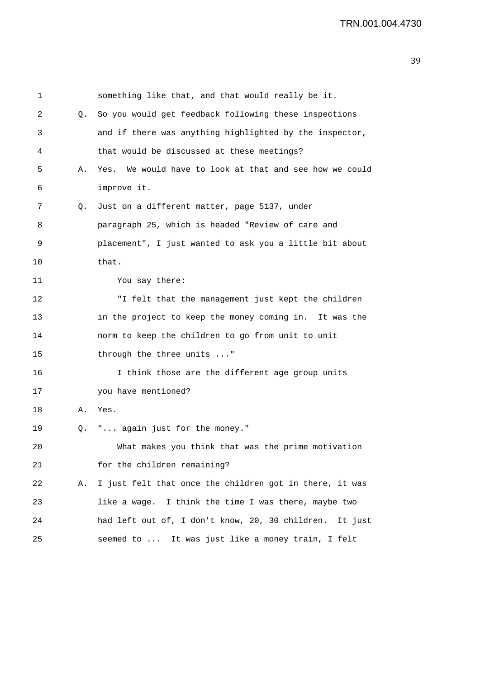| 1  |    | something like that, and that would really be it.       |
|----|----|---------------------------------------------------------|
| 2  | Q. | So you would get feedback following these inspections   |
| 3  |    | and if there was anything highlighted by the inspector, |
| 4  |    | that would be discussed at these meetings?              |
| 5  | Α. | Yes. We would have to look at that and see how we could |
| 6  |    | improve it.                                             |
| 7  | Q. | Just on a different matter, page 5137, under            |
| 8  |    | paragraph 25, which is headed "Review of care and       |
| 9  |    | placement", I just wanted to ask you a little bit about |
| 10 |    | that.                                                   |
| 11 |    | You say there:                                          |
| 12 |    | "I felt that the management just kept the children      |
| 13 |    | in the project to keep the money coming in. It was the  |
| 14 |    | norm to keep the children to go from unit to unit       |
| 15 |    | through the three units "                               |
| 16 |    | I think those are the different age group units         |
| 17 |    | you have mentioned?                                     |
| 18 | Α. | Yes.                                                    |
| 19 | Q. | " again just for the money."                            |
| 20 |    | What makes you think that was the prime motivation      |
| 21 |    | for the children remaining?                             |
| 22 | Α. | I just felt that once the children got in there, it was |
| 23 |    | like a wage. I think the time I was there, maybe two    |
| 24 |    | had left out of, I don't know, 20, 30 children. It just |
| 25 |    | seemed to  It was just like a money train, I felt       |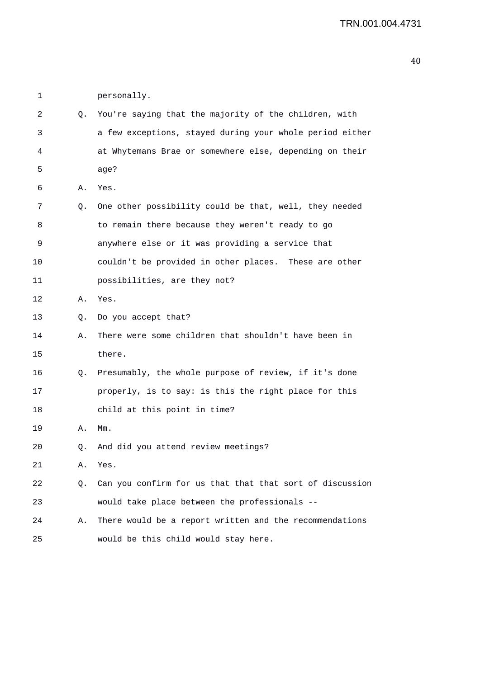1 personally.

| 2  | Q. | You're saying that the majority of the children, with    |
|----|----|----------------------------------------------------------|
| 3  |    | a few exceptions, stayed during your whole period either |
| 4  |    | at Whytemans Brae or somewhere else, depending on their  |
| 5  |    | age?                                                     |
| 6  | Α. | Yes.                                                     |
| 7  | Q. | One other possibility could be that, well, they needed   |
| 8  |    | to remain there because they weren't ready to go         |
| 9  |    | anywhere else or it was providing a service that         |
| 10 |    | couldn't be provided in other places. These are other    |
| 11 |    | possibilities, are they not?                             |
| 12 | Α. | Yes.                                                     |
| 13 | Q. | Do you accept that?                                      |
| 14 | Α. | There were some children that shouldn't have been in     |
| 15 |    | there.                                                   |
| 16 | Q. | Presumably, the whole purpose of review, if it's done    |
| 17 |    | properly, is to say: is this the right place for this    |
| 18 |    | child at this point in time?                             |
| 19 | Α. | Mm.                                                      |
| 20 | Q. | And did you attend review meetings?                      |
| 21 | Α. | Yes.                                                     |
| 22 | Q. | Can you confirm for us that that that sort of discussion |
| 23 |    | would take place between the professionals --            |
| 24 | Α. | There would be a report written and the recommendations  |
| 25 |    | would be this child would stay here.                     |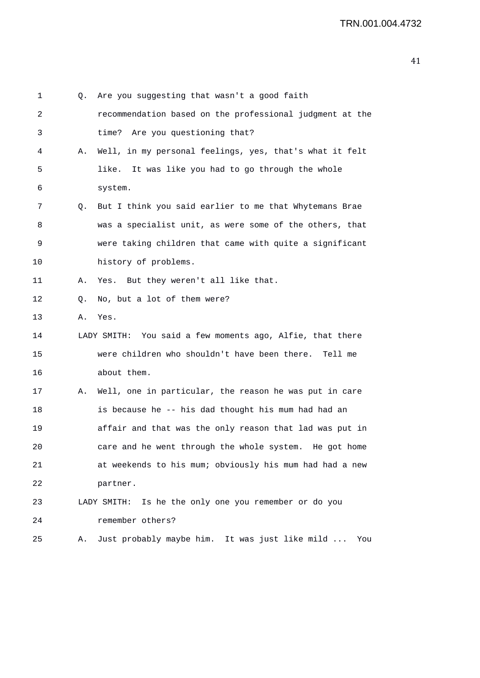| 1  | Q. | Are you suggesting that wasn't a good faith                  |
|----|----|--------------------------------------------------------------|
| 2  |    | recommendation based on the professional judgment at the     |
| 3  |    | Are you questioning that?<br>time?                           |
| 4  | Α. | Well, in my personal feelings, yes, that's what it felt      |
| 5  |    | It was like you had to go through the whole<br>like.         |
| 6  |    | system.                                                      |
| 7  | Q. | But I think you said earlier to me that Whytemans Brae       |
| 8  |    | was a specialist unit, as were some of the others, that      |
| 9  |    | were taking children that came with quite a significant      |
| 10 |    | history of problems.                                         |
| 11 | Α. | Yes. But they weren't all like that.                         |
| 12 | Q. | No, but a lot of them were?                                  |
| 13 | Α. | Yes.                                                         |
| 14 |    | You said a few moments ago, Alfie, that there<br>LADY SMITH: |
| 15 |    | were children who shouldn't have been there.<br>Tell me      |
| 16 |    | about them.                                                  |
| 17 | Α. | Well, one in particular, the reason he was put in care       |
| 18 |    | is because he -- his dad thought his mum had had an          |
| 19 |    | affair and that was the only reason that lad was put in      |
| 20 |    | care and he went through the whole system. He got home       |
| 21 |    | at weekends to his mum; obviously his mum had had a new      |
| 22 |    | partner.                                                     |
| 23 |    | LADY SMITH: Is he the only one you remember or do you        |
| 24 |    | remember others?                                             |
| 25 | Α. | Just probably maybe him. It was just like mild<br>You        |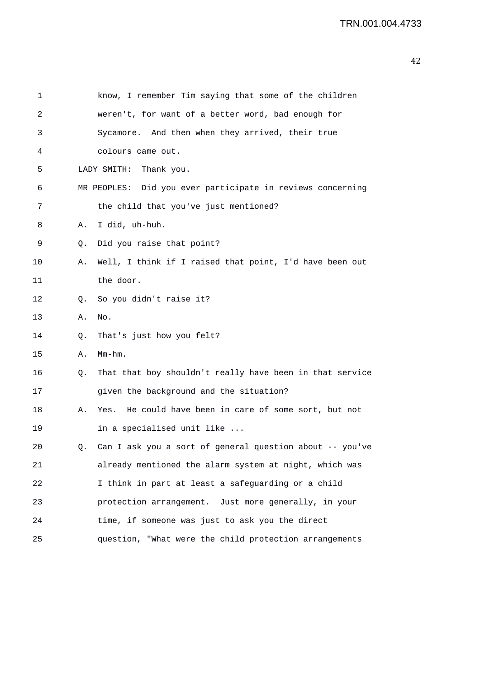| 1  |    | know, I remember Tim saying that some of the children      |
|----|----|------------------------------------------------------------|
| 2  |    | weren't, for want of a better word, bad enough for         |
| 3  |    | Sycamore. And then when they arrived, their true           |
| 4  |    | colours came out.                                          |
| 5  |    | LADY SMITH:<br>Thank you.                                  |
| 6  |    | MR PEOPLES: Did you ever participate in reviews concerning |
| 7  |    | the child that you've just mentioned?                      |
| 8  | Α. | I did, uh-huh.                                             |
| 9  | Q. | Did you raise that point?                                  |
| 10 | Α. | Well, I think if I raised that point, I'd have been out    |
| 11 |    | the door.                                                  |
| 12 | Q. | So you didn't raise it?                                    |
| 13 | Α. | No.                                                        |
| 14 | Q. | That's just how you felt?                                  |
| 15 | Α. | $Mm-hm$ .                                                  |
| 16 | Q. | That that boy shouldn't really have been in that service   |
| 17 |    | given the background and the situation?                    |
| 18 | Α. | Yes. He could have been in care of some sort, but not      |
| 19 |    | in a specialised unit like                                 |
| 20 | Q. | Can I ask you a sort of general question about -- you've   |
| 21 |    | already mentioned the alarm system at night, which was     |
| 22 |    | I think in part at least a safeguarding or a child         |
| 23 |    | protection arrangement. Just more generally, in your       |
| 24 |    | time, if someone was just to ask you the direct            |
| 25 |    | question, "What were the child protection arrangements     |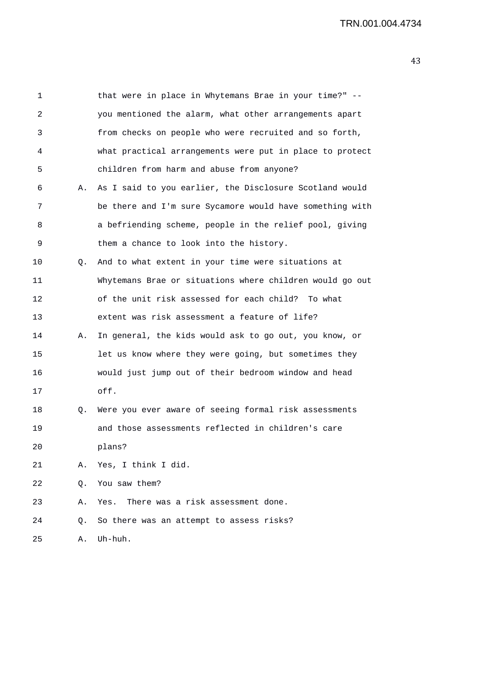| 1  |    | that were in place in Whytemans Brae in your time?" --   |
|----|----|----------------------------------------------------------|
| 2  |    | you mentioned the alarm, what other arrangements apart   |
| 3  |    | from checks on people who were recruited and so forth,   |
| 4  |    | what practical arrangements were put in place to protect |
| 5  |    | children from harm and abuse from anyone?                |
| 6  | Α. | As I said to you earlier, the Disclosure Scotland would  |
| 7  |    | be there and I'm sure Sycamore would have something with |
| 8  |    | a befriending scheme, people in the relief pool, giving  |
| 9  |    | them a chance to look into the history.                  |
| 10 | Q. | And to what extent in your time were situations at       |
| 11 |    | Whytemans Brae or situations where children would go out |
| 12 |    | of the unit risk assessed for each child? To what        |
| 13 |    | extent was risk assessment a feature of life?            |
| 14 | А. | In general, the kids would ask to go out, you know, or   |
| 15 |    | let us know where they were going, but sometimes they    |
| 16 |    | would just jump out of their bedroom window and head     |
| 17 |    | off.                                                     |
| 18 | Q. | Were you ever aware of seeing formal risk assessments    |
| 19 |    | and those assessments reflected in children's care       |
| 20 |    | plans?                                                   |
| 21 | Α. | Yes, I think I did.                                      |
| 22 | О. | You saw them?                                            |
| 23 | Α. | Yes. There was a risk assessment done.                   |
| 24 | Q. | So there was an attempt to assess risks?                 |
| 25 | Α. | Uh-huh.                                                  |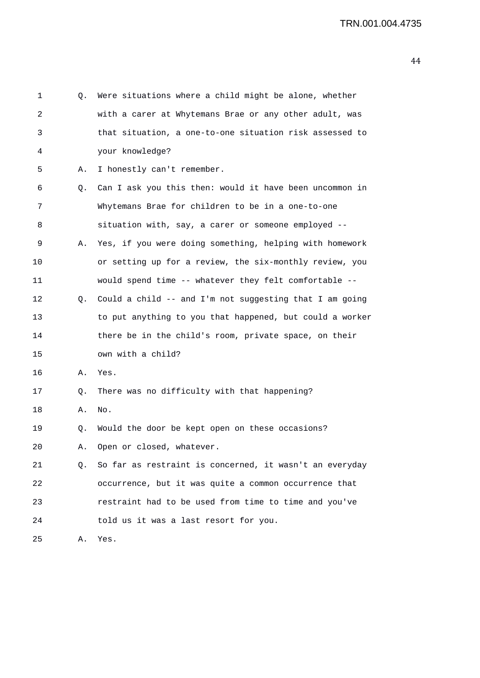| 1  | Q. | Were situations where a child might be alone, whether    |
|----|----|----------------------------------------------------------|
| 2  |    | with a carer at Whytemans Brae or any other adult, was   |
| 3  |    | that situation, a one-to-one situation risk assessed to  |
| 4  |    | your knowledge?                                          |
| 5. | Α. | I honestly can't remember.                               |
| 6  | Q. | Can I ask you this then: would it have been uncommon in  |
| 7  |    | Whytemans Brae for children to be in a one-to-one        |
| 8  |    | situation with, say, a carer or someone employed --      |
| 9  | Α. | Yes, if you were doing something, helping with homework  |
| 10 |    | or setting up for a review, the six-monthly review, you  |
| 11 |    | would spend time -- whatever they felt comfortable --    |
| 12 | Q. | Could a child -- and I'm not suggesting that I am going  |
| 13 |    | to put anything to you that happened, but could a worker |
| 14 |    | there be in the child's room, private space, on their    |
| 15 |    | own with a child?                                        |
| 16 | Α. | Yes.                                                     |
| 17 | Q. | There was no difficulty with that happening?             |
| 18 | Α. | No.                                                      |
| 19 | Q. | Would the door be kept open on these occasions?          |
| 20 |    | A. Open or closed, whatever.                             |
| 21 | Q. | So far as restraint is concerned, it wasn't an everyday  |
| 22 |    | occurrence, but it was quite a common occurrence that    |
| 23 |    | restraint had to be used from time to time and you've    |
| 24 |    | told us it was a last resort for you.                    |
| 25 | Α. | Yes.                                                     |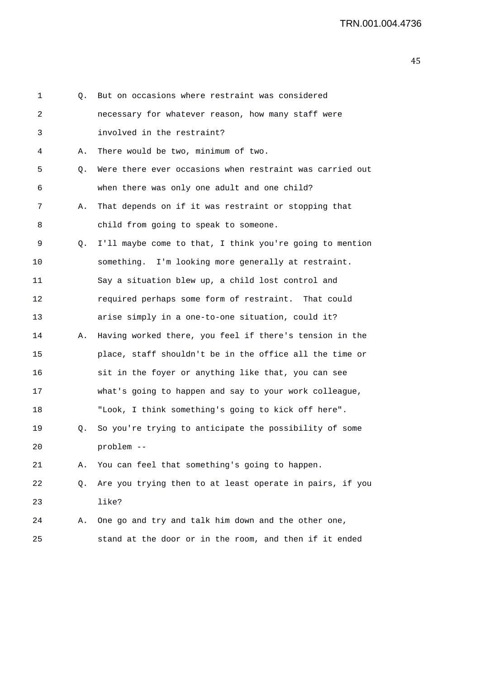1 Q. But on occasions where restraint was considered 2 necessary for whatever reason, how many staff were 3 involved in the restraint? 4 A. There would be two, minimum of two. 5 Q. Were there ever occasions when restraint was carried out 6 when there was only one adult and one child? 7 A. That depends on if it was restraint or stopping that 8 child from going to speak to someone. 9 Q. I'll maybe come to that, I think you're going to mention 10 something. I'm looking more generally at restraint. 11 Say a situation blew up, a child lost control and 12 required perhaps some form of restraint. That could 13 arise simply in a one-to-one situation, could it? 14 A. Having worked there, you feel if there's tension in the 15 place, staff shouldn't be in the office all the time or 16 sit in the foyer or anything like that, you can see 17 what's going to happen and say to your work colleague, 18 "Look, I think something's going to kick off here". 19 Q. So you're trying to anticipate the possibility of some 20 problem -- 21 A. You can feel that something's going to happen. 22 Q. Are you trying then to at least operate in pairs, if you 23 like? 24 A. One go and try and talk him down and the other one, 25 stand at the door or in the room, and then if it ended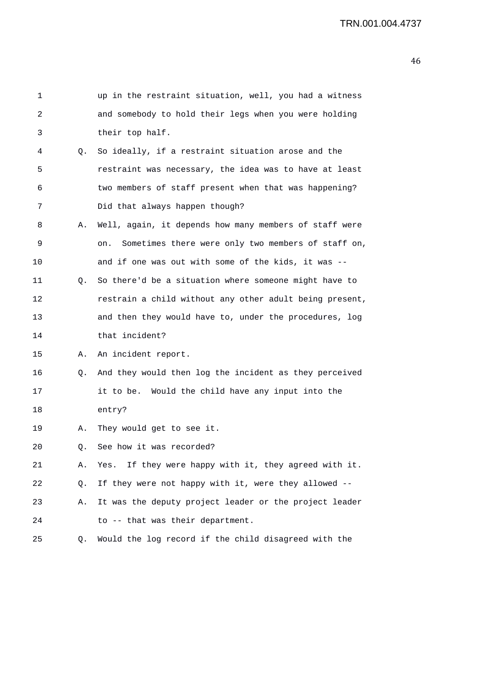| 1  |           | up in the restraint situation, well, you had a witness    |
|----|-----------|-----------------------------------------------------------|
| 2  |           | and somebody to hold their legs when you were holding     |
| 3  |           | their top half.                                           |
| 4  | Q.        | So ideally, if a restraint situation arose and the        |
| 5  |           | restraint was necessary, the idea was to have at least    |
| 6  |           | two members of staff present when that was happening?     |
| 7  |           | Did that always happen though?                            |
| 8  | Α.        | Well, again, it depends how many members of staff were    |
| 9  |           | Sometimes there were only two members of staff on,<br>on. |
| 10 |           | and if one was out with some of the kids, it was --       |
| 11 | Q.        | So there'd be a situation where someone might have to     |
| 12 |           | restrain a child without any other adult being present,   |
| 13 |           | and then they would have to, under the procedures, log    |
| 14 |           | that incident?                                            |
| 15 | А.        | An incident report.                                       |
| 16 | Q.        | And they would then log the incident as they perceived    |
| 17 |           | it to be. Would the child have any input into the         |
| 18 |           | entry?                                                    |
| 19 | Α.        | They would get to see it.                                 |
| 20 | $\circ$ . | See how it was recorded?                                  |
| 21 | Α.        | If they were happy with it, they agreed with it.<br>Yes.  |
| 22 | Q.        | If they were not happy with it, were they allowed --      |
| 23 | Α.        | It was the deputy project leader or the project leader    |
| 24 |           | to -- that was their department.                          |
| 25 | Q.        | Would the log record if the child disagreed with the      |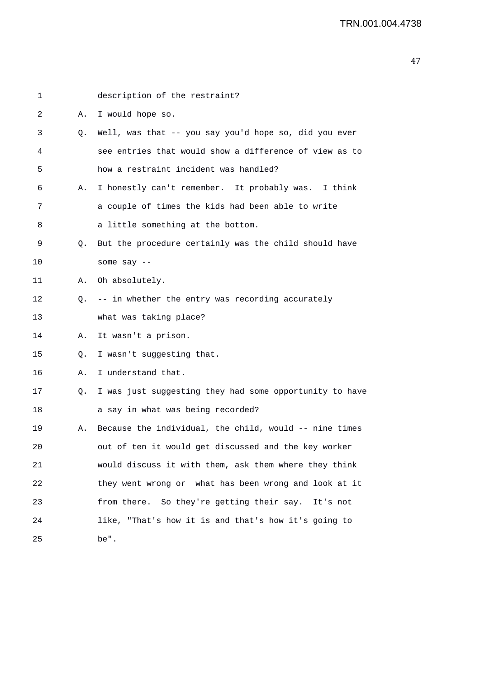| 1  |    | description of the restraint?                           |
|----|----|---------------------------------------------------------|
| 2  | Α. | I would hope so.                                        |
| 3  | Q. | Well, was that -- you say you'd hope so, did you ever   |
| 4  |    | see entries that would show a difference of view as to  |
| 5  |    | how a restraint incident was handled?                   |
| 6  | Α. | I honestly can't remember. It probably was. I think     |
| 7  |    | a couple of times the kids had been able to write       |
| 8  |    | a little something at the bottom.                       |
| 9  | Q. | But the procedure certainly was the child should have   |
| 10 |    | some say $--$                                           |
| 11 | Α. | Oh absolutely.                                          |
| 12 | Q. | -- in whether the entry was recording accurately        |
| 13 |    | what was taking place?                                  |
| 14 | Α. | It wasn't a prison.                                     |
| 15 | Q. | I wasn't suggesting that.                               |
| 16 | Α. | I understand that.                                      |
| 17 | Q. | I was just suggesting they had some opportunity to have |
| 18 |    | a say in what was being recorded?                       |
| 19 | Α. | Because the individual, the child, would -- nine times  |
| 20 |    | out of ten it would get discussed and the key worker    |
| 21 |    | would discuss it with them, ask them where they think   |
| 22 |    | they went wrong or what has been wrong and look at it   |
| 23 |    | from there. So they're getting their say. It's not      |
| 24 |    | like, "That's how it is and that's how it's going to    |
| 25 |    | be".                                                    |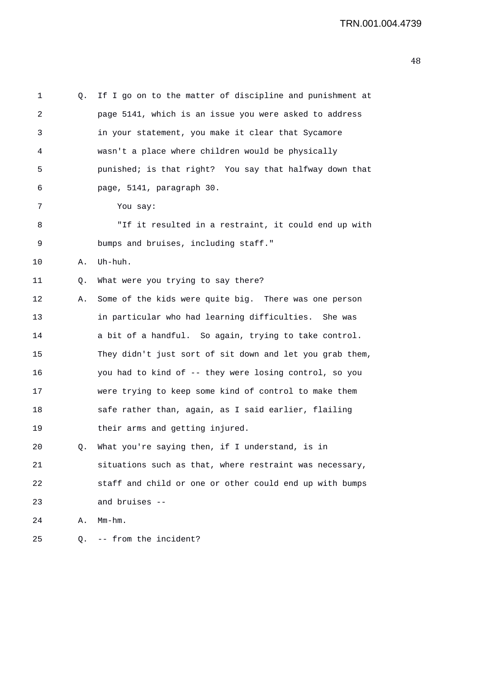|    | page 5141, which is an issue you were asked to address   |
|----|----------------------------------------------------------|
|    | in your statement, you make it clear that Sycamore       |
|    | wasn't a place where children would be physically        |
|    | punished; is that right? You say that halfway down that  |
|    | page, 5141, paragraph 30.                                |
|    | You say:                                                 |
|    | "If it resulted in a restraint, it could end up with     |
|    | bumps and bruises, including staff."                     |
| Α. | Uh-huh.                                                  |
| Q. | What were you trying to say there?                       |
| Α. | Some of the kids were quite big. There was one person    |
|    | in particular who had learning difficulties. She was     |
|    | a bit of a handful. So again, trying to take control.    |
|    | They didn't just sort of sit down and let you grab them, |
|    | you had to kind of -- they were losing control, so you   |
|    | were trying to keep some kind of control to make them    |
|    | safe rather than, again, as I said earlier, flailing     |
|    | their arms and getting injured.                          |
| Q. | What you're saying then, if I understand, is in          |
|    | situations such as that, where restraint was necessary,  |
|    | staff and child or one or other could end up with bumps  |
|    | and bruises --                                           |
| Α. | $Mm-hm$ .                                                |
| Q. | -- from the incident?                                    |
|    |                                                          |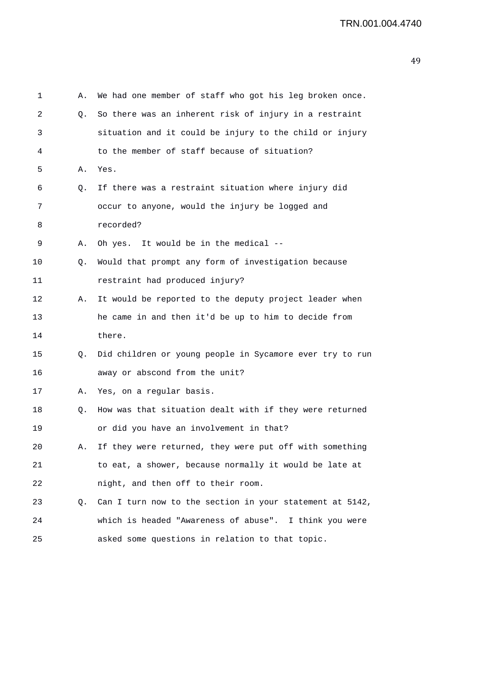| 1  | Α. | We had one member of staff who got his leg broken once.  |
|----|----|----------------------------------------------------------|
| 2  | Q. | So there was an inherent risk of injury in a restraint   |
| 3  |    | situation and it could be injury to the child or injury  |
| 4  |    | to the member of staff because of situation?             |
| 5  | Α. | Yes.                                                     |
| 6  | Q. | If there was a restraint situation where injury did      |
| 7  |    | occur to anyone, would the injury be logged and          |
| 8  |    | recorded?                                                |
| 9  | Α. | It would be in the medical --<br>Oh yes.                 |
| 10 | Q. | Would that prompt any form of investigation because      |
| 11 |    | restraint had produced injury?                           |
| 12 | Α. | It would be reported to the deputy project leader when   |
| 13 |    | he came in and then it'd be up to him to decide from     |
| 14 |    | there.                                                   |
| 15 | Q. | Did children or young people in Sycamore ever try to run |
| 16 |    | away or abscond from the unit?                           |
| 17 | Α. | Yes, on a regular basis.                                 |
| 18 | Q. | How was that situation dealt with if they were returned  |
| 19 |    | or did you have an involvement in that?                  |
| 20 | Α. | If they were returned, they were put off with something  |
| 21 |    | to eat, a shower, because normally it would be late at   |
| 22 |    | night, and then off to their room.                       |
| 23 | Q. | Can I turn now to the section in your statement at 5142, |
| 24 |    | which is headed "Awareness of abuse". I think you were   |
| 25 |    | asked some questions in relation to that topic.          |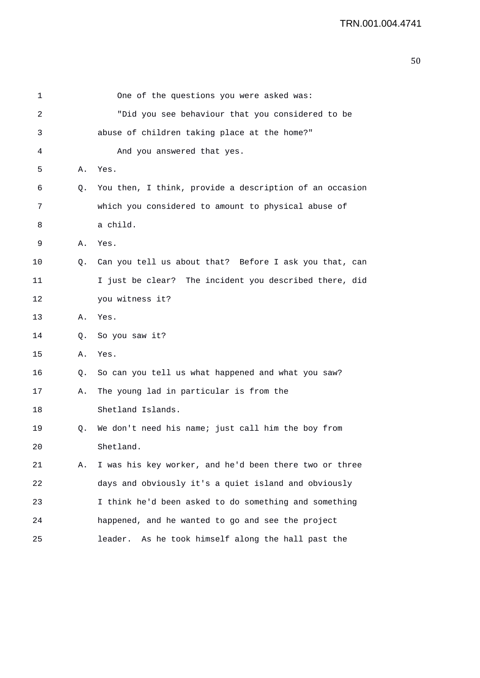| 1  |           | One of the questions you were asked was:                |
|----|-----------|---------------------------------------------------------|
| 2  |           | "Did you see behaviour that you considered to be        |
| 3  |           | abuse of children taking place at the home?"            |
| 4  |           | And you answered that yes.                              |
| 5  | Α.        | Yes.                                                    |
| 6  | Q.        | You then, I think, provide a description of an occasion |
| 7  |           | which you considered to amount to physical abuse of     |
| 8  |           | a child.                                                |
| 9  | А.        | Yes.                                                    |
| 10 | Q.        | Can you tell us about that? Before I ask you that, can  |
| 11 |           | I just be clear? The incident you described there, did  |
| 12 |           | you witness it?                                         |
| 13 | А.        | Yes.                                                    |
| 14 | $\circ$ . | So you saw it?                                          |
| 15 | Α.        | Yes.                                                    |
| 16 | Q.        | So can you tell us what happened and what you saw?      |
| 17 | Α.        | The young lad in particular is from the                 |
| 18 |           | Shetland Islands.                                       |
| 19 | Q.        | We don't need his name; just call him the boy from      |
| 20 |           | Shetland.                                               |
| 21 | Α.        | I was his key worker, and he'd been there two or three  |
| 22 |           | days and obviously it's a quiet island and obviously    |
| 23 |           | I think he'd been asked to do something and something   |
| 24 |           | happened, and he wanted to go and see the project       |
| 25 |           | leader.<br>As he took himself along the hall past the   |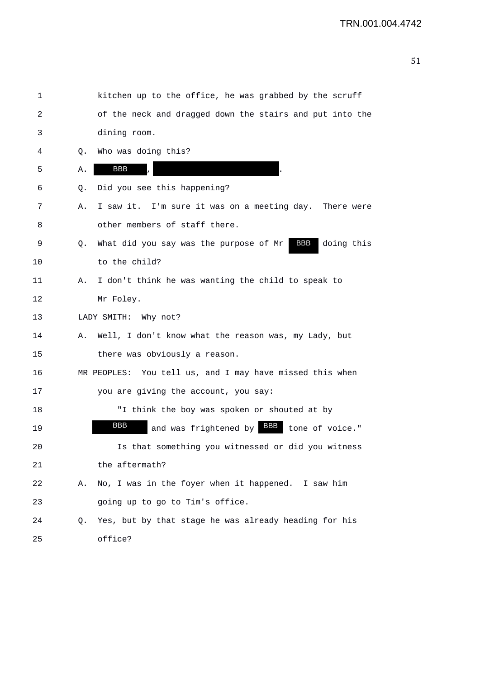| 1  |    | kitchen up to the office, he was grabbed by the scruff         |
|----|----|----------------------------------------------------------------|
| 2  |    | of the neck and dragged down the stairs and put into the       |
| 3  |    | dining room.                                                   |
| 4  | Q. | Who was doing this?                                            |
| 5  | Α. | BBB                                                            |
| 6  | Q. | Did you see this happening?                                    |
| 7  | Α. | I saw it. I'm sure it was on a meeting day. There were         |
| 8  |    | other members of staff there.                                  |
| 9  | Q. | BBB<br>What did you say was the purpose of Mr<br>doing this    |
| 10 |    | to the child?                                                  |
| 11 | Α. | I don't think he was wanting the child to speak to             |
| 12 |    | Mr Foley.                                                      |
| 13 |    | LADY SMITH: Why not?                                           |
| 14 | Α. | Well, I don't know what the reason was, my Lady, but           |
| 15 |    | there was obviously a reason.                                  |
| 16 |    | MR PEOPLES: You tell us, and I may have missed this when       |
| 17 |    | you are giving the account, you say:                           |
| 18 |    | "I think the boy was spoken or shouted at by                   |
| 19 |    | <b>BBB</b><br>and was frightened by <b>BBB</b> tone of voice." |
| 20 |    | Is that something you witnessed or did you witness             |
| 21 |    | the aftermath?                                                 |
| 22 | Α. | No, I was in the foyer when it happened. I saw him             |
| 23 |    | going up to go to Tim's office.                                |
| 24 | Q. | Yes, but by that stage he was already heading for his          |
| 25 |    | office?                                                        |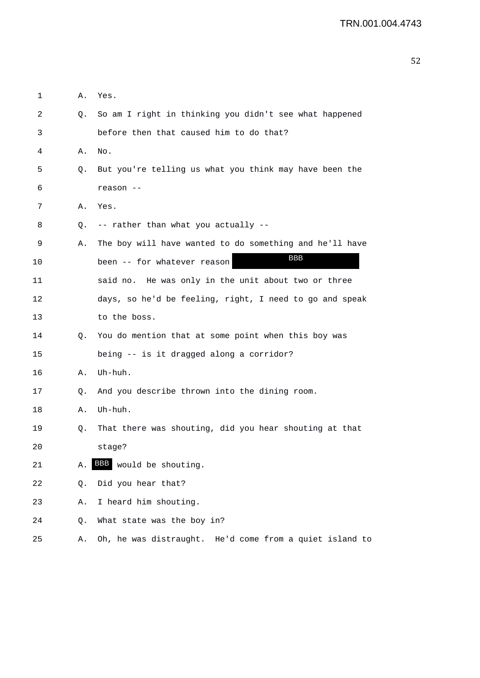| 1  | Α. | Yes.                                                    |
|----|----|---------------------------------------------------------|
| 2  | Q. | So am I right in thinking you didn't see what happened  |
| 3  |    | before then that caused him to do that?                 |
| 4  | Α. | No.                                                     |
| 5  | Q. | But you're telling us what you think may have been the  |
| 6  |    | reason --                                               |
| 7  | Α. | Yes.                                                    |
| 8  | Q. | -- rather than what you actually --                     |
| 9  | Α. | The boy will have wanted to do something and he'll have |
| 10 |    | BBB<br>been -- for whatever reason                      |
| 11 |    | said no. He was only in the unit about two or three     |
| 12 |    | days, so he'd be feeling, right, I need to go and speak |
| 13 |    | to the boss.                                            |
| 14 | Q. | You do mention that at some point when this boy was     |
| 15 |    | being -- is it dragged along a corridor?                |
| 16 | Α. | Uh-huh.                                                 |
| 17 | Q. | And you describe thrown into the dining room.           |
| 18 | А. | Uh-huh.                                                 |
| 19 | Q. | That there was shouting, did you hear shouting at that  |
| 20 |    | stage?                                                  |
| 21 | Α. | BBB<br>would be shouting.                               |
| 22 | Q. | Did you hear that?                                      |
| 23 | Α. | I heard him shouting.                                   |
| 24 | Q. | What state was the boy in?                              |
| 25 | Α. | Oh, he was distraught. He'd come from a quiet island to |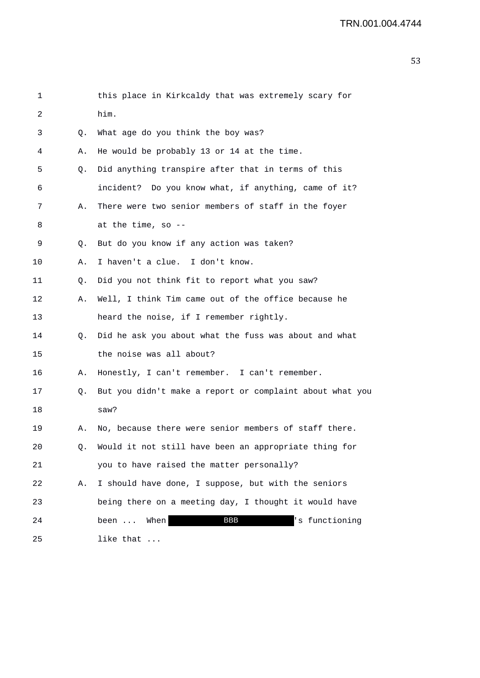| 1  |    | this place in Kirkcaldy that was extremely scary for     |
|----|----|----------------------------------------------------------|
| 2  |    | him.                                                     |
| 3  | Q. | What age do you think the boy was?                       |
| 4  | Α. | He would be probably 13 or 14 at the time.               |
| 5  | Q. | Did anything transpire after that in terms of this       |
| 6  |    | incident? Do you know what, if anything, came of it?     |
| 7  | Α. | There were two senior members of staff in the foyer      |
| 8  |    | at the time, so $-$ -                                    |
| 9  | Q. | But do you know if any action was taken?                 |
| 10 | Α. | I haven't a clue. I don't know.                          |
| 11 | Q. | Did you not think fit to report what you saw?            |
| 12 | Α. | Well, I think Tim came out of the office because he      |
| 13 |    | heard the noise, if I remember rightly.                  |
| 14 | Q. | Did he ask you about what the fuss was about and what    |
| 15 |    | the noise was all about?                                 |
| 16 | Α. | Honestly, I can't remember. I can't remember.            |
| 17 | Q. | But you didn't make a report or complaint about what you |
| 18 |    | saw?                                                     |
| 19 | Α. | No, because there were senior members of staff there.    |
| 20 | Q. | Would it not still have been an appropriate thing for    |
| 21 |    | you to have raised the matter personally?                |
| 22 | Α. | I should have done, I suppose, but with the seniors      |
| 23 |    | being there on a meeting day, I thought it would have    |
| 24 |    | <b>BBB</b><br>'s functioning<br>When<br>been             |
| 25 |    | like that                                                |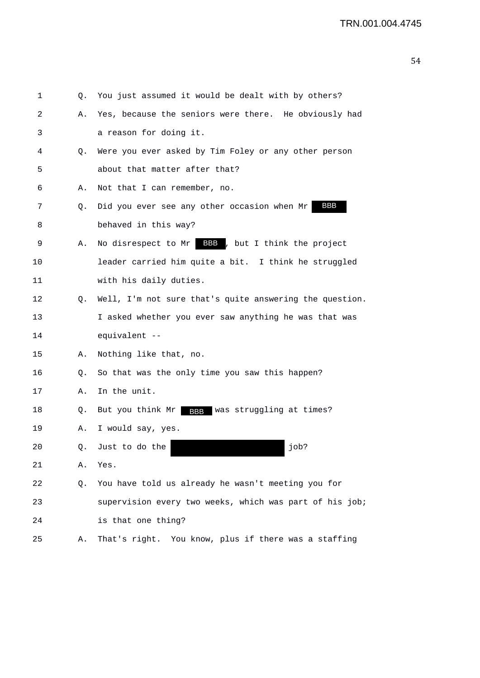| 1  | Q. | You just assumed it would be dealt with by others?         |
|----|----|------------------------------------------------------------|
| 2  | Α. | Yes, because the seniors were there. He obviously had      |
| 3  |    | a reason for doing it.                                     |
| 4  | Q. | Were you ever asked by Tim Foley or any other person       |
| 5  |    | about that matter after that?                              |
| 6  | Α. | Not that I can remember, no.                               |
| 7  | Q. | BBB<br>Did you ever see any other occasion when Mr         |
| 8  |    | behaved in this way?                                       |
| 9  | Α. | No disrespect to Mr BBB, but I think the project           |
| 10 |    | leader carried him quite a bit. I think he struggled       |
| 11 |    | with his daily duties.                                     |
| 12 | Q. | Well, I'm not sure that's quite answering the question.    |
| 13 |    | I asked whether you ever saw anything he was that was      |
| 14 |    | equivalent --                                              |
| 15 | А. | Nothing like that, no.                                     |
| 16 | Q. | So that was the only time you saw this happen?             |
| 17 | Α. | In the unit.                                               |
| 18 | Q. | But you think Mr<br>was struggling at times?<br><b>BBB</b> |
| 19 | Α. | I would say, yes.                                          |
| 20 |    | job?<br>Q. Just to do the                                  |
| 21 | Α. | Yes.                                                       |
| 22 | Q. | You have told us already he wasn't meeting you for         |
| 23 |    | supervision every two weeks, which was part of his job;    |
| 24 |    | is that one thing?                                         |
| 25 | Α. | That's right. You know, plus if there was a staffing       |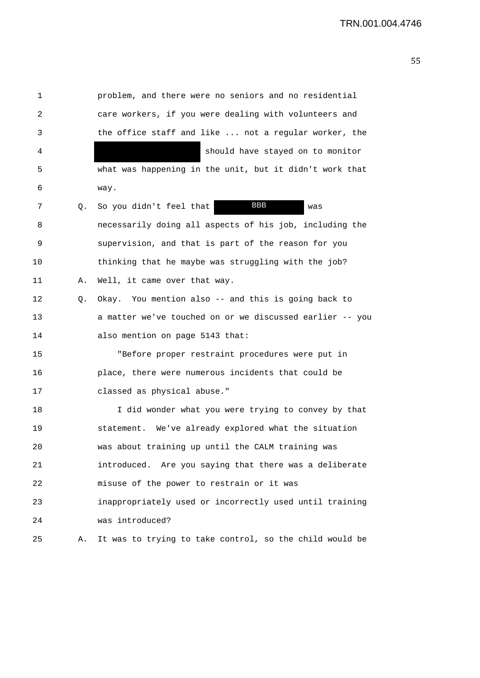1 problem, and there were no seniors and no residential 2 care workers, if you were dealing with volunteers and 3 the office staff and like ... not a regular worker, the 4 should have stayed on to monitor 5 what was happening in the unit, but it didn't work that 6 way. 7 Q. So you didn't feel that **BBB** was 8 necessarily doing all aspects of his job, including the 9 supervision, and that is part of the reason for you 10 thinking that he maybe was struggling with the job? 11 A. Well, it came over that way. 12 Q. Okay. You mention also -- and this is going back to 13 a matter we've touched on or we discussed earlier -- you 14 also mention on page 5143 that: 15 "Before proper restraint procedures were put in 16 place, there were numerous incidents that could be 17 classed as physical abuse." 18 I did wonder what you were trying to convey by that 19 statement. We've already explored what the situation 20 was about training up until the CALM training was 21 introduced. Are you saying that there was a deliberate 22 misuse of the power to restrain or it was 23 inappropriately used or incorrectly used until training 24 was introduced? 25 A. It was to trying to take control, so the child would be BBB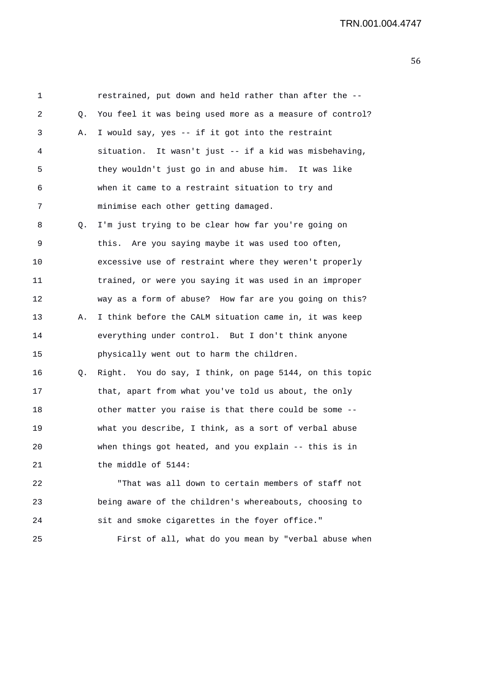1 restrained, put down and held rather than after the -- 2 Q. You feel it was being used more as a measure of control? 3 A. I would say, yes -- if it got into the restraint 4 situation. It wasn't just -- if a kid was misbehaving, 5 they wouldn't just go in and abuse him. It was like 6 when it came to a restraint situation to try and 7 minimise each other getting damaged. 8 Q. I'm just trying to be clear how far you're going on 9 this. Are you saying maybe it was used too often, 10 excessive use of restraint where they weren't properly 11 trained, or were you saying it was used in an improper 12 way as a form of abuse? How far are you going on this? 13 A. I think before the CALM situation came in, it was keep 14 everything under control. But I don't think anyone 15 physically went out to harm the children. 16 Q. Right. You do say, I think, on page 5144, on this topic 17 that, apart from what you've told us about, the only 18 other matter you raise is that there could be some -- 19 what you describe, I think, as a sort of verbal abuse 20 when things got heated, and you explain -- this is in 21 the middle of 5144: 22 "That was all down to certain members of staff not 23 being aware of the children's whereabouts, choosing to 24 sit and smoke cigarettes in the foyer office."

25 First of all, what do you mean by "verbal abuse when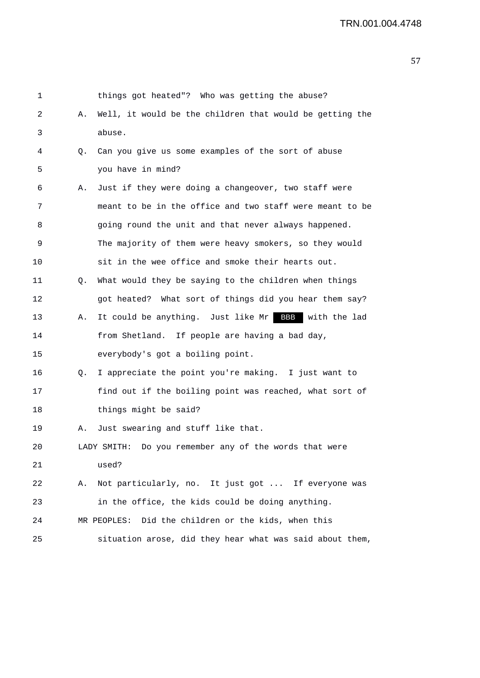|    | things got heated"? Who was getting the abuse?           |
|----|----------------------------------------------------------|
| Α. | Well, it would be the children that would be getting the |
|    | abuse.                                                   |
| Q. | Can you give us some examples of the sort of abuse       |
|    | you have in mind?                                        |
| Α. | Just if they were doing a changeover, two staff were     |
|    | meant to be in the office and two staff were meant to be |
|    | going round the unit and that never always happened.     |
|    | The majority of them were heavy smokers, so they would   |
|    | sit in the wee office and smoke their hearts out.        |
| Q. | What would they be saying to the children when things    |
|    | got heated? What sort of things did you hear them say?   |
| Α. | It could be anything. Just like Mr BBB<br>with the lad   |
|    | from Shetland. If people are having a bad day,           |
|    | everybody's got a boiling point.                         |
| Q. | I appreciate the point you're making. I just want to     |
|    | find out if the boiling point was reached, what sort of  |
|    | things might be said?                                    |
| Α. | Just swearing and stuff like that.                       |
|    | LADY SMITH: Do you remember any of the words that were   |
|    | used?                                                    |
| Α. | Not particularly, no. It just got  If everyone was       |
|    | in the office, the kids could be doing anything.         |
|    | MR PEOPLES: Did the children or the kids, when this      |
|    | situation arose, did they hear what was said about them, |
|    |                                                          |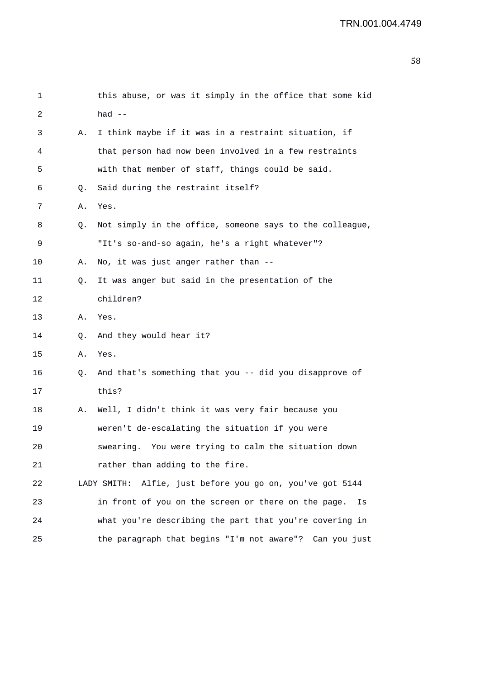```
1 this abuse, or was it simply in the office that some kid 
2 had -- 
3 A. I think maybe if it was in a restraint situation, if 
4 that person had now been involved in a few restraints 
5 with that member of staff, things could be said. 
6 Q. Said during the restraint itself? 
7 A. Yes. 
8 Q. Not simply in the office, someone says to the colleague, 
9 "It's so-and-so again, he's a right whatever"? 
10 A. No, it was just anger rather than -- 
11 Q. It was anger but said in the presentation of the 
12 children? 
13 A. Yes. 
14 Q. And they would hear it? 
15 A. Yes. 
16 Q. And that's something that you -- did you disapprove of
17 this? 
18 A. Well, I didn't think it was very fair because you 
19 weren't de-escalating the situation if you were 
20 swearing. You were trying to calm the situation down 
21 rather than adding to the fire.
22 LADY SMITH: Alfie, just before you go on, you've got 5144 
23 in front of you on the screen or there on the page. Is 
24 what you're describing the part that you're covering in 
25 the paragraph that begins "I'm not aware"? Can you just
```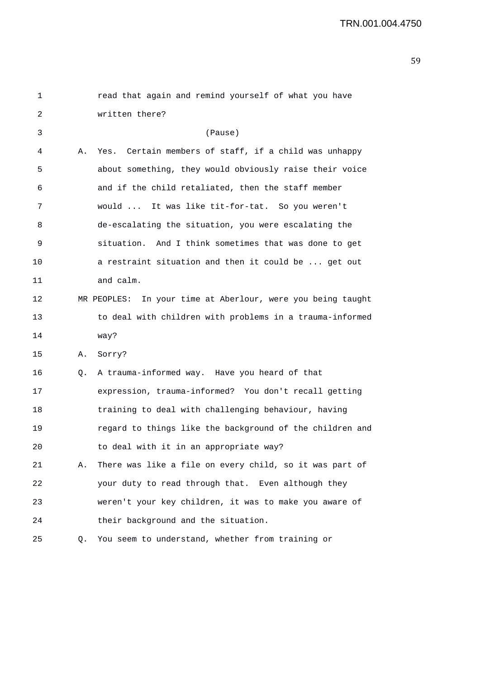| 1  |    | read that again and remind yourself of what you have           |
|----|----|----------------------------------------------------------------|
| 2  |    | written there?                                                 |
| 3  |    | (Pause)                                                        |
| 4  | Α. | Yes. Certain members of staff, if a child was unhappy          |
| 5  |    | about something, they would obviously raise their voice        |
| 6  |    | and if the child retaliated, then the staff member             |
| 7  |    | would  It was like tit-for-tat. So you weren't                 |
| 8  |    | de-escalating the situation, you were escalating the           |
| 9  |    | situation. And I think sometimes that was done to get          |
| 10 |    | a restraint situation and then it could be  get out            |
| 11 |    | and calm.                                                      |
| 12 |    | MR PEOPLES:<br>In your time at Aberlour, were you being taught |
| 13 |    | to deal with children with problems in a trauma-informed       |
| 14 |    | way?                                                           |
| 15 | Α. | Sorry?                                                         |
| 16 | Q. | A trauma-informed way. Have you heard of that                  |
| 17 |    | expression, trauma-informed? You don't recall getting          |
| 18 |    | training to deal with challenging behaviour, having            |
| 19 |    | regard to things like the background of the children and       |
| 20 |    | to deal with it in an appropriate way?                         |
| 21 | Α. | There was like a file on every child, so it was part of        |
| 22 |    | your duty to read through that. Even although they             |
| 23 |    | weren't your key children, it was to make you aware of         |
| 24 |    | their background and the situation.                            |
| 25 | Q. | You seem to understand, whether from training or               |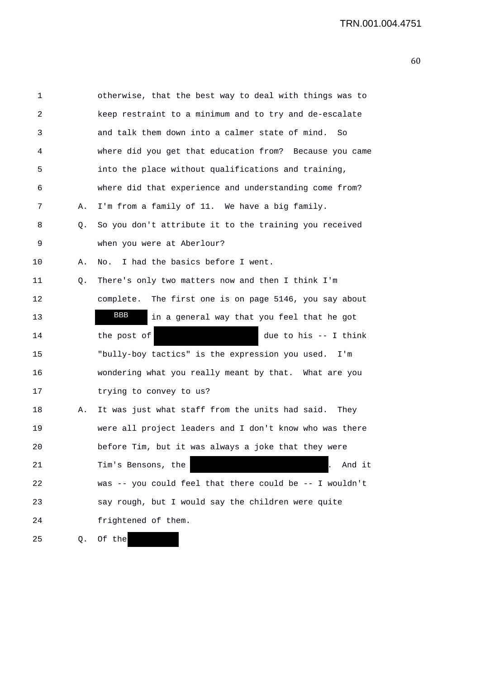| 1  |    | otherwise, that the best way to deal with things was to   |
|----|----|-----------------------------------------------------------|
| 2  |    | keep restraint to a minimum and to try and de-escalate    |
| 3  |    | and talk them down into a calmer state of mind.<br>So     |
| 4  |    | where did you get that education from? Because you came   |
| 5  |    | into the place without qualifications and training,       |
| 6  |    | where did that experience and understanding come from?    |
| 7  | Α. | I'm from a family of 11. We have a big family.            |
| 8  | Q. | So you don't attribute it to the training you received    |
| 9  |    | when you were at Aberlour?                                |
| 10 | Α. | I had the basics before I went.<br>No.                    |
| 11 | Q. | There's only two matters now and then I think I'm         |
| 12 |    | The first one is on page 5146, you say about<br>complete. |
| 13 |    | BBB<br>in a general way that you feel that he got         |
| 14 |    | the post of<br>due to his -- I think                      |
| 15 |    | "bully-boy tactics" is the expression you used. I'm       |
| 16 |    | wondering what you really meant by that. What are you     |
| 17 |    | trying to convey to us?                                   |
| 18 | Α. | It was just what staff from the units had said. They      |
| 19 |    | were all project leaders and I don't know who was there   |
| 20 |    | before Tim, but it was always a joke that they were       |
| 21 |    | Tim's Bensons, the<br>And it                              |
| 22 |    | was -- you could feel that there could be -- I wouldn't   |
| 23 |    | say rough, but I would say the children were quite        |
| 24 |    | frightened of them.                                       |
| 25 | Q. | Of the                                                    |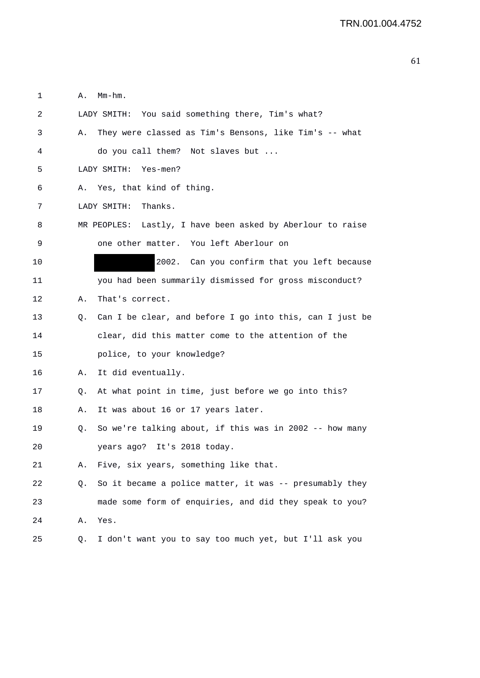1 A. Mm-hm. 2 LADY SMITH: You said something there, Tim's what? 3 A. They were classed as Tim's Bensons, like Tim's -- what 4 do you call them? Not slaves but ... 5 LADY SMITH: Yes-men? 6 A. Yes, that kind of thing. 7 LADY SMITH: Thanks. 8 MR PEOPLES: Lastly, I have been asked by Aberlour to raise 9 one other matter. You left Aberlour on 10 2002. Can you confirm that you left because 11 you had been summarily dismissed for gross misconduct? 12 A. That's correct. 13 Q. Can I be clear, and before I go into this, can I just be 14 clear, did this matter come to the attention of the 15 police, to your knowledge? 16 A. It did eventually. 17 Q. At what point in time, just before we go into this? 18 A. It was about 16 or 17 years later. 19 Q. So we're talking about, if this was in 2002 -- how many 20 years ago? It's 2018 today. 21 A. Five, six years, something like that. 22 Q. So it became a police matter, it was -- presumably they 23 made some form of enquiries, and did they speak to you? 24 A. Yes. 25 Q. I don't want you to say too much yet, but I'll ask you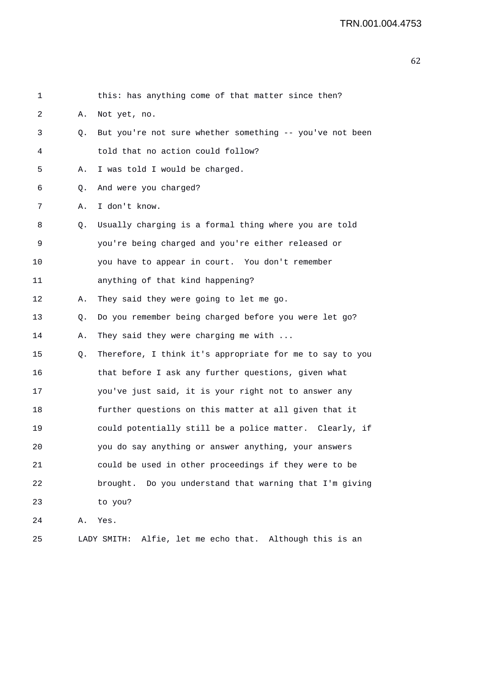| 1  |    | this: has anything come of that matter since then?       |
|----|----|----------------------------------------------------------|
| 2  | Α. | Not yet, no.                                             |
| 3  | Q. | But you're not sure whether something -- you've not been |
| 4  |    | told that no action could follow?                        |
| 5  | Α. | I was told I would be charged.                           |
| 6  | Q. | And were you charged?                                    |
| 7  | Α. | I don't know.                                            |
| 8  | Q. | Usually charging is a formal thing where you are told    |
| 9  |    | you're being charged and you're either released or       |
| 10 |    | you have to appear in court. You don't remember          |
| 11 |    | anything of that kind happening?                         |
| 12 | Α. | They said they were going to let me go.                  |
| 13 | Q. | Do you remember being charged before you were let go?    |
| 14 | Α. | They said they were charging me with                     |
| 15 | Q. | Therefore, I think it's appropriate for me to say to you |
| 16 |    | that before I ask any further questions, given what      |
| 17 |    | you've just said, it is your right not to answer any     |
| 18 |    | further questions on this matter at all given that it    |
| 19 |    | could potentially still be a police matter. Clearly, if  |
| 20 |    | you do say anything or answer anything, your answers     |
| 21 |    | could be used in other proceedings if they were to be    |
| 22 |    | brought. Do you understand that warning that I'm giving  |
| 23 |    | to you?                                                  |
| 24 | Α. | Yes.                                                     |
| 25 |    | LADY SMITH: Alfie, let me echo that. Although this is an |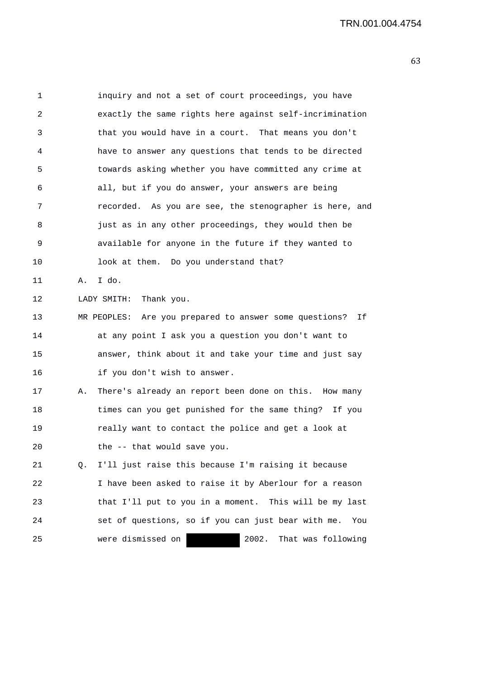| 1  |    | inquiry and not a set of court proceedings, you have         |
|----|----|--------------------------------------------------------------|
| 2  |    | exactly the same rights here against self-incrimination      |
| 3  |    | that you would have in a court. That means you don't         |
| 4  |    | have to answer any questions that tends to be directed       |
| 5  |    | towards asking whether you have committed any crime at       |
| 6  |    | all, but if you do answer, your answers are being            |
| 7  |    | recorded. As you are see, the stenographer is here, and      |
| 8  |    | just as in any other proceedings, they would then be         |
| 9  |    | available for anyone in the future if they wanted to         |
| 10 |    | look at them. Do you understand that?                        |
| 11 | Α. | I do.                                                        |
| 12 |    | LADY SMITH: Thank you.                                       |
| 13 |    | MR PEOPLES: Are you prepared to answer some questions?<br>Ιf |
| 14 |    | at any point I ask you a question you don't want to          |
| 15 |    | answer, think about it and take your time and just say       |
| 16 |    | if you don't wish to answer.                                 |
| 17 | А. | There's already an report been done on this. How many        |
| 18 |    | times can you get punished for the same thing? If you        |
| 19 |    | really want to contact the police and get a look at          |
| 20 |    | the -- that would save you.                                  |
| 21 | 0. | I'll just raise this because I'm raising it because          |
| 22 |    | I have been asked to raise it by Aberlour for a reason       |
| 23 |    | that I'll put to you in a moment. This will be my last       |
| 24 |    | set of questions, so if you can just bear with me.<br>You    |
| 25 |    | were dismissed on<br>2002.<br>That was following             |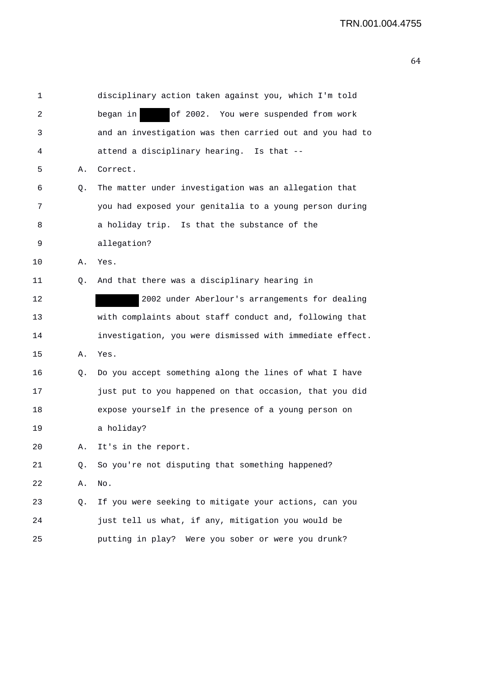| 1  |    | disciplinary action taken against you, which I'm told    |
|----|----|----------------------------------------------------------|
| 2  |    | of 2002. You were suspended from work<br>began in        |
| 3  |    | and an investigation was then carried out and you had to |
| 4  |    | attend a disciplinary hearing. Is that --                |
| 5  | Α. | Correct.                                                 |
| 6  | Q. | The matter under investigation was an allegation that    |
| 7  |    | you had exposed your genitalia to a young person during  |
| 8  |    | a holiday trip. Is that the substance of the             |
| 9  |    | allegation?                                              |
| 10 | Α. | Yes.                                                     |
| 11 | Q. | And that there was a disciplinary hearing in             |
| 12 |    | 2002 under Aberlour's arrangements for dealing           |
| 13 |    | with complaints about staff conduct and, following that  |
| 14 |    | investigation, you were dismissed with immediate effect. |
| 15 | Α. | Yes.                                                     |
| 16 | Q. | Do you accept something along the lines of what I have   |
| 17 |    | just put to you happened on that occasion, that you did  |
| 18 |    | expose yourself in the presence of a young person on     |
| 19 |    | a holiday?                                               |
| 20 | Α. | It's in the report.                                      |
| 21 | Q. | So you're not disputing that something happened?         |
| 22 | Α. | No.                                                      |
| 23 | Q. | If you were seeking to mitigate your actions, can you    |
| 24 |    | just tell us what, if any, mitigation you would be       |
| 25 |    | putting in play? Were you sober or were you drunk?       |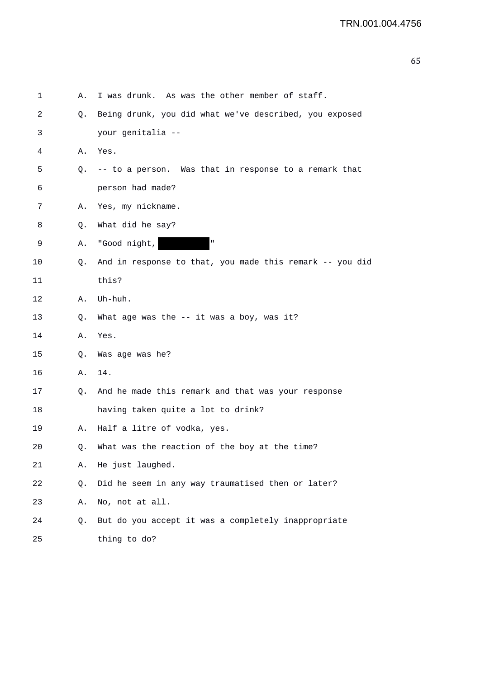| 1  | Α. | I was drunk. As was the other member of staff.           |
|----|----|----------------------------------------------------------|
| 2  | Q. | Being drunk, you did what we've described, you exposed   |
| 3  |    | your genitalia --                                        |
| 4  | Α. | Yes.                                                     |
| 5  |    | Q. -- to a person. Was that in response to a remark that |
| 6  |    | person had made?                                         |
| 7  | Α. | Yes, my nickname.                                        |
| 8  | Q. | What did he say?                                         |
| 9  | Α. | $\mathbf{u}$<br>"Good night,                             |
| 10 | Q. | And in response to that, you made this remark -- you did |
| 11 |    | this?                                                    |
| 12 | Α. | Uh-huh.                                                  |
| 13 | Q. | What age was the $--$ it was a boy, was it?              |
| 14 | Α. | Yes.                                                     |
| 15 | Q. | Was age was he?                                          |
| 16 | Α. | 14.                                                      |
| 17 | Q. | And he made this remark and that was your response       |
| 18 |    | having taken quite a lot to drink?                       |
| 19 | Α. | Half a litre of vodka, yes.                              |
| 20 | Q. | What was the reaction of the boy at the time?            |
| 21 | Α. | He just laughed.                                         |
| 22 | Q. | Did he seem in any way traumatised then or later?        |
| 23 | Α. | No, not at all.                                          |
| 24 | Q. | But do you accept it was a completely inappropriate      |
| 25 |    | thing to do?                                             |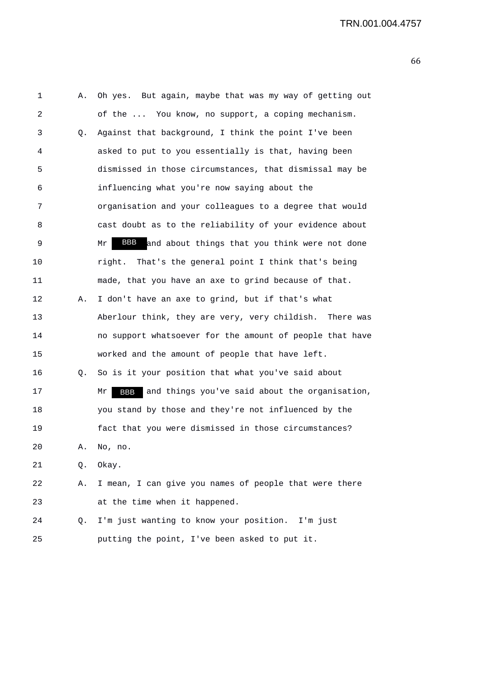| 1  | Α. | Oh yes. But again, maybe that was my way of getting out            |
|----|----|--------------------------------------------------------------------|
| 2  |    | of the  You know, no support, a coping mechanism.                  |
| 3  | Q. | Against that background, I think the point I've been               |
| 4  |    | asked to put to you essentially is that, having been               |
| 5  |    | dismissed in those circumstances, that dismissal may be            |
| 6  |    | influencing what you're now saying about the                       |
| 7  |    | organisation and your colleagues to a degree that would            |
| 8  |    | cast doubt as to the reliability of your evidence about            |
| 9  |    | BBB and about things that you think were not done<br>Mr            |
| 10 |    | That's the general point I think that's being<br>right.            |
| 11 |    | made, that you have an axe to grind because of that.               |
| 12 | Α. | I don't have an axe to grind, but if that's what                   |
| 13 |    | Aberlour think, they are very, very childish. There was            |
| 14 |    | no support whatsoever for the amount of people that have           |
| 15 |    | worked and the amount of people that have left.                    |
| 16 | Q. | So is it your position that what you've said about                 |
| 17 |    | and things you've said about the organisation,<br><b>BBB</b><br>Mr |
| 18 |    | you stand by those and they're not influenced by the               |
| 19 |    | fact that you were dismissed in those circumstances?               |
| 20 | Α. | No, no.                                                            |
| 21 | Q. | Okay.                                                              |
| 22 | Α. | I mean, I can give you names of people that were there             |
| 23 |    | at the time when it happened.                                      |
| 24 | Q. | I'm just wanting to know your position. I'm just                   |
| 25 |    | putting the point, I've been asked to put it.                      |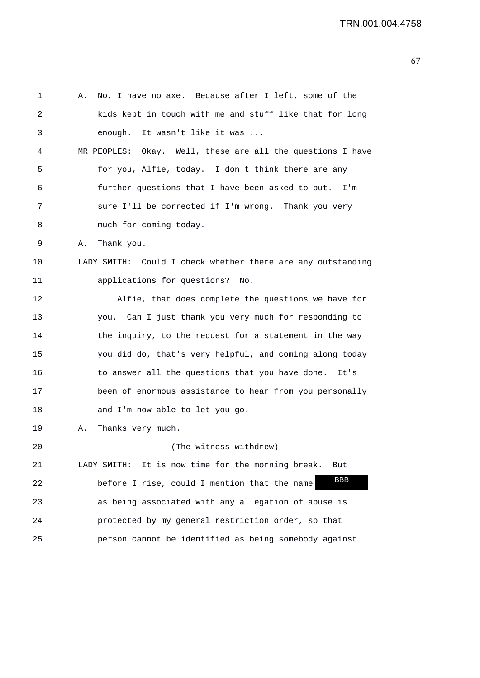1 A. No, I have no axe. Because after I left, some of the 2 kids kept in touch with me and stuff like that for long 3 enough. It wasn't like it was ... 4 MR PEOPLES: Okay. Well, these are all the questions I have 5 for you, Alfie, today. I don't think there are any 6 further questions that I have been asked to put. I'm 7 sure I'll be corrected if I'm wrong. Thank you very 8 much for coming today. 9 A. Thank you. 10 LADY SMITH: Could I check whether there are any outstanding 11 applications for questions? No. 12 Alfie, that does complete the questions we have for 13 you. Can I just thank you very much for responding to 14 the inquiry, to the request for a statement in the way 15 you did do, that's very helpful, and coming along today 16 to answer all the questions that you have done. It's 17 been of enormous assistance to hear from you personally 18 and I'm now able to let you go. 19 A. Thanks very much. 20 (The witness withdrew) 21 LADY SMITH: It is now time for the morning break. But 22 before I rise, could I mention that the name 23 as being associated with any allegation of abuse is 24 protected by my general restriction order, so that 25 person cannot be identified as being somebody against BBB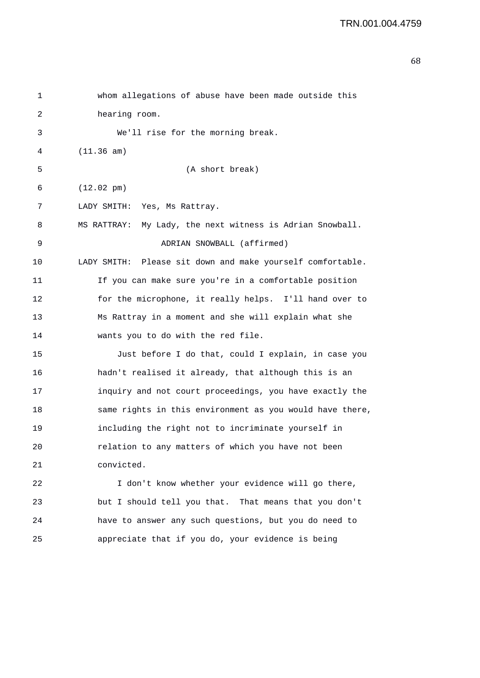```
1 whom allegations of abuse have been made outside this 
2 hearing room. 
3 We'll rise for the morning break. 
4 (11.36 am) 
5 (A short break) 
6 (12.02 pm) 
7 LADY SMITH: Yes, Ms Rattray. 
8 MS RATTRAY: My Lady, the next witness is Adrian Snowball. 
9 ADRIAN SNOWBALL (affirmed) 
10 LADY SMITH: Please sit down and make yourself comfortable. 
11 If you can make sure you're in a comfortable position 
12 for the microphone, it really helps. I'll hand over to 
13 Ms Rattray in a moment and she will explain what she 
14 wants you to do with the red file. 
15 Just before I do that, could I explain, in case you 
16 hadn't realised it already, that although this is an 
17 inquiry and not court proceedings, you have exactly the 
18 same rights in this environment as you would have there, 
19 including the right not to incriminate yourself in 
20 relation to any matters of which you have not been 
21 convicted. 
22 I don't know whether your evidence will go there, 
23 but I should tell you that. That means that you don't 
24 have to answer any such questions, but you do need to
```
25 appreciate that if you do, your evidence is being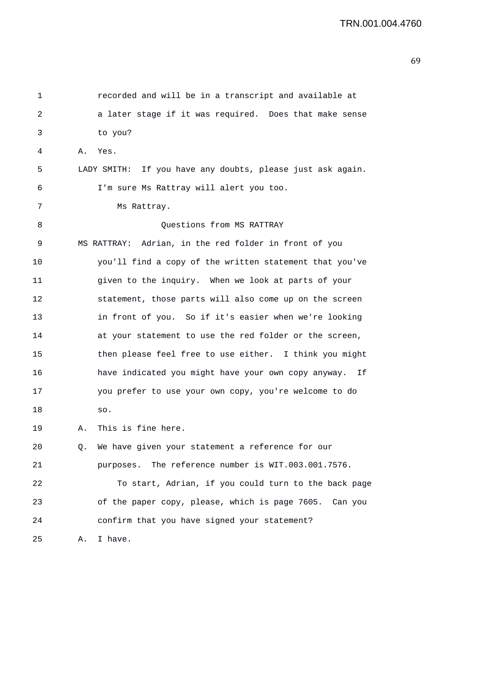| 1  |    | recorded and will be in a transcript and available at      |
|----|----|------------------------------------------------------------|
| 2  |    | a later stage if it was required. Does that make sense     |
| 3  |    | to you?                                                    |
| 4  | Α. | Yes.                                                       |
| 5  |    | LADY SMITH: If you have any doubts, please just ask again. |
| 6  |    | I'm sure Ms Rattray will alert you too.                    |
| 7  |    | Ms Rattray.                                                |
| 8  |    | Questions from MS RATTRAY                                  |
| 9  |    | Adrian, in the red folder in front of you<br>MS RATTRAY:   |
| 10 |    | you'll find a copy of the written statement that you've    |
| 11 |    | given to the inquiry. When we look at parts of your        |
| 12 |    | statement, those parts will also come up on the screen     |
| 13 |    | in front of you. So if it's easier when we're looking      |
| 14 |    | at your statement to use the red folder or the screen,     |
| 15 |    | then please feel free to use either. I think you might     |
| 16 |    | have indicated you might have your own copy anyway. If     |
| 17 |    | you prefer to use your own copy, you're welcome to do      |
| 18 |    | SO.                                                        |
| 19 | Α. | This is fine here.                                         |
| 20 | Q. | We have given your statement a reference for our           |
| 21 |    | The reference number is WIT.003.001.7576.<br>purposes.     |
| 22 |    | To start, Adrian, if you could turn to the back page       |
| 23 |    | of the paper copy, please, which is page 7605. Can you     |
| 24 |    | confirm that you have signed your statement?               |
| 25 | Α. | I have.                                                    |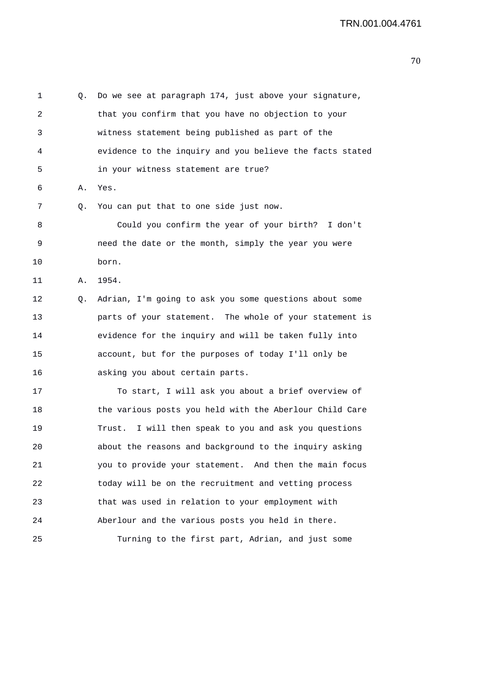| 1  | Q. | Do we see at paragraph 174, just above your signature,   |
|----|----|----------------------------------------------------------|
| 2  |    | that you confirm that you have no objection to your      |
| 3  |    | witness statement being published as part of the         |
| 4  |    | evidence to the inquiry and you believe the facts stated |
| 5  |    | in your witness statement are true?                      |
| 6  | Α. | Yes.                                                     |
| 7  | Q. | You can put that to one side just now.                   |
| 8  |    | Could you confirm the year of your birth? I don't        |
| 9  |    | need the date or the month, simply the year you were     |
| 10 |    | born.                                                    |
| 11 | Α. | 1954.                                                    |
| 12 | Q. | Adrian, I'm going to ask you some questions about some   |
| 13 |    | parts of your statement. The whole of your statement is  |
| 14 |    | evidence for the inquiry and will be taken fully into    |
| 15 |    | account, but for the purposes of today I'll only be      |
| 16 |    | asking you about certain parts.                          |
| 17 |    | To start, I will ask you about a brief overview of       |
| 18 |    | the various posts you held with the Aberlour Child Care  |
| 19 |    | I will then speak to you and ask you questions<br>Trust. |
| 20 |    | about the reasons and background to the inquiry asking   |
| 21 |    | you to provide your statement. And then the main focus   |
| 22 |    | today will be on the recruitment and vetting process     |
| 23 |    | that was used in relation to your employment with        |
| 24 |    | Aberlour and the various posts you held in there.        |
| 25 |    | Turning to the first part, Adrian, and just some         |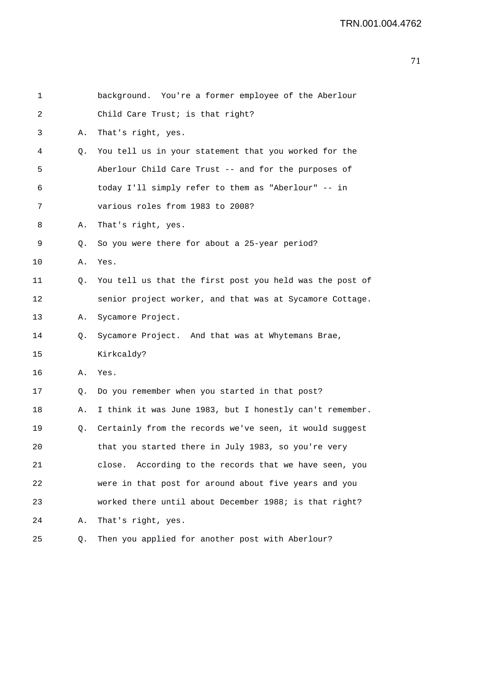| 1  |    | background. You're a former employee of the Aberlour      |
|----|----|-----------------------------------------------------------|
| 2  |    | Child Care Trust; is that right?                          |
| 3  | Α. | That's right, yes.                                        |
| 4  | Q. | You tell us in your statement that you worked for the     |
| 5  |    | Aberlour Child Care Trust -- and for the purposes of      |
| 6  |    | today I'll simply refer to them as "Aberlour" -- in       |
| 7  |    | various roles from 1983 to 2008?                          |
| 8  | Α. | That's right, yes.                                        |
| 9  | Q. | So you were there for about a 25-year period?             |
| 10 | Α. | Yes.                                                      |
| 11 | Q. | You tell us that the first post you held was the post of  |
| 12 |    | senior project worker, and that was at Sycamore Cottage.  |
| 13 | Α. | Sycamore Project.                                         |
| 14 | Q. | Sycamore Project. And that was at Whytemans Brae,         |
| 15 |    | Kirkcaldy?                                                |
| 16 | Α. | Yes.                                                      |
| 17 | Q. | Do you remember when you started in that post?            |
| 18 | Α. | I think it was June 1983, but I honestly can't remember.  |
| 19 | Q. | Certainly from the records we've seen, it would suggest   |
| 20 |    | that you started there in July 1983, so you're very       |
| 21 |    | According to the records that we have seen, you<br>close. |
| 22 |    | were in that post for around about five years and you     |
| 23 |    | worked there until about December 1988; is that right?    |
| 24 | Α. | That's right, yes.                                        |
| 25 | Q. | Then you applied for another post with Aberlour?          |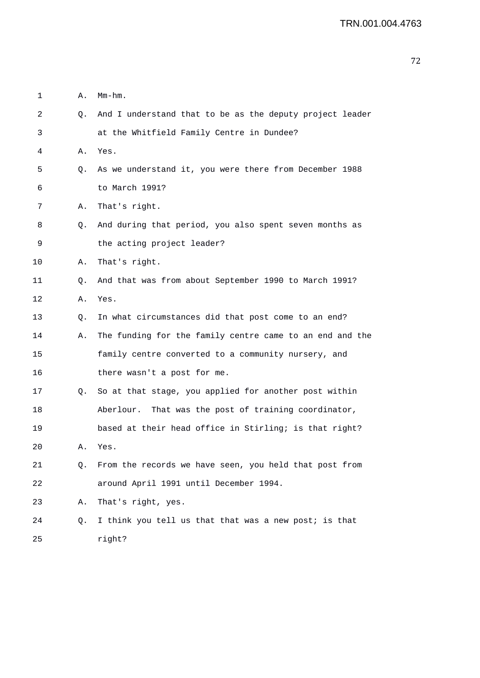| 1  | Α. | $Mm-hm$ .                                                |
|----|----|----------------------------------------------------------|
| 2  | Q. | And I understand that to be as the deputy project leader |
| 3  |    | at the Whitfield Family Centre in Dundee?                |
| 4  | Α. | Yes.                                                     |
| 5  | Q. | As we understand it, you were there from December 1988   |
| 6  |    | to March 1991?                                           |
| 7  | Α. | That's right.                                            |
| 8  | Q. | And during that period, you also spent seven months as   |
| 9  |    | the acting project leader?                               |
| 10 | Α. | That's right.                                            |
| 11 | Q. | And that was from about September 1990 to March 1991?    |
| 12 | Α. | Yes.                                                     |
| 13 | Q. | In what circumstances did that post come to an end?      |
| 14 | Α. | The funding for the family centre came to an end and the |
| 15 |    | family centre converted to a community nursery, and      |
| 16 |    | there wasn't a post for me.                              |
| 17 | Q. | So at that stage, you applied for another post within    |
| 18 |    | That was the post of training coordinator,<br>Aberlour.  |
| 19 |    | based at their head office in Stirling; is that right?   |
| 20 | Α. | Yes.                                                     |
| 21 | Q. | From the records we have seen, you held that post from   |
| 22 |    | around April 1991 until December 1994.                   |
| 23 | Α. | That's right, yes.                                       |
| 24 | Q. | I think you tell us that that was a new post; is that    |
| 25 |    | right?                                                   |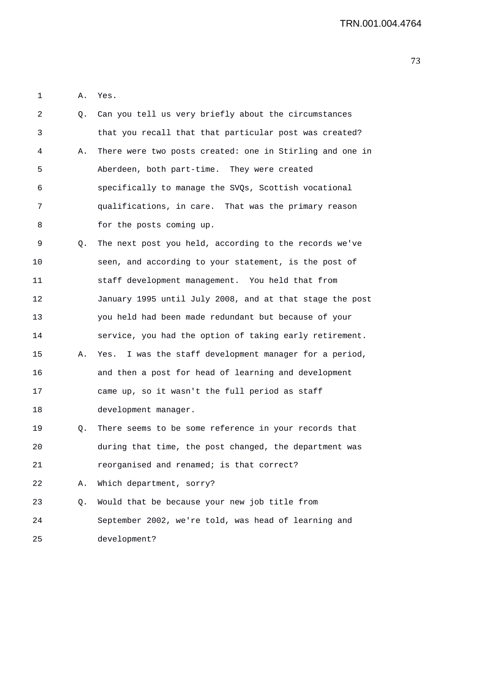1 A. Yes.

| 2       | Q. | Can you tell us very briefly about the circumstances     |
|---------|----|----------------------------------------------------------|
| 3       |    | that you recall that that particular post was created?   |
| 4       | Α. | There were two posts created: one in Stirling and one in |
| 5       |    | Aberdeen, both part-time. They were created              |
| 6       |    | specifically to manage the SVQs, Scottish vocational     |
| 7       |    | qualifications, in care. That was the primary reason     |
| 8       |    | for the posts coming up.                                 |
| 9       | Q. | The next post you held, according to the records we've   |
| $10 \,$ |    | seen, and according to your statement, is the post of    |
| 11      |    | staff development management. You held that from         |
| 12      |    | January 1995 until July 2008, and at that stage the post |
| 13      |    | you held had been made redundant but because of your     |
| 14      |    | service, you had the option of taking early retirement.  |
| 15      | А. | Yes. I was the staff development manager for a period,   |
| 16      |    | and then a post for head of learning and development     |
| 17      |    | came up, so it wasn't the full period as staff           |
| 18      |    | development manager.                                     |
| 19      | Q. | There seems to be some reference in your records that    |
| 20      |    | during that time, the post changed, the department was   |
| 21      |    | reorganised and renamed; is that correct?                |
| 22      | Α. | Which department, sorry?                                 |
| 23      | Q. | Would that be because your new job title from            |
| 24      |    | September 2002, we're told, was head of learning and     |
| 25      |    | development?                                             |
|         |    |                                                          |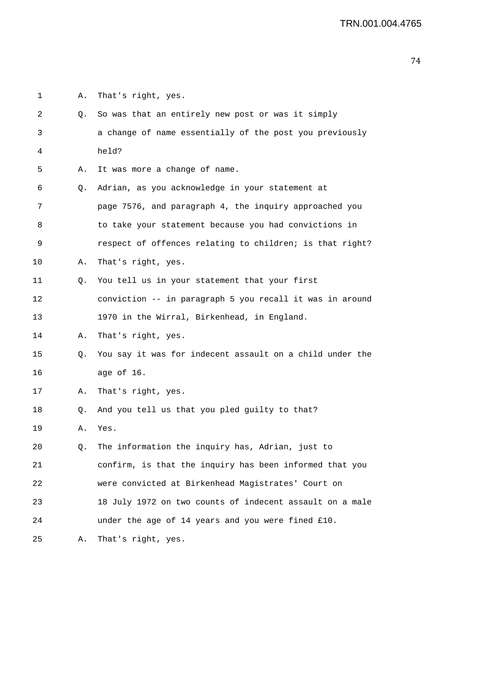1 A. That's right, yes. 2 Q. So was that an entirely new post or was it simply 3 a change of name essentially of the post you previously 4 held? 5 A. It was more a change of name. 6 Q. Adrian, as you acknowledge in your statement at 7 page 7576, and paragraph 4, the inquiry approached you 8 to take your statement because you had convictions in 9 respect of offences relating to children; is that right? 10 A. That's right, yes. 11 Q. You tell us in your statement that your first 12 conviction -- in paragraph 5 you recall it was in around 13 1970 in the Wirral, Birkenhead, in England. 14 A. That's right, yes. 15 Q. You say it was for indecent assault on a child under the 16 age of 16. 17 A. That's right, yes. 18 Q. And you tell us that you pled guilty to that? 19 A. Yes. 20 Q. The information the inquiry has, Adrian, just to 21 confirm, is that the inquiry has been informed that you 22 were convicted at Birkenhead Magistrates' Court on 23 18 July 1972 on two counts of indecent assault on a male 24 under the age of 14 years and you were fined £10. 25 A. That's right, yes.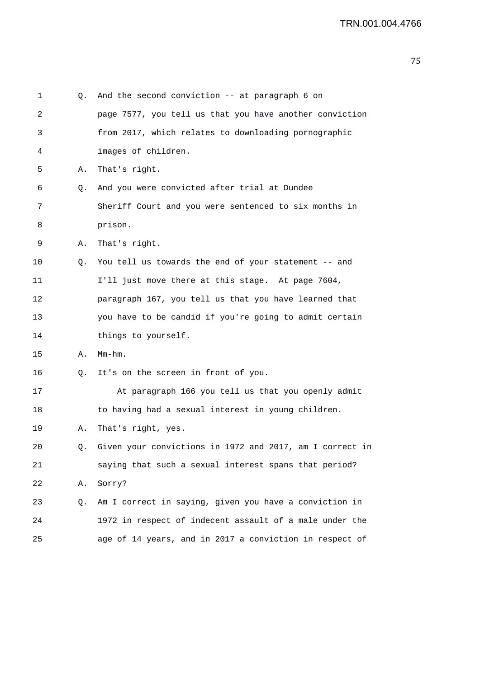| 1  | Q. | And the second conviction $--$ at paragraph 6 on         |
|----|----|----------------------------------------------------------|
| 2  |    | page 7577, you tell us that you have another conviction  |
| 3  |    | from 2017, which relates to downloading pornographic     |
| 4  |    | images of children.                                      |
| 5  | Α. | That's right.                                            |
| 6  | Q. | And you were convicted after trial at Dundee             |
| 7  |    | Sheriff Court and you were sentenced to six months in    |
| 8  |    | prison.                                                  |
| 9  | Α. | That's right.                                            |
| 10 | Q. | You tell us towards the end of your statement -- and     |
| 11 |    | I'll just move there at this stage. At page 7604,        |
| 12 |    | paragraph 167, you tell us that you have learned that    |
| 13 |    | you have to be candid if you're going to admit certain   |
| 14 |    | things to yourself.                                      |
| 15 | Α. | Mm-hm.                                                   |
| 16 | Q. | It's on the screen in front of you.                      |
| 17 |    | At paragraph 166 you tell us that you openly admit       |
| 18 |    | to having had a sexual interest in young children.       |
| 19 | Α. | That's right, yes.                                       |
| 20 | Q. | Given your convictions in 1972 and 2017, am I correct in |
| 21 |    | saying that such a sexual interest spans that period?    |
| 22 | Α. | Sorry?                                                   |
| 23 | Q. | Am I correct in saying, given you have a conviction in   |
| 24 |    | 1972 in respect of indecent assault of a male under the  |
| 25 |    | age of 14 years, and in 2017 a conviction in respect of  |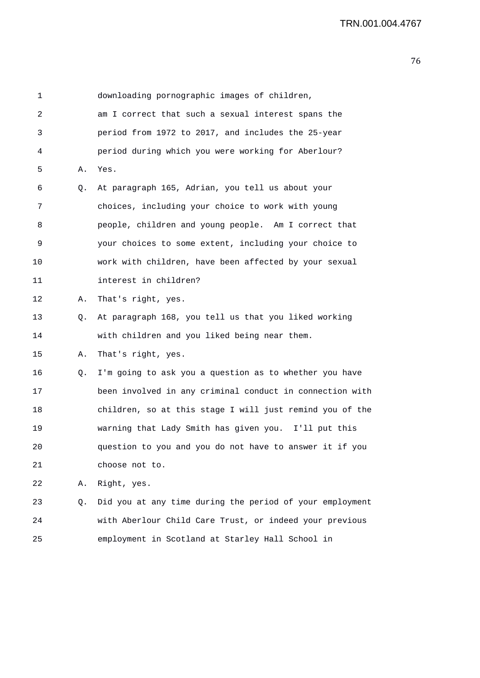1 downloading pornographic images of children, 2 am I correct that such a sexual interest spans the 3 period from 1972 to 2017, and includes the 25-year 4 period during which you were working for Aberlour? 5 A. Yes. 6 Q. At paragraph 165, Adrian, you tell us about your 7 choices, including your choice to work with young 8 people, children and young people. Am I correct that 9 your choices to some extent, including your choice to 10 work with children, have been affected by your sexual 11 interest in children? 12 A. That's right, yes. 13 Q. At paragraph 168, you tell us that you liked working 14 with children and you liked being near them. 15 A. That's right, yes. 16 Q. I'm going to ask you a question as to whether you have 17 been involved in any criminal conduct in connection with 18 children, so at this stage I will just remind you of the 19 warning that Lady Smith has given you. I'll put this 20 question to you and you do not have to answer it if you 21 choose not to. 22 A. Right, yes. 23 Q. Did you at any time during the period of your employment 24 with Aberlour Child Care Trust, or indeed your previous

25 employment in Scotland at Starley Hall School in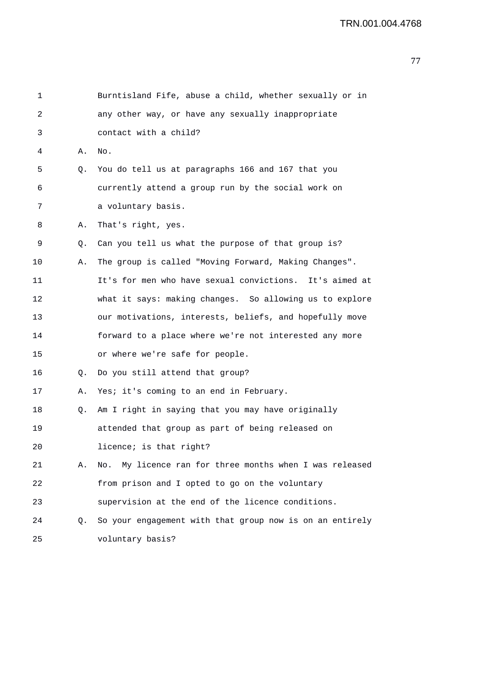| 1  |    | Burntisland Fife, abuse a child, whether sexually or in    |
|----|----|------------------------------------------------------------|
| 2  |    | any other way, or have any sexually inappropriate          |
| 3  |    | contact with a child?                                      |
| 4  | Α. | No.                                                        |
| 5  | Q. | You do tell us at paragraphs 166 and 167 that you          |
| 6  |    | currently attend a group run by the social work on         |
| 7  |    | a voluntary basis.                                         |
| 8  | Α. | That's right, yes.                                         |
| 9  | Q. | Can you tell us what the purpose of that group is?         |
| 10 | Α. | The group is called "Moving Forward, Making Changes".      |
| 11 |    | It's for men who have sexual convictions. It's aimed at    |
| 12 |    | what it says: making changes. So allowing us to explore    |
| 13 |    | our motivations, interests, beliefs, and hopefully move    |
| 14 |    | forward to a place where we're not interested any more     |
| 15 |    | or where we're safe for people.                            |
| 16 | Q. | Do you still attend that group?                            |
| 17 | Α. | Yes; it's coming to an end in February.                    |
| 18 | Q. | Am I right in saying that you may have originally          |
| 19 |    | attended that group as part of being released on           |
| 20 |    | licence; is that right?                                    |
| 21 | Α. | My licence ran for three months when I was released<br>No. |
| 22 |    | from prison and I opted to go on the voluntary             |
| 23 |    | supervision at the end of the licence conditions.          |
| 24 | Q. | So your engagement with that group now is on an entirely   |
| 25 |    | voluntary basis?                                           |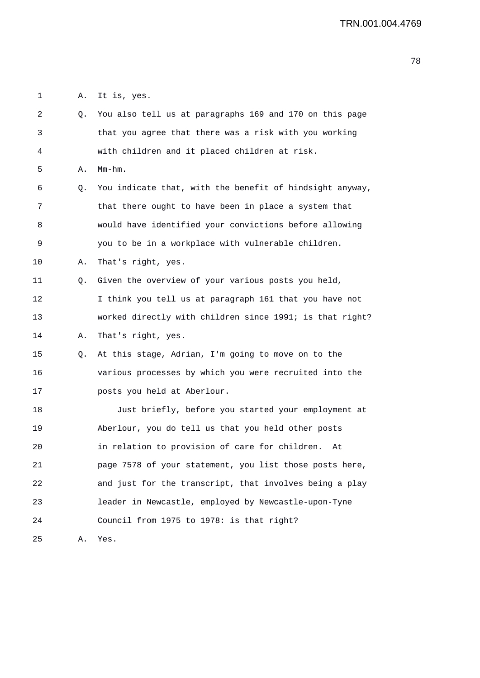1 A. It is, yes.

| 2  | Q. | You also tell us at paragraphs 169 and 170 on this page  |
|----|----|----------------------------------------------------------|
| 3  |    | that you agree that there was a risk with you working    |
| 4  |    | with children and it placed children at risk.            |
| 5  | Α. | $Mm-hm$ .                                                |
| 6  | Q. | You indicate that, with the benefit of hindsight anyway, |
| 7  |    | that there ought to have been in place a system that     |
| 8  |    | would have identified your convictions before allowing   |
| 9  |    | you to be in a workplace with vulnerable children.       |
| 10 | Α. | That's right, yes.                                       |
| 11 | Q. | Given the overview of your various posts you held,       |
| 12 |    | I think you tell us at paragraph 161 that you have not   |
| 13 |    | worked directly with children since 1991; is that right? |
| 14 | Α. | That's right, yes.                                       |
| 15 | Q. | At this stage, Adrian, I'm going to move on to the       |
| 16 |    | various processes by which you were recruited into the   |
| 17 |    | posts you held at Aberlour.                              |
| 18 |    | Just briefly, before you started your employment at      |
| 19 |    | Aberlour, you do tell us that you held other posts       |
| 20 |    | in relation to provision of care for children.<br>At     |
| 21 |    | page 7578 of your statement, you list those posts here,  |
| 22 |    | and just for the transcript, that involves being a play  |
| 23 |    | leader in Newcastle, employed by Newcastle-upon-Tyne     |
| 24 |    | Council from 1975 to 1978: is that right?                |
| 25 | Α. | Yes.                                                     |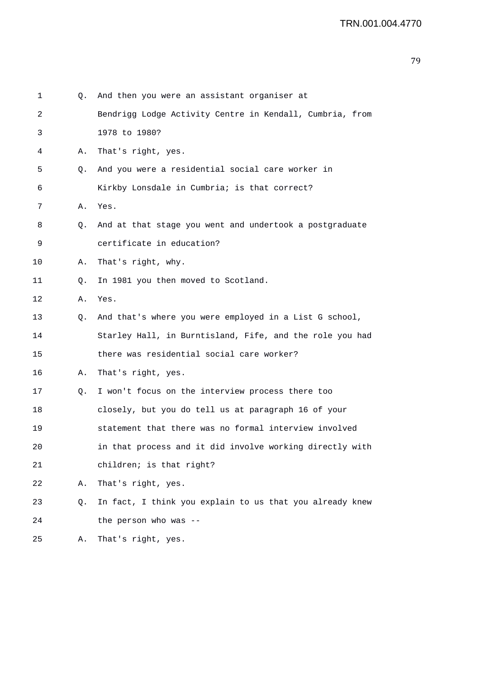| 1  | Q. | And then you were an assistant organiser at              |
|----|----|----------------------------------------------------------|
| 2  |    | Bendrigg Lodge Activity Centre in Kendall, Cumbria, from |
| 3  |    | 1978 to 1980?                                            |
| 4  | Α. | That's right, yes.                                       |
| 5  | Q. | And you were a residential social care worker in         |
| 6  |    | Kirkby Lonsdale in Cumbria; is that correct?             |
| 7  | Α. | Yes.                                                     |
| 8  | Q. | And at that stage you went and undertook a postgraduate  |
| 9  |    | certificate in education?                                |
| 10 | Α. | That's right, why.                                       |
| 11 | Q. | In 1981 you then moved to Scotland.                      |
| 12 | Α. | Yes.                                                     |
| 13 | Q. | And that's where you were employed in a List G school,   |
| 14 |    | Starley Hall, in Burntisland, Fife, and the role you had |
| 15 |    | there was residential social care worker?                |
| 16 | Α. | That's right, yes.                                       |
| 17 | Q. | I won't focus on the interview process there too         |
| 18 |    | closely, but you do tell us at paragraph 16 of your      |
| 19 |    | statement that there was no formal interview involved    |
| 20 |    | in that process and it did involve working directly with |
| 21 |    | children; is that right?                                 |
| 22 | Α. | That's right, yes.                                       |
| 23 | Q. | In fact, I think you explain to us that you already knew |
| 24 |    | the person who was --                                    |
| 25 | Α. | That's right, yes.                                       |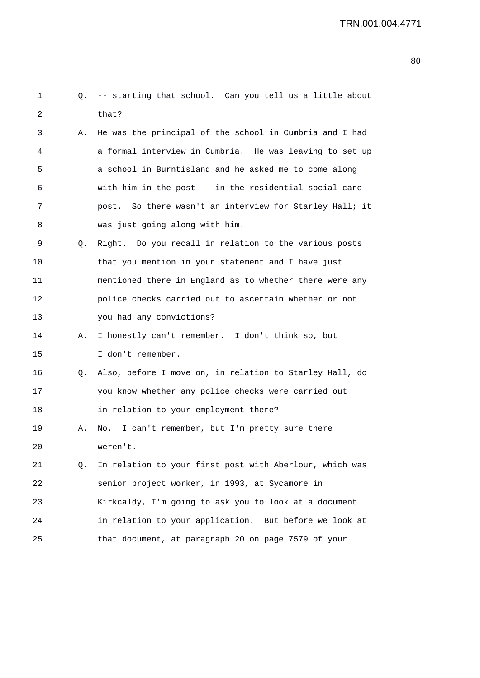| 1  | Q. | -- starting that school. Can you tell us a little about |
|----|----|---------------------------------------------------------|
| 2  |    | that?                                                   |
| 3  | Α. | He was the principal of the school in Cumbria and I had |
| 4  |    | a formal interview in Cumbria. He was leaving to set up |
| 5  |    | a school in Burntisland and he asked me to come along   |
| 6  |    | with him in the post -- in the residential social care  |
| 7  |    | post. So there wasn't an interview for Starley Hall; it |
| 8  |    | was just going along with him.                          |
| 9  | Q. | Right. Do you recall in relation to the various posts   |
| 10 |    | that you mention in your statement and I have just      |
| 11 |    | mentioned there in England as to whether there were any |
| 12 |    | police checks carried out to ascertain whether or not   |
| 13 |    | you had any convictions?                                |
| 14 | А. | I honestly can't remember. I don't think so, but        |
| 15 |    | I don't remember.                                       |
| 16 | Q. | Also, before I move on, in relation to Starley Hall, do |
| 17 |    | you know whether any police checks were carried out     |
| 18 |    | in relation to your employment there?                   |
| 19 | Α. | No. I can't remember, but I'm pretty sure there         |
| 20 |    | weren't.                                                |
| 21 | Q. | In relation to your first post with Aberlour, which was |
| 22 |    | senior project worker, in 1993, at Sycamore in          |
| 23 |    | Kirkcaldy, I'm going to ask you to look at a document   |
| 24 |    | in relation to your application. But before we look at  |
| 25 |    | that document, at paragraph 20 on page 7579 of your     |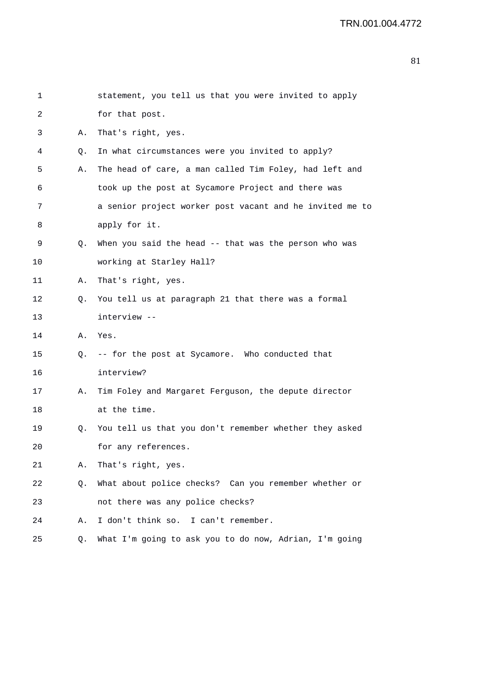| 1  |    | statement, you tell us that you were invited to apply    |
|----|----|----------------------------------------------------------|
| 2  |    | for that post.                                           |
| 3  | Α. | That's right, yes.                                       |
| 4  | Q. | In what circumstances were you invited to apply?         |
| 5  | Α. | The head of care, a man called Tim Foley, had left and   |
| 6  |    | took up the post at Sycamore Project and there was       |
| 7  |    | a senior project worker post vacant and he invited me to |
| 8  |    | apply for it.                                            |
| 9  | Q. | When you said the head -- that was the person who was    |
| 10 |    | working at Starley Hall?                                 |
| 11 | Α. | That's right, yes.                                       |
| 12 | Q. | You tell us at paragraph 21 that there was a formal      |
| 13 |    | interview --                                             |
| 14 | Α. | Yes.                                                     |
| 15 | Q. | -- for the post at Sycamore. Who conducted that          |
| 16 |    | interview?                                               |
| 17 | Α. | Tim Foley and Margaret Ferguson, the depute director     |
| 18 |    | at the time.                                             |
| 19 | Q. | You tell us that you don't remember whether they asked   |
| 20 |    | for any references.                                      |
| 21 | Α. | That's right, yes.                                       |
| 22 | Q. | What about police checks? Can you remember whether or    |
| 23 |    | not there was any police checks?                         |
| 24 | Α. | I don't think so. I can't remember.                      |
| 25 | Q. | What I'm going to ask you to do now, Adrian, I'm going   |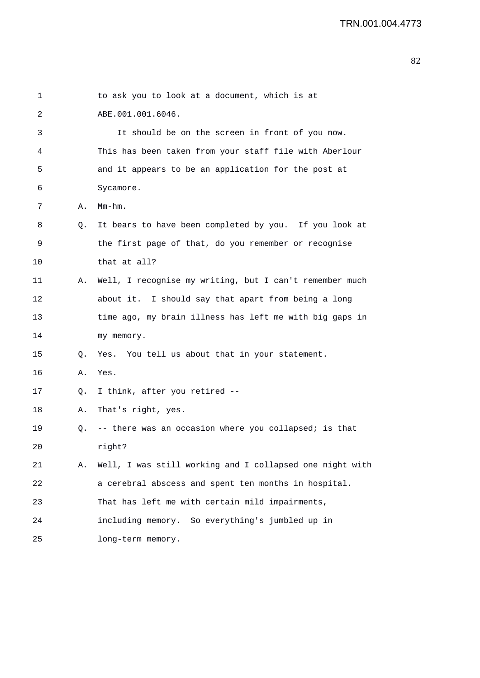| 1  |    | to ask you to look at a document, which is at            |
|----|----|----------------------------------------------------------|
| 2  |    | ABE.001.001.6046.                                        |
| 3  |    | It should be on the screen in front of you now.          |
| 4  |    | This has been taken from your staff file with Aberlour   |
| 5  |    | and it appears to be an application for the post at      |
| 6  |    | Sycamore.                                                |
| 7  | Α. | $Mm-hm$ .                                                |
| 8  | Q. | It bears to have been completed by you. If you look at   |
| 9  |    | the first page of that, do you remember or recognise     |
| 10 |    | that at all?                                             |
| 11 | Α. | Well, I recognise my writing, but I can't remember much  |
| 12 |    | about it. I should say that apart from being a long      |
| 13 |    | time ago, my brain illness has left me with big gaps in  |
| 14 |    | my memory.                                               |
| 15 | Q. | Yes. You tell us about that in your statement.           |
| 16 | Α. | Yes.                                                     |
| 17 | Q. | I think, after you retired --                            |
| 18 | Α. | That's right, yes.                                       |
| 19 | Q. | -- there was an occasion where you collapsed; is that    |
| 20 |    | right?                                                   |
| 21 | Α. | Well, I was still working and I collapsed one night with |
| 22 |    | a cerebral abscess and spent ten months in hospital.     |
| 23 |    | That has left me with certain mild impairments,          |
| 24 |    | including memory. So everything's jumbled up in          |
| 25 |    | long-term memory.                                        |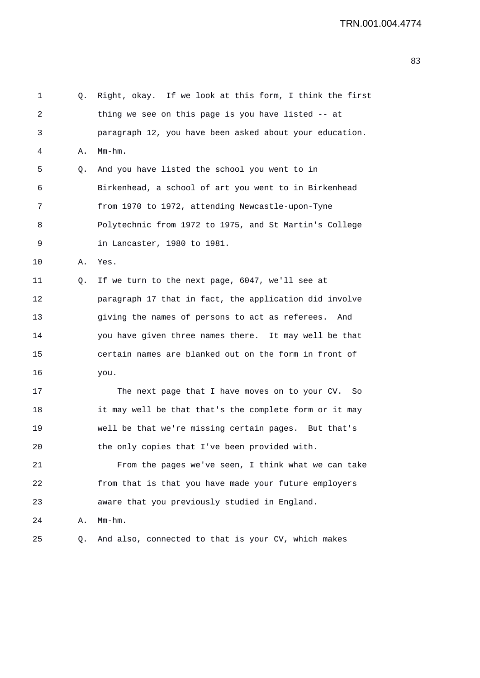```
1 Q. Right, okay. If we look at this form, I think the first 
2 thing we see on this page is you have listed -- at 
3 paragraph 12, you have been asked about your education. 
4 A. Mm-hm. 
5 Q. And you have listed the school you went to in 
6 Birkenhead, a school of art you went to in Birkenhead 
7 from 1970 to 1972, attending Newcastle-upon-Tyne 
8 Polytechnic from 1972 to 1975, and St Martin's College 
9 in Lancaster, 1980 to 1981. 
10 A. Yes. 
11 Q. If we turn to the next page, 6047, we'll see at 
12 paragraph 17 that in fact, the application did involve 
13 giving the names of persons to act as referees. And 
14 you have given three names there. It may well be that 
15 certain names are blanked out on the form in front of 
16 you. 
17 The next page that I have moves on to your CV. So 
18 it may well be that that's the complete form or it may 
19 well be that we're missing certain pages. But that's 
20 the only copies that I've been provided with. 
21 From the pages we've seen, I think what we can take 
22 from that is that you have made your future employers 
23 aware that you previously studied in England. 
24 A. Mm-hm. 
25 Q. And also, connected to that is your CV, which makes
```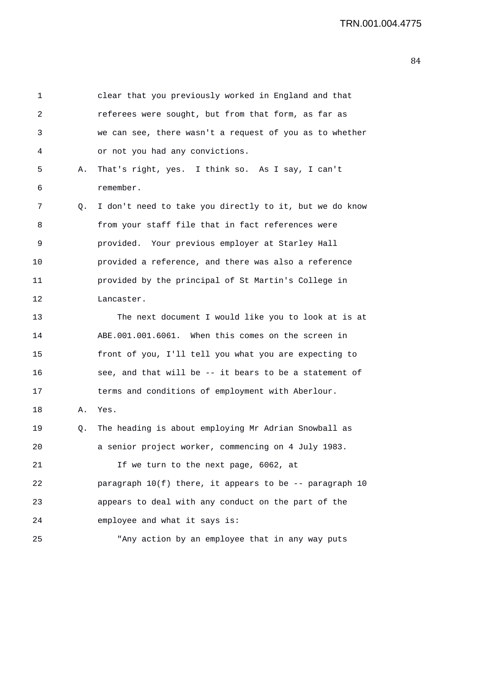| 1  |    | clear that you previously worked in England and that      |
|----|----|-----------------------------------------------------------|
| 2  |    | referees were sought, but from that form, as far as       |
| 3  |    | we can see, there wasn't a request of you as to whether   |
| 4  |    | or not you had any convictions.                           |
| 5  | Α. | That's right, yes. I think so. As I say, I can't          |
| 6  |    | remember.                                                 |
| 7  | Q. | I don't need to take you directly to it, but we do know   |
| 8  |    | from your staff file that in fact references were         |
| 9  |    | provided. Your previous employer at Starley Hall          |
| 10 |    | provided a reference, and there was also a reference      |
| 11 |    | provided by the principal of St Martin's College in       |
| 12 |    | Lancaster.                                                |
| 13 |    | The next document I would like you to look at is at       |
| 14 |    | ABE.001.001.6061. When this comes on the screen in        |
| 15 |    | front of you, I'll tell you what you are expecting to     |
| 16 |    | see, and that will be -- it bears to be a statement of    |
| 17 |    | terms and conditions of employment with Aberlour.         |
| 18 | Α. | Yes.                                                      |
| 19 | Q. | The heading is about employing Mr Adrian Snowball as      |
| 20 |    | a senior project worker, commencing on 4 July 1983.       |
| 21 |    | If we turn to the next page, 6062, at                     |
| 22 |    | paragraph $10(f)$ there, it appears to be -- paragraph 10 |
| 23 |    | appears to deal with any conduct on the part of the       |
| 24 |    | employee and what it says is:                             |
| 25 |    | "Any action by an employee that in any way puts           |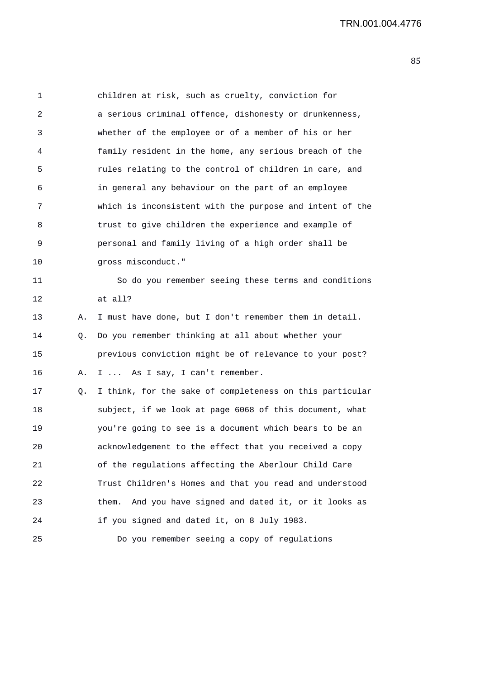| 1  |    | children at risk, such as cruelty, conviction for         |
|----|----|-----------------------------------------------------------|
| 2  |    | a serious criminal offence, dishonesty or drunkenness,    |
| 3  |    | whether of the employee or of a member of his or her      |
| 4  |    | family resident in the home, any serious breach of the    |
| 5  |    | rules relating to the control of children in care, and    |
| 6  |    | in general any behaviour on the part of an employee       |
| 7  |    | which is inconsistent with the purpose and intent of the  |
| 8  |    | trust to give children the experience and example of      |
| 9  |    | personal and family living of a high order shall be       |
| 10 |    | gross misconduct."                                        |
| 11 |    | So do you remember seeing these terms and conditions      |
| 12 |    | at all?                                                   |
| 13 | Α. | I must have done, but I don't remember them in detail.    |
| 14 | Q. | Do you remember thinking at all about whether your        |
| 15 |    | previous conviction might be of relevance to your post?   |
| 16 | Α. | I  As I say, I can't remember.                            |
| 17 | Q. | I think, for the sake of completeness on this particular  |
| 18 |    | subject, if we look at page 6068 of this document, what   |
| 19 |    | you're going to see is a document which bears to be an    |
| 20 |    | acknowledgement to the effect that you received a copy    |
| 21 |    | of the regulations affecting the Aberlour Child Care      |
| 22 |    | Trust Children's Homes and that you read and understood   |
| 23 |    | And you have signed and dated it, or it looks as<br>them. |
| 24 |    | if you signed and dated it, on 8 July 1983.               |
| 25 |    | Do you remember seeing a copy of regulations              |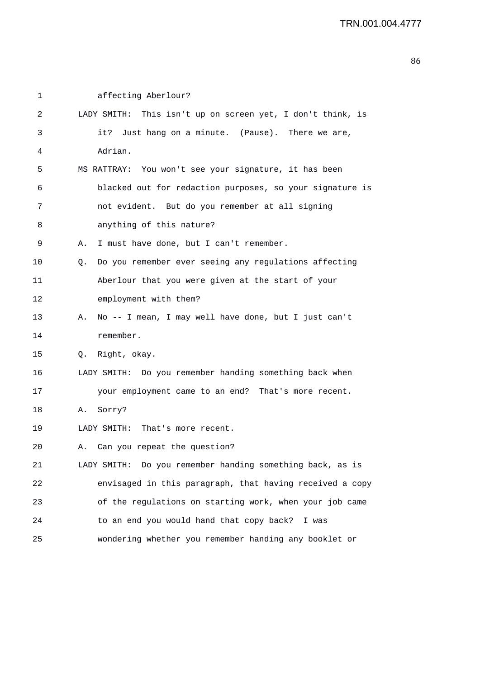| 1  | affecting Aberlour?                                         |
|----|-------------------------------------------------------------|
| 2  | LADY SMITH: This isn't up on screen yet, I don't think, is  |
| 3  | it? Just hang on a minute. (Pause). There we are,           |
| 4  | Adrian.                                                     |
| 5  | MS RATTRAY: You won't see your signature, it has been       |
| 6  | blacked out for redaction purposes, so your signature is    |
| 7  | not evident. But do you remember at all signing             |
| 8  | anything of this nature?                                    |
| 9  | I must have done, but I can't remember.<br>Α.               |
| 10 | Do you remember ever seeing any regulations affecting<br>Q. |
| 11 | Aberlour that you were given at the start of your           |
| 12 | employment with them?                                       |
| 13 | No -- I mean, I may well have done, but I just can't<br>Α.  |
| 14 | remember.                                                   |
| 15 | Q. Right, okay.                                             |
| 16 | LADY SMITH: Do you remember handing something back when     |
| 17 | your employment came to an end? That's more recent.         |
| 18 | Sorry?<br>Α.                                                |
| 19 | LADY SMITH:<br>That's more recent.                          |
| 20 | Can you repeat the question?                                |
| 21 | LADY SMITH: Do you remember handing something back, as is   |
| 22 | envisaged in this paragraph, that having received a copy    |
| 23 | of the regulations on starting work, when your job came     |
| 24 | to an end you would hand that copy back?<br>I was           |
| 25 | wondering whether you remember handing any booklet or       |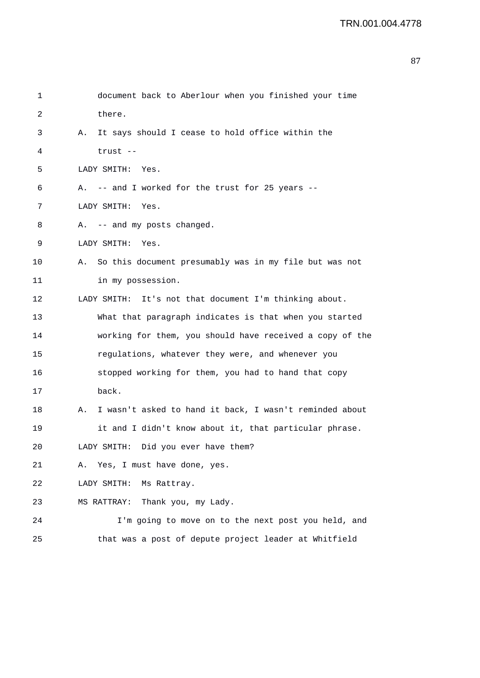| 1  | document back to Aberlour when you finished your time         |
|----|---------------------------------------------------------------|
| 2  | there.                                                        |
| 3  | It says should I cease to hold office within the<br>Α.        |
| 4  | trust --                                                      |
| 5  | LADY SMITH: Yes.                                              |
| 6  | A. -- and I worked for the trust for 25 years --              |
| 7  | LADY SMITH:<br>Yes.                                           |
| 8  | A. -- and my posts changed.                                   |
| 9  | LADY SMITH:<br>Yes.                                           |
| 10 | So this document presumably was in my file but was not<br>Α.  |
| 11 | in my possession.                                             |
| 12 | LADY SMITH: It's not that document I'm thinking about.        |
| 13 | What that paragraph indicates is that when you started        |
| 14 | working for them, you should have received a copy of the      |
| 15 | regulations, whatever they were, and whenever you             |
| 16 | stopped working for them, you had to hand that copy           |
| 17 | back.                                                         |
| 18 | I wasn't asked to hand it back, I wasn't reminded about<br>Α. |
| 19 | it and I didn't know about it, that particular phrase.        |
| 20 | LADY SMITH: Did you ever have them?                           |
| 21 | Yes, I must have done, yes.<br>Α.                             |
| 22 | LADY SMITH:<br>Ms Rattray.                                    |
| 23 | Thank you, my Lady.<br>MS RATTRAY:                            |
| 24 | I'm going to move on to the next post you held, and           |
| 25 | that was a post of depute project leader at Whitfield         |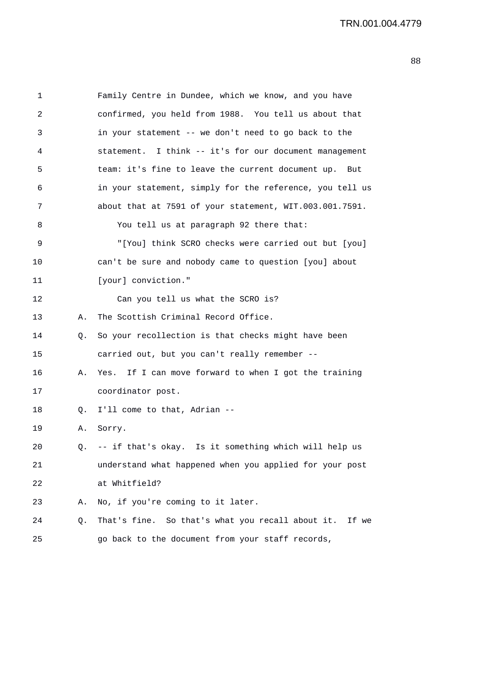1 Family Centre in Dundee, which we know, and you have 2 confirmed, you held from 1988. You tell us about that 3 in your statement -- we don't need to go back to the 4 statement. I think -- it's for our document management 5 team: it's fine to leave the current document up. But 6 in your statement, simply for the reference, you tell us 7 about that at 7591 of your statement, WIT.003.001.7591. 8 You tell us at paragraph 92 there that: 9 "[You] think SCRO checks were carried out but [you] 10 can't be sure and nobody came to question [you] about 11 [your] conviction." 12 Can you tell us what the SCRO is? 13 A. The Scottish Criminal Record Office. 14 Q. So your recollection is that checks might have been 15 carried out, but you can't really remember -- 16 A. Yes. If I can move forward to when I got the training 17 coordinator post. 18 Q. I'll come to that, Adrian -- 19 A. Sorry. 20 Q. -- if that's okay. Is it something which will help us 21 understand what happened when you applied for your post 22 at Whitfield? 23 A. No, if you're coming to it later. 24 Q. That's fine. So that's what you recall about it. If we 25 go back to the document from your staff records,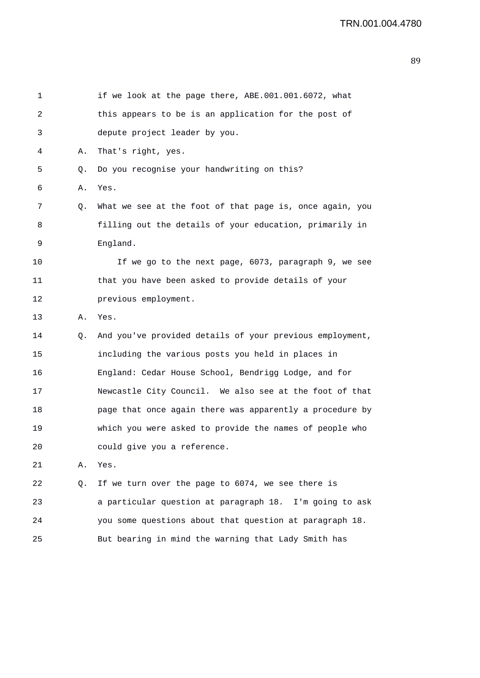| 1  |    | if we look at the page there, ABE.001.001.6072, what     |
|----|----|----------------------------------------------------------|
| 2  |    | this appears to be is an application for the post of     |
| 3  |    | depute project leader by you.                            |
| 4  | А. | That's right, yes.                                       |
| 5  | Q. | Do you recognise your handwriting on this?               |
| 6  | Α. | Yes.                                                     |
| 7  | Q. | What we see at the foot of that page is, once again, you |
| 8  |    | filling out the details of your education, primarily in  |
| 9  |    | England.                                                 |
| 10 |    | If we go to the next page, 6073, paragraph 9, we see     |
| 11 |    | that you have been asked to provide details of your      |
| 12 |    | previous employment.                                     |
| 13 | Α. | Yes.                                                     |
| 14 | Q. | And you've provided details of your previous employment, |
| 15 |    | including the various posts you held in places in        |
| 16 |    | England: Cedar House School, Bendrigg Lodge, and for     |
| 17 |    | Newcastle City Council. We also see at the foot of that  |
| 18 |    | page that once again there was apparently a procedure by |
| 19 |    | which you were asked to provide the names of people who  |
| 20 |    | could give you a reference.                              |
| 21 | Α. | Yes.                                                     |
| 22 | Q. | If we turn over the page to 6074, we see there is        |
| 23 |    | a particular question at paragraph 18. I'm going to ask  |
| 24 |    | you some questions about that question at paragraph 18.  |
| 25 |    | But bearing in mind the warning that Lady Smith has      |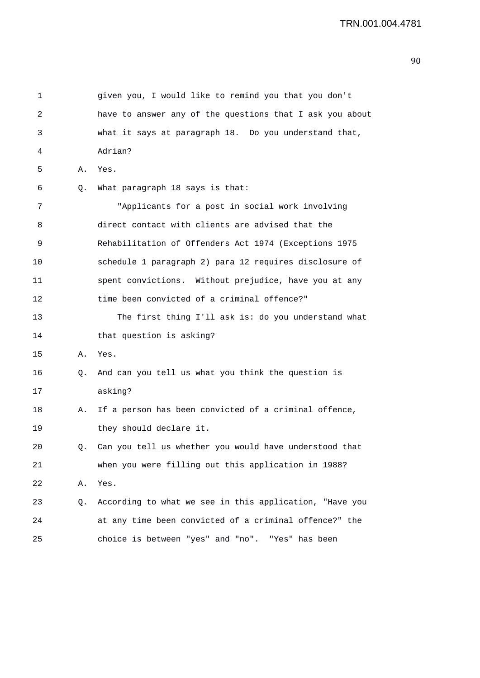| 1  |    | given you, I would like to remind you that you don't     |
|----|----|----------------------------------------------------------|
| 2  |    | have to answer any of the questions that I ask you about |
| 3  |    | what it says at paragraph 18. Do you understand that,    |
| 4  |    | Adrian?                                                  |
| 5  | Α. | Yes.                                                     |
| 6  | Q. | What paragraph 18 says is that:                          |
| 7  |    | "Applicants for a post in social work involving          |
| 8  |    | direct contact with clients are advised that the         |
| 9  |    | Rehabilitation of Offenders Act 1974 (Exceptions 1975    |
| 10 |    | schedule 1 paragraph 2) para 12 requires disclosure of   |
| 11 |    | spent convictions. Without prejudice, have you at any    |
| 12 |    | time been convicted of a criminal offence?"              |
| 13 |    | The first thing I'll ask is: do you understand what      |
| 14 |    | that question is asking?                                 |
| 15 | Α. | Yes.                                                     |
| 16 | Q. | And can you tell us what you think the question is       |
| 17 |    | asking?                                                  |
| 18 | Α. | If a person has been convicted of a criminal offence,    |
| 19 |    | they should declare it.                                  |
| 20 | Q. | Can you tell us whether you would have understood that   |
| 21 |    | when you were filling out this application in 1988?      |
| 22 | Α. | Yes.                                                     |
| 23 | Q. | According to what we see in this application, "Have you  |
| 24 |    | at any time been convicted of a criminal offence?" the   |
| 25 |    | choice is between "yes" and "no". "Yes" has been         |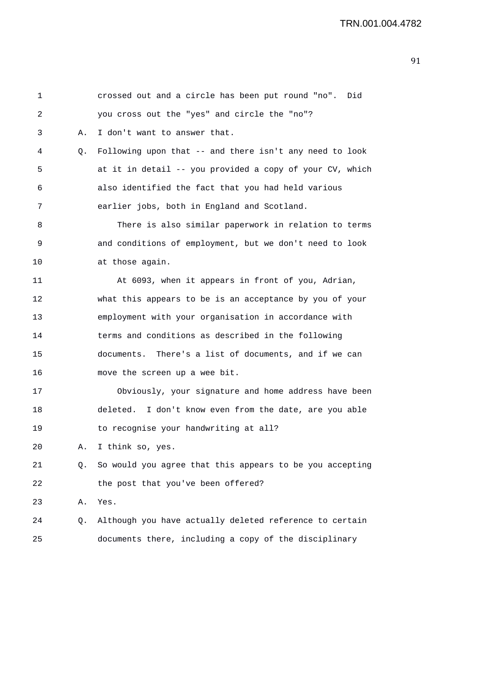| 1  |    | crossed out and a circle has been put round "no". Did    |
|----|----|----------------------------------------------------------|
| 2  |    | you cross out the "yes" and circle the "no"?             |
| 3  | Α. | I don't want to answer that.                             |
| 4  | Q. | Following upon that -- and there isn't any need to look  |
| 5  |    | at it in detail -- you provided a copy of your CV, which |
| 6  |    | also identified the fact that you had held various       |
| 7  |    | earlier jobs, both in England and Scotland.              |
| 8  |    | There is also similar paperwork in relation to terms     |
| 9  |    | and conditions of employment, but we don't need to look  |
| 10 |    | at those again.                                          |
| 11 |    | At 6093, when it appears in front of you, Adrian,        |
| 12 |    | what this appears to be is an acceptance by you of your  |
| 13 |    | employment with your organisation in accordance with     |
| 14 |    | terms and conditions as described in the following       |
| 15 |    | documents. There's a list of documents, and if we can    |
| 16 |    | move the screen up a wee bit.                            |
| 17 |    | Obviously, your signature and home address have been     |
| 18 |    | deleted. I don't know even from the date, are you able   |
| 19 |    | to recognise your handwriting at all?                    |
| 20 | Α. | I think so, yes.                                         |
| 21 | Q. | So would you agree that this appears to be you accepting |
| 22 |    | the post that you've been offered?                       |
| 23 | Α. | Yes.                                                     |
| 24 | Q. | Although you have actually deleted reference to certain  |
| 25 |    | documents there, including a copy of the disciplinary    |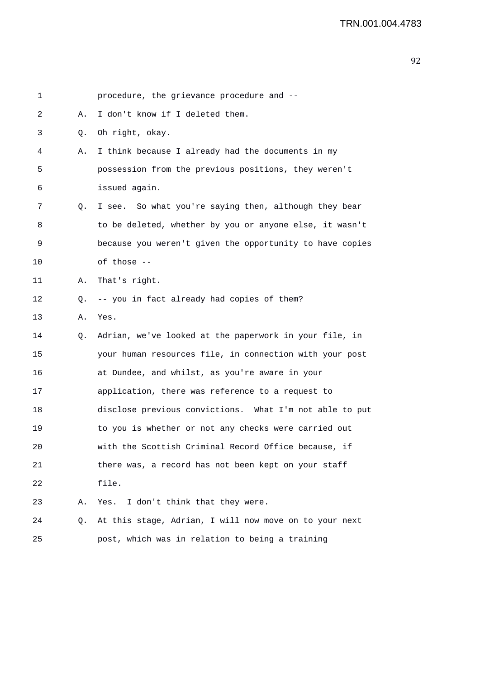| 1  |    | procedure, the grievance procedure and --                |
|----|----|----------------------------------------------------------|
| 2  | Α. | I don't know if I deleted them.                          |
| 3  | Q. | Oh right, okay.                                          |
| 4  | Α. | I think because I already had the documents in my        |
| 5  |    | possession from the previous positions, they weren't     |
| 6  |    | issued again.                                            |
| 7  | Q. | I see. So what you're saying then, although they bear    |
| 8  |    | to be deleted, whether by you or anyone else, it wasn't  |
| 9  |    | because you weren't given the opportunity to have copies |
| 10 |    | of those --                                              |
| 11 | Α. | That's right.                                            |
| 12 | Q. | -- you in fact already had copies of them?               |
| 13 | Α. | Yes.                                                     |
| 14 | Q. | Adrian, we've looked at the paperwork in your file, in   |
| 15 |    | your human resources file, in connection with your post  |
| 16 |    | at Dundee, and whilst, as you're aware in your           |
| 17 |    | application, there was reference to a request to         |
| 18 |    | disclose previous convictions. What I'm not able to put  |
| 19 |    | to you is whether or not any checks were carried out     |
| 20 |    | with the Scottish Criminal Record Office because, if     |
| 21 |    | there was, a record has not been kept on your staff      |
| 22 |    | file.                                                    |
| 23 | Α. | I don't think that they were.<br>Yes.                    |
| 24 | Q. | At this stage, Adrian, I will now move on to your next   |
| 25 |    | post, which was in relation to being a training          |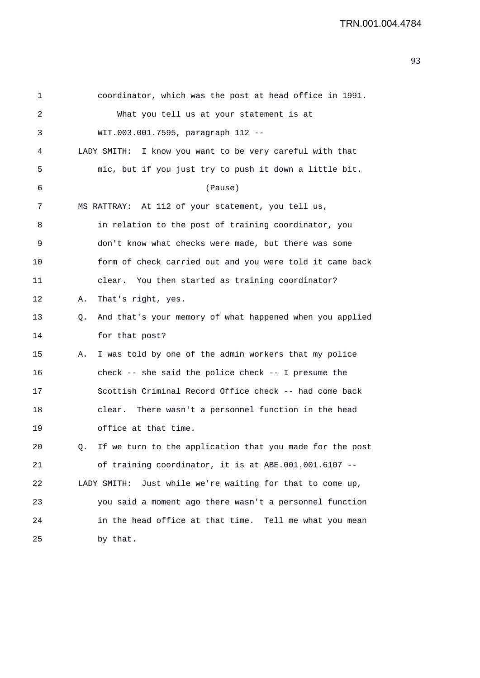| 1  |    | coordinator, which was the post at head office in 1991.      |
|----|----|--------------------------------------------------------------|
| 2  |    | What you tell us at your statement is at                     |
| 3  |    | WIT.003.001.7595, paragraph 112 --                           |
| 4  |    | LADY SMITH:<br>I know you want to be very careful with that  |
| 5  |    | mic, but if you just try to push it down a little bit.       |
| 6  |    | (Pause)                                                      |
| 7  |    | MS RATTRAY: At 112 of your statement, you tell us,           |
| 8  |    | in relation to the post of training coordinator, you         |
| 9  |    | don't know what checks were made, but there was some         |
| 10 |    | form of check carried out and you were told it came back     |
| 11 |    | clear. You then started as training coordinator?             |
| 12 | Α. | That's right, yes.                                           |
| 13 | Q. | And that's your memory of what happened when you applied     |
| 14 |    | for that post?                                               |
| 15 | Α. | I was told by one of the admin workers that my police        |
| 16 |    | check -- she said the police check -- I presume the          |
| 17 |    | Scottish Criminal Record Office check -- had come back       |
| 18 |    | There wasn't a personnel function in the head<br>clear.      |
| 19 |    | office at that time.                                         |
| 20 |    | If we turn to the application that you made for the post     |
| 21 |    | of training coordinator, it is at ABE.001.001.6107 --        |
| 22 |    | LADY SMITH:<br>Just while we're waiting for that to come up, |
| 23 |    | you said a moment ago there wasn't a personnel function      |
| 24 |    | in the head office at that time. Tell me what you mean       |
| 25 |    | by that.                                                     |
|    |    |                                                              |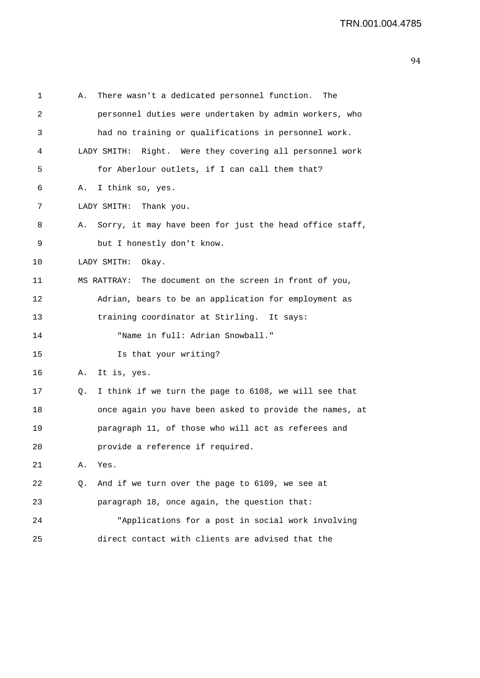```
1 A. There wasn't a dedicated personnel function. The 
2 personnel duties were undertaken by admin workers, who 
3 had no training or qualifications in personnel work. 
4 LADY SMITH: Right. Were they covering all personnel work 
5 for Aberlour outlets, if I can call them that? 
6 A. I think so, yes. 
7 LADY SMITH: Thank you. 
8 A. Sorry, it may have been for just the head office staff, 
9 but I honestly don't know. 
10 LADY SMITH: Okay. 
11 MS RATTRAY: The document on the screen in front of you, 
12 Adrian, bears to be an application for employment as 
13 training coordinator at Stirling. It says: 
14 "Name in full: Adrian Snowball." 
15 Is that your writing? 
16 A. It is, yes. 
17 Q. I think if we turn the page to 6108, we will see that 
18 once again you have been asked to provide the names, at 
19 paragraph 11, of those who will act as referees and 
20 provide a reference if required. 
21 A. Yes. 
22 Q. And if we turn over the page to 6109, we see at 
23 paragraph 18, once again, the question that: 
24 "Applications for a post in social work involving 
25 direct contact with clients are advised that the
```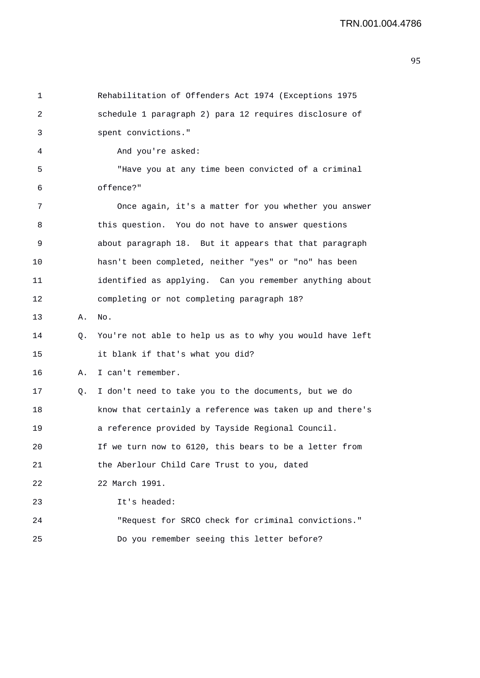| 1  |    | Rehabilitation of Offenders Act 1974 (Exceptions 1975    |
|----|----|----------------------------------------------------------|
| 2  |    | schedule 1 paragraph 2) para 12 requires disclosure of   |
| 3  |    | spent convictions."                                      |
| 4  |    | And you're asked:                                        |
| 5  |    | "Have you at any time been convicted of a criminal       |
| 6  |    | offence?"                                                |
| 7  |    | Once again, it's a matter for you whether you answer     |
| 8  |    | this question. You do not have to answer questions       |
| 9  |    | about paragraph 18. But it appears that that paragraph   |
| 10 |    | hasn't been completed, neither "yes" or "no" has been    |
| 11 |    | identified as applying. Can you remember anything about  |
| 12 |    | completing or not completing paragraph 18?               |
| 13 | Α. | No.                                                      |
| 14 | Q. | You're not able to help us as to why you would have left |
| 15 |    | it blank if that's what you did?                         |
| 16 | Α. | I can't remember.                                        |
| 17 | Q. | I don't need to take you to the documents, but we do     |
| 18 |    | know that certainly a reference was taken up and there's |
| 19 |    | a reference provided by Tayside Regional Council.        |
| 20 |    | If we turn now to 6120, this bears to be a letter from   |
| 21 |    | the Aberlour Child Care Trust to you, dated              |
| 22 |    | 22 March 1991.                                           |
| 23 |    | It's headed:                                             |
| 24 |    | "Request for SRCO check for criminal convictions."       |
| 25 |    | Do you remember seeing this letter before?               |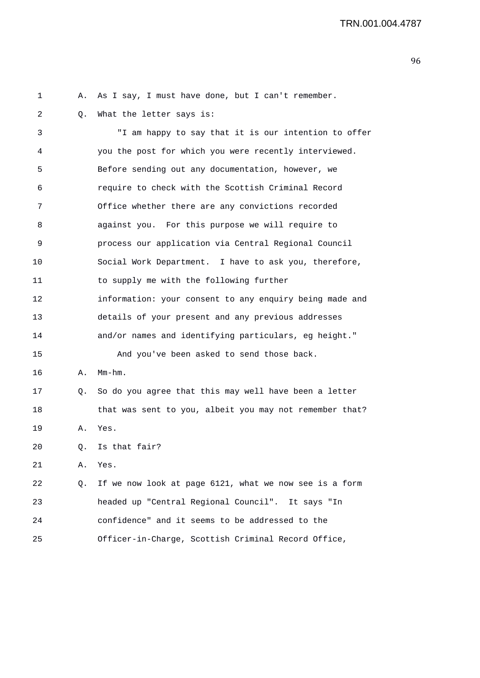1 A. As I say, I must have done, but I can't remember. 2 Q. What the letter says is: 3 "I am happy to say that it is our intention to offer 4 you the post for which you were recently interviewed. 5 Before sending out any documentation, however, we 6 require to check with the Scottish Criminal Record 7 Office whether there are any convictions recorded 8 against you. For this purpose we will require to 9 process our application via Central Regional Council 10 Social Work Department. I have to ask you, therefore, 11 to supply me with the following further 12 information: your consent to any enquiry being made and 13 details of your present and any previous addresses 14 and/or names and identifying particulars, eg height." 15 And you've been asked to send those back. 16 A. Mm-hm. 17 Q. So do you agree that this may well have been a letter 18 that was sent to you, albeit you may not remember that? 19 A. Yes. 20 Q. Is that fair? 21 A. Yes. 22 Q. If we now look at page 6121, what we now see is a form 23 headed up "Central Regional Council". It says "In 24 confidence" and it seems to be addressed to the 25 Officer-in-Charge, Scottish Criminal Record Office,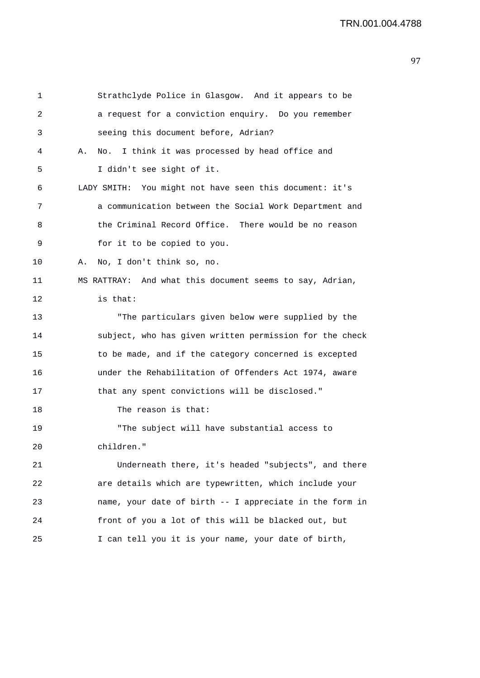1 Strathclyde Police in Glasgow. And it appears to be 2 a request for a conviction enquiry. Do you remember 3 seeing this document before, Adrian? 4 A. No. I think it was processed by head office and 5 I didn't see sight of it. 6 LADY SMITH: You might not have seen this document: it's 7 a communication between the Social Work Department and 8 the Criminal Record Office. There would be no reason 9 for it to be copied to you. 10 A. No, I don't think so, no. 11 MS RATTRAY: And what this document seems to say, Adrian, 12 is that: 13 "The particulars given below were supplied by the 14 subject, who has given written permission for the check 15 to be made, and if the category concerned is excepted 16 under the Rehabilitation of Offenders Act 1974, aware 17 that any spent convictions will be disclosed." 18 The reason is that: 19 "The subject will have substantial access to 20 children." 21 Underneath there, it's headed "subjects", and there 22 are details which are typewritten, which include your 23 name, your date of birth -- I appreciate in the form in 24 front of you a lot of this will be blacked out, but 25 I can tell you it is your name, your date of birth,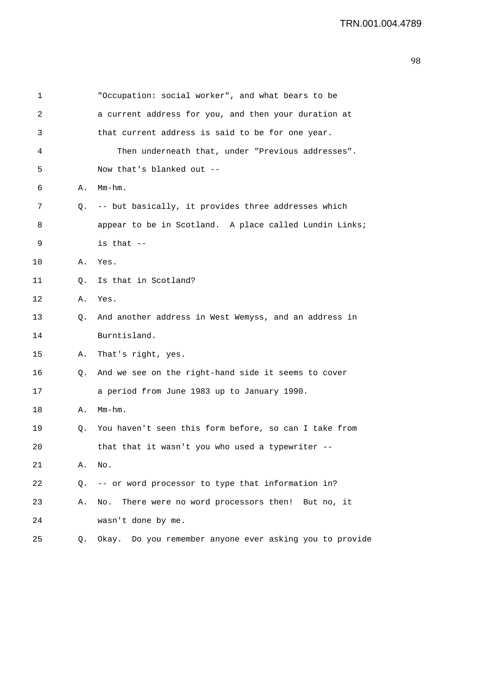| 1  |    | "Occupation: social worker", and what bears to be       |
|----|----|---------------------------------------------------------|
| 2  |    | a current address for you, and then your duration at    |
| 3  |    | that current address is said to be for one year.        |
| 4  |    | Then underneath that, under "Previous addresses".       |
| 5  |    | Now that's blanked out --                               |
| 6  | Α. | $Mm-hm$ .                                               |
| 7  | Q. | -- but basically, it provides three addresses which     |
| 8  |    | appear to be in Scotland. A place called Lundin Links;  |
| 9  |    | is that --                                              |
| 10 | Α. | Yes.                                                    |
| 11 | О. | Is that in Scotland?                                    |
| 12 | Α. | Yes.                                                    |
| 13 | Q. | And another address in West Wemyss, and an address in   |
| 14 |    | Burntisland.                                            |
| 15 | Α. | That's right, yes.                                      |
| 16 | Q. | And we see on the right-hand side it seems to cover     |
| 17 |    | a period from June 1983 up to January 1990.             |
| 18 | Α. | $Mm-hm$ .                                               |
| 19 | Q. | You haven't seen this form before, so can I take from   |
| 20 |    | that that it wasn't you who used a typewriter --        |
| 21 | Α. | No.                                                     |
| 22 |    | Q. -- or word processor to type that information in?    |
| 23 | Α. | There were no word processors then! But no, it<br>No.   |
| 24 |    | wasn't done by me.                                      |
| 25 | Q. | Okay. Do you remember anyone ever asking you to provide |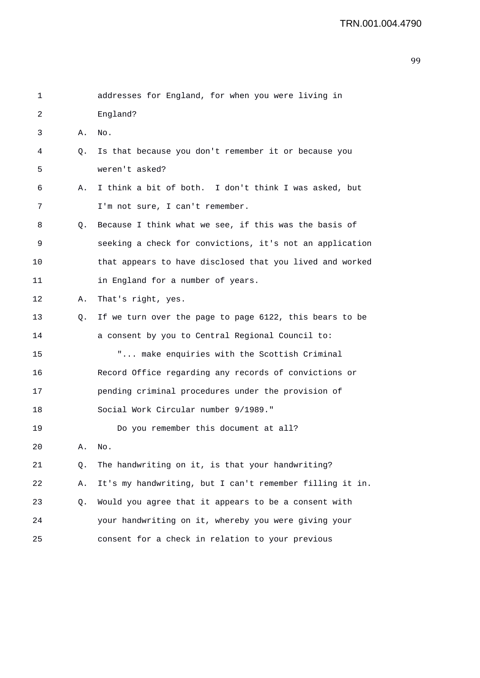| 1  |    | addresses for England, for when you were living in       |
|----|----|----------------------------------------------------------|
| 2  |    | England?                                                 |
| 3  | Α. | No.                                                      |
| 4  | Q. | Is that because you don't remember it or because you     |
| 5  |    | weren't asked?                                           |
| 6  | Α. | I think a bit of both. I don't think I was asked, but    |
| 7  |    | I'm not sure, I can't remember.                          |
| 8  | Q. | Because I think what we see, if this was the basis of    |
| 9  |    | seeking a check for convictions, it's not an application |
| 10 |    | that appears to have disclosed that you lived and worked |
| 11 |    | in England for a number of years.                        |
| 12 | Α. | That's right, yes.                                       |
| 13 | Q. | If we turn over the page to page 6122, this bears to be  |
| 14 |    | a consent by you to Central Regional Council to:         |
| 15 |    | " make enquiries with the Scottish Criminal              |
| 16 |    | Record Office regarding any records of convictions or    |
| 17 |    | pending criminal procedures under the provision of       |
| 18 |    | Social Work Circular number 9/1989."                     |
| 19 |    | Do you remember this document at all?                    |
| 20 | Α. | No.                                                      |
| 21 | Q. | The handwriting on it, is that your handwriting?         |
| 22 | Α. | It's my handwriting, but I can't remember filling it in. |
| 23 | Q. | Would you agree that it appears to be a consent with     |
| 24 |    | your handwriting on it, whereby you were giving your     |
| 25 |    | consent for a check in relation to your previous         |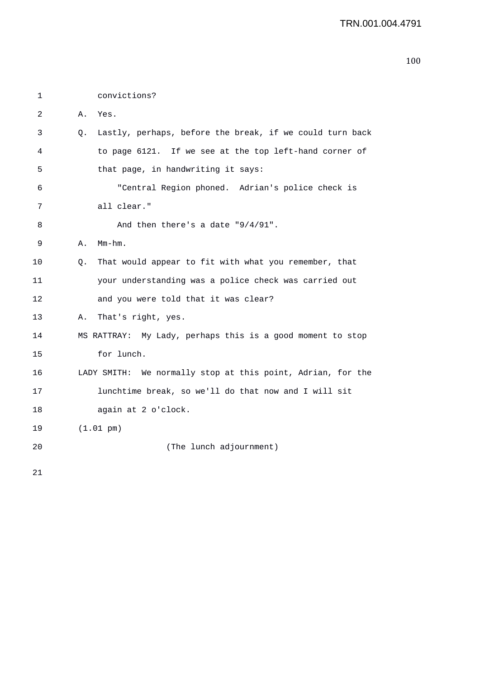1 convictions? 2 A. Yes. 3 Q. Lastly, perhaps, before the break, if we could turn back 4 to page 6121. If we see at the top left-hand corner of 5 that page, in handwriting it says: 6 "Central Region phoned. Adrian's police check is 7 all clear." 8 And then there's a date "9/4/91". 9 A. Mm-hm. 10 Q. That would appear to fit with what you remember, that 11 your understanding was a police check was carried out 12 and you were told that it was clear? 13 A. That's right, yes. 14 MS RATTRAY: My Lady, perhaps this is a good moment to stop 15 for lunch. 16 LADY SMITH: We normally stop at this point, Adrian, for the 17 lunchtime break, so we'll do that now and I will sit 18 again at 2 o'clock. 19 (1.01 pm) 20 (The lunch adjournment)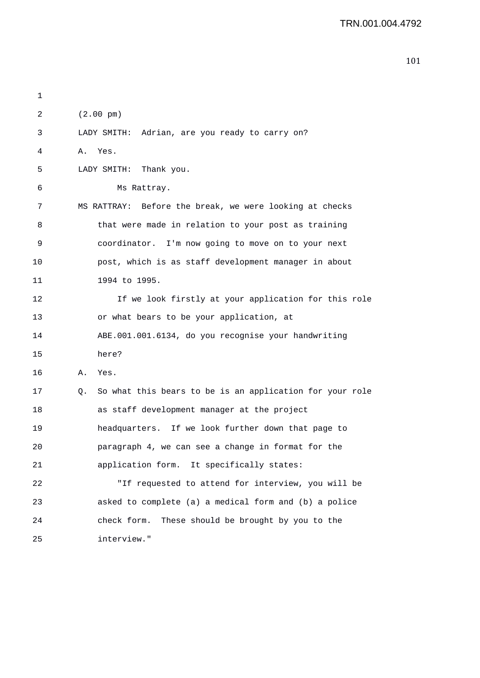| 1  |    |                                                          |
|----|----|----------------------------------------------------------|
| 2  |    | $(2.00 \text{ pm})$                                      |
| 3  |    | LADY SMITH: Adrian, are you ready to carry on?           |
| 4  | Α. | Yes.                                                     |
| 5  |    | LADY SMITH: Thank you.                                   |
| 6  |    | Ms Rattray.                                              |
| 7  |    | MS RATTRAY: Before the break, we were looking at checks  |
| 8  |    | that were made in relation to your post as training      |
| 9  |    | coordinator. I'm now going to move on to your next       |
| 10 |    | post, which is as staff development manager in about     |
| 11 |    | 1994 to 1995.                                            |
| 12 |    | If we look firstly at your application for this role     |
| 13 |    | or what bears to be your application, at                 |
| 14 |    | ABE.001.001.6134, do you recognise your handwriting      |
| 15 |    | here?                                                    |
| 16 | Α. | Yes.                                                     |
| 17 | Q. | So what this bears to be is an application for your role |
| 18 |    | as staff development manager at the project              |
| 19 |    | headquarters. If we look further down that page to       |
| 20 |    | paragraph 4, we can see a change in format for the       |
| 21 |    | application form. It specifically states:                |
| 22 |    | "If requested to attend for interview, you will be       |
| 23 |    | asked to complete (a) a medical form and (b) a police    |
| 24 |    | check form.<br>These should be brought by you to the     |
| 25 |    | interview."                                              |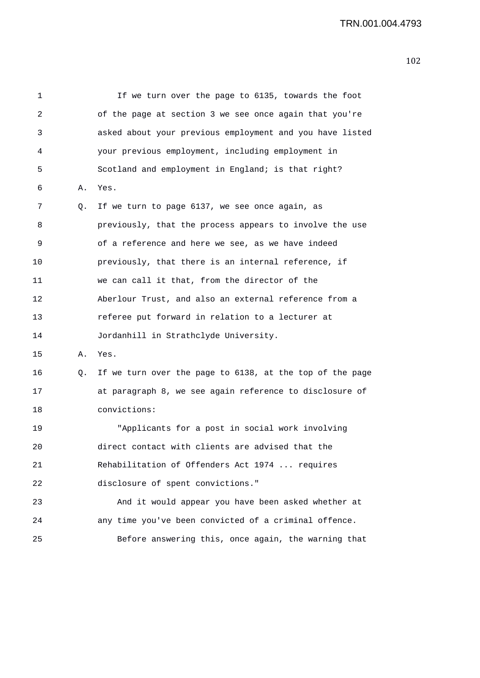1 If we turn over the page to 6135, towards the foot 2 of the page at section 3 we see once again that you're 3 asked about your previous employment and you have listed 4 your previous employment, including employment in 5 Scotland and employment in England; is that right? 6 A. Yes. 7 Q. If we turn to page 6137, we see once again, as 8 previously, that the process appears to involve the use 9 of a reference and here we see, as we have indeed 10 previously, that there is an internal reference, if 11 we can call it that, from the director of the 12 Aberlour Trust, and also an external reference from a 13 referee put forward in relation to a lecturer at 14 Jordanhill in Strathclyde University. 15 A. Yes. 16 Q. If we turn over the page to 6138, at the top of the page 17 at paragraph 8, we see again reference to disclosure of 18 convictions: 19 "Applicants for a post in social work involving 20 direct contact with clients are advised that the 21 Rehabilitation of Offenders Act 1974 ... requires 22 disclosure of spent convictions." 23 And it would appear you have been asked whether at 24 any time you've been convicted of a criminal offence. 25 Before answering this, once again, the warning that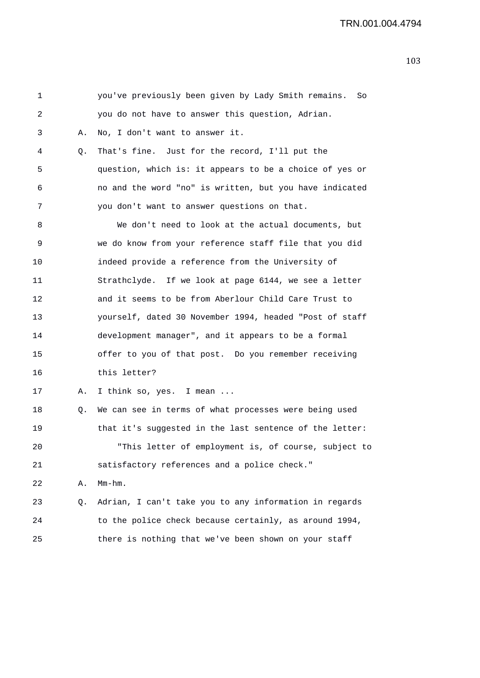| 1  |    | you've previously been given by Lady Smith remains.<br>So |
|----|----|-----------------------------------------------------------|
| 2  |    | you do not have to answer this question, Adrian.          |
| 3  | Α. | No, I don't want to answer it.                            |
| 4  | Q. | That's fine. Just for the record, I'll put the            |
| 5  |    | question, which is: it appears to be a choice of yes or   |
| 6  |    | no and the word "no" is written, but you have indicated   |
| 7  |    | you don't want to answer questions on that.               |
| 8  |    | We don't need to look at the actual documents, but        |
| 9  |    | we do know from your reference staff file that you did    |
| 10 |    | indeed provide a reference from the University of         |
| 11 |    | Strathclyde. If we look at page 6144, we see a letter     |
| 12 |    | and it seems to be from Aberlour Child Care Trust to      |
| 13 |    | yourself, dated 30 November 1994, headed "Post of staff   |
| 14 |    | development manager", and it appears to be a formal       |
| 15 |    | offer to you of that post. Do you remember receiving      |
| 16 |    | this letter?                                              |
| 17 | Α. | I think so, yes. I mean                                   |
| 18 | Q. | We can see in terms of what processes were being used     |
| 19 |    | that it's suggested in the last sentence of the letter:   |
| 20 |    | "This letter of employment is, of course, subject to      |
| 21 |    | satisfactory references and a police check."              |
| 22 | Α. | $Mm-hm$ .                                                 |
| 23 | Q. | Adrian, I can't take you to any information in regards    |
| 24 |    | to the police check because certainly, as around 1994,    |
| 25 |    | there is nothing that we've been shown on your staff      |
|    |    |                                                           |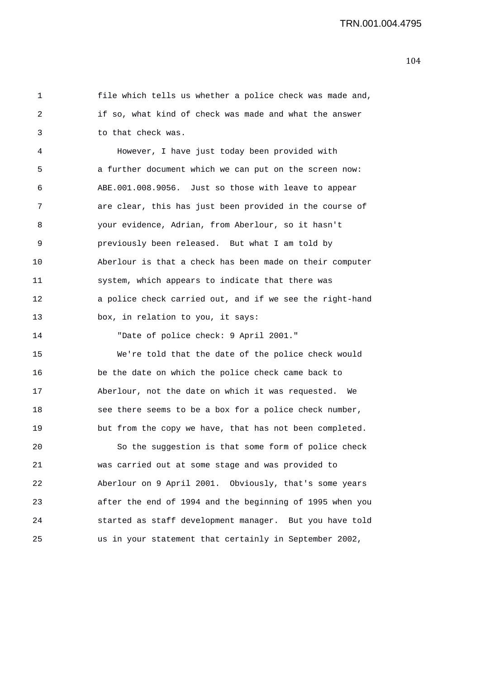1 file which tells us whether a police check was made and, 2 if so, what kind of check was made and what the answer 3 to that check was. 4 However, I have just today been provided with 5 a further document which we can put on the screen now: 6 ABE.001.008.9056. Just so those with leave to appear 7 are clear, this has just been provided in the course of 8 your evidence, Adrian, from Aberlour, so it hasn't 9 previously been released. But what I am told by 10 Aberlour is that a check has been made on their computer 11 system, which appears to indicate that there was 12 a police check carried out, and if we see the right-hand 13 box, in relation to you, it says:

14 "Date of police check: 9 April 2001."

15 We're told that the date of the police check would 16 be the date on which the police check came back to 17 Aberlour, not the date on which it was requested. We 18 see there seems to be a box for a police check number, 19 but from the copy we have, that has not been completed.

20 So the suggestion is that some form of police check 21 was carried out at some stage and was provided to 22 Aberlour on 9 April 2001. Obviously, that's some years 23 after the end of 1994 and the beginning of 1995 when you 24 started as staff development manager. But you have told 25 us in your statement that certainly in September 2002,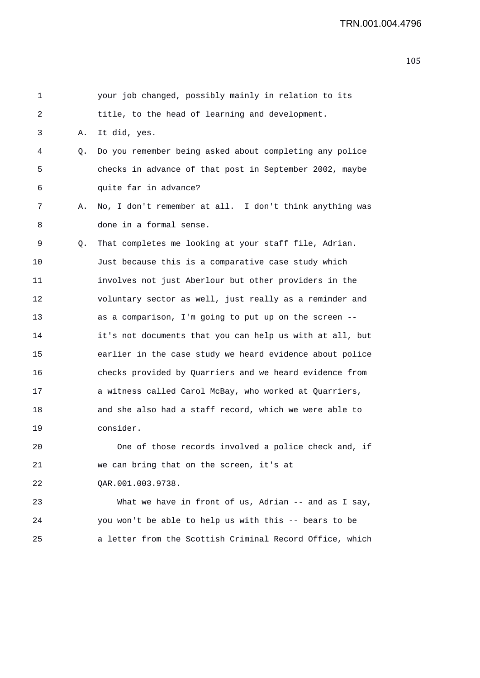| 1  |    | your job changed, possibly mainly in relation to its     |
|----|----|----------------------------------------------------------|
| 2  |    | title, to the head of learning and development.          |
| 3  | Α. | It did, yes.                                             |
| 4  | Q. | Do you remember being asked about completing any police  |
| 5  |    | checks in advance of that post in September 2002, maybe  |
| 6  |    | quite far in advance?                                    |
| 7  | Α. | No, I don't remember at all. I don't think anything was  |
| 8  |    | done in a formal sense.                                  |
| 9  | Q. | That completes me looking at your staff file, Adrian.    |
| 10 |    | Just because this is a comparative case study which      |
| 11 |    | involves not just Aberlour but other providers in the    |
| 12 |    | voluntary sector as well, just really as a reminder and  |
| 13 |    | as a comparison, I'm going to put up on the screen --    |
| 14 |    | it's not documents that you can help us with at all, but |
| 15 |    | earlier in the case study we heard evidence about police |
| 16 |    | checks provided by Quarriers and we heard evidence from  |
| 17 |    | a witness called Carol McBay, who worked at Quarriers,   |
| 18 |    | and she also had a staff record, which we were able to   |
| 19 |    | consider.                                                |
| 20 |    | One of those records involved a police check and, if     |
| 21 |    | we can bring that on the screen, it's at                 |
| 22 |    | QAR.001.003.9738.                                        |
| 23 |    | What we have in front of us, Adrian -- and as I say,     |
| 24 |    | you won't be able to help us with this -- bears to be    |

25 a letter from the Scottish Criminal Record Office, which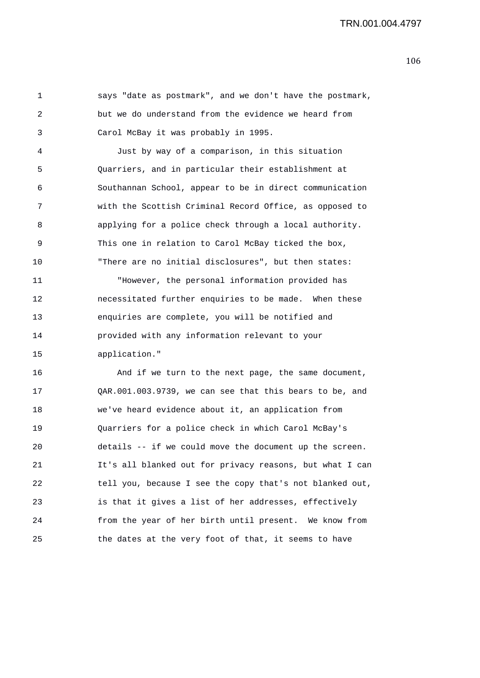1 says "date as postmark", and we don't have the postmark, 2 but we do understand from the evidence we heard from 3 Carol McBay it was probably in 1995.

4 Just by way of a comparison, in this situation 5 Quarriers, and in particular their establishment at 6 Southannan School, appear to be in direct communication 7 with the Scottish Criminal Record Office, as opposed to 8 applying for a police check through a local authority. 9 This one in relation to Carol McBay ticked the box, 10 "There are no initial disclosures", but then states:

11 "However, the personal information provided has 12 necessitated further enquiries to be made. When these 13 enquiries are complete, you will be notified and 14 provided with any information relevant to your 15 application."

16 And if we turn to the next page, the same document, 17 QAR.001.003.9739, we can see that this bears to be, and 18 we've heard evidence about it, an application from 19 Quarriers for a police check in which Carol McBay's 20 details -- if we could move the document up the screen. 21 It's all blanked out for privacy reasons, but what I can 22 tell you, because I see the copy that's not blanked out, 23 is that it gives a list of her addresses, effectively 24 from the year of her birth until present. We know from 25 the dates at the very foot of that, it seems to have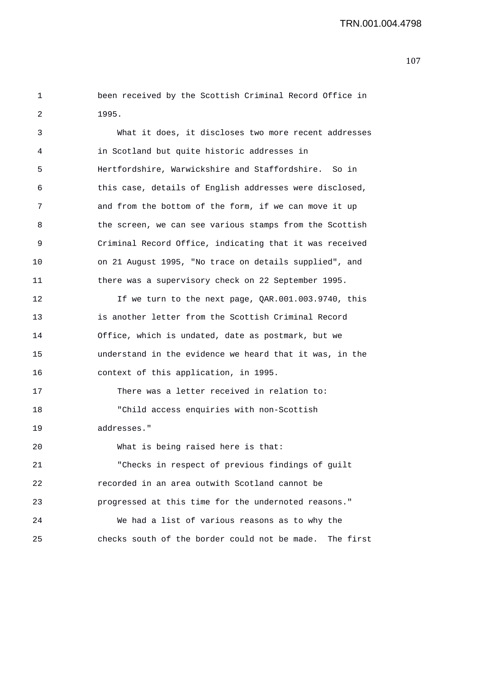1 been received by the Scottish Criminal Record Office in 2 1995.

| 3  | What it does, it discloses two more recent addresses       |
|----|------------------------------------------------------------|
| 4  | in Scotland but quite historic addresses in                |
| 5  | Hertfordshire, Warwickshire and Staffordshire. So in       |
| 6  | this case, details of English addresses were disclosed,    |
| 7  | and from the bottom of the form, if we can move it up      |
| 8  | the screen, we can see various stamps from the Scottish    |
| 9  | Criminal Record Office, indicating that it was received    |
| 10 | on 21 August 1995, "No trace on details supplied", and     |
| 11 | there was a supervisory check on 22 September 1995.        |
| 12 | If we turn to the next page, QAR.001.003.9740, this        |
| 13 | is another letter from the Scottish Criminal Record        |
| 14 | Office, which is undated, date as postmark, but we         |
| 15 | understand in the evidence we heard that it was, in the    |
| 16 | context of this application, in 1995.                      |
| 17 | There was a letter received in relation to:                |
| 18 | "Child access enquiries with non-Scottish                  |
| 19 | addresses."                                                |
| 20 | What is being raised here is that:                         |
| 21 | "Checks in respect of previous findings of guilt           |
| 22 | recorded in an area outwith Scotland cannot be             |
| 23 | progressed at this time for the undernoted reasons."       |
| 24 | We had a list of various reasons as to why the             |
| 25 | checks south of the border could not be made.<br>The first |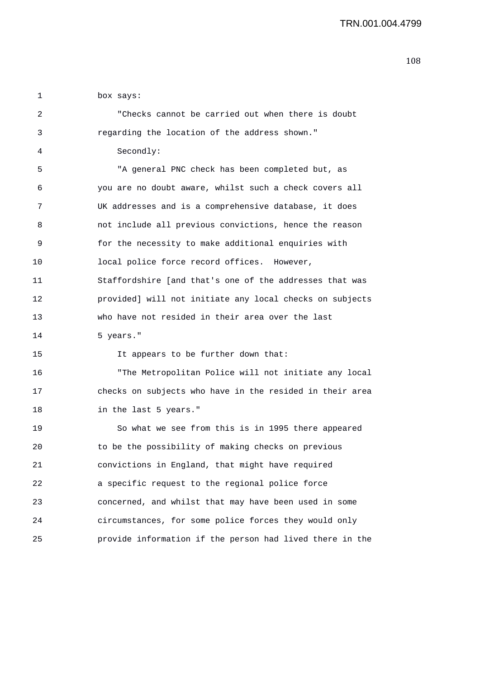1 box says:

| 2  | "Checks cannot be carried out when there is doubt        |
|----|----------------------------------------------------------|
| 3  | regarding the location of the address shown."            |
| 4  | Secondly:                                                |
| 5  | "A general PNC check has been completed but, as          |
| 6  | you are no doubt aware, whilst such a check covers all   |
| 7  | UK addresses and is a comprehensive database, it does    |
| 8  | not include all previous convictions, hence the reason   |
| 9  | for the necessity to make additional enquiries with      |
| 10 | local police force record offices. However,              |
| 11 | Staffordshire [and that's one of the addresses that was  |
| 12 | provided] will not initiate any local checks on subjects |
| 13 | who have not resided in their area over the last         |
|    |                                                          |
| 14 | 5 years."                                                |
| 15 | It appears to be further down that:                      |
| 16 | "The Metropolitan Police will not initiate any local     |
| 17 | checks on subjects who have in the resided in their area |
| 18 | in the last 5 years."                                    |
| 19 | So what we see from this is in 1995 there appeared       |
| 20 | to be the possibility of making checks on previous       |
| 21 | convictions in England, that might have required         |
| 22 | a specific request to the regional police force          |
| 23 | concerned, and whilst that may have been used in some    |
| 24 | circumstances, for some police forces they would only    |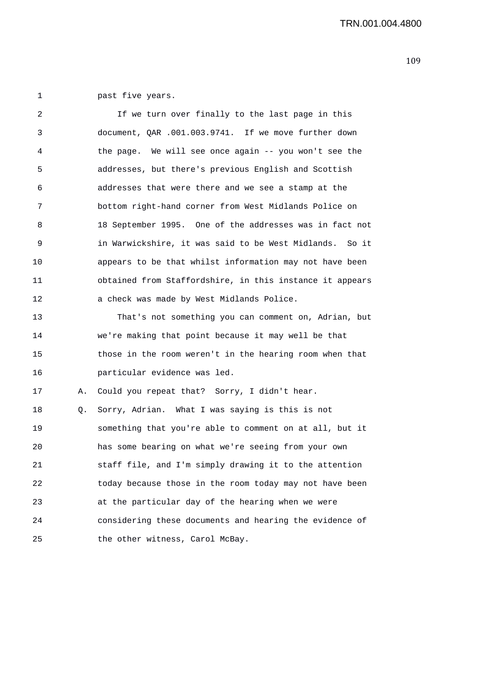1 past five years.

| 2  |    | If we turn over finally to the last page in this         |
|----|----|----------------------------------------------------------|
| 3  |    | document, QAR .001.003.9741. If we move further down     |
| 4  |    | the page. We will see once again -- you won't see the    |
| 5  |    | addresses, but there's previous English and Scottish     |
| 6  |    | addresses that were there and we see a stamp at the      |
| 7  |    | bottom right-hand corner from West Midlands Police on    |
| 8  |    | 18 September 1995. One of the addresses was in fact not  |
| 9  |    | in Warwickshire, it was said to be West Midlands. So it  |
| 10 |    | appears to be that whilst information may not have been  |
| 11 |    | obtained from Staffordshire, in this instance it appears |
| 12 |    | a check was made by West Midlands Police.                |
| 13 |    | That's not something you can comment on, Adrian, but     |
| 14 |    | we're making that point because it may well be that      |
| 15 |    | those in the room weren't in the hearing room when that  |
| 16 |    | particular evidence was led.                             |
| 17 | Α. | Could you repeat that? Sorry, I didn't hear.             |
| 18 | Q. | Sorry, Adrian. What I was saying is this is not          |
| 19 |    | something that you're able to comment on at all, but it  |
| 20 |    | has some bearing on what we're seeing from your own      |
| 21 |    | staff file, and I'm simply drawing it to the attention   |
| 22 |    | today because those in the room today may not have been  |
| 23 |    | at the particular day of the hearing when we were        |
| 24 |    | considering these documents and hearing the evidence of  |
| 25 |    | the other witness, Carol McBay.                          |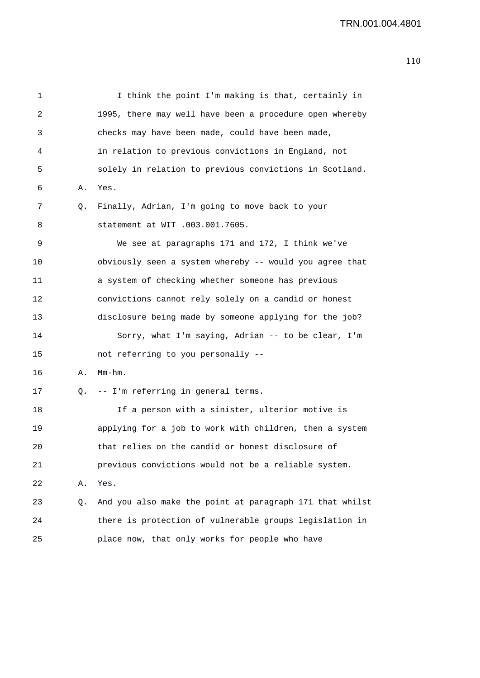| 1  |    | I think the point I'm making is that, certainly in       |
|----|----|----------------------------------------------------------|
| 2  |    | 1995, there may well have been a procedure open whereby  |
| 3  |    | checks may have been made, could have been made,         |
| 4  |    | in relation to previous convictions in England, not      |
| 5  |    | solely in relation to previous convictions in Scotland.  |
| 6  | Α. | Yes.                                                     |
| 7  | Q. | Finally, Adrian, I'm going to move back to your          |
| 8  |    | statement at WIT .003.001.7605.                          |
| 9  |    | We see at paragraphs 171 and 172, I think we've          |
| 10 |    | obviously seen a system whereby -- would you agree that  |
| 11 |    | a system of checking whether someone has previous        |
| 12 |    | convictions cannot rely solely on a candid or honest     |
| 13 |    | disclosure being made by someone applying for the job?   |
| 14 |    | Sorry, what I'm saying, Adrian -- to be clear, I'm       |
| 15 |    | not referring to you personally --                       |
| 16 | Α. | $Mm-hm$ .                                                |
| 17 | Q. | -- I'm referring in general terms.                       |
| 18 |    | If a person with a sinister, ulterior motive is          |
| 19 |    | applying for a job to work with children, then a system  |
| 20 |    | that relies on the candid or honest disclosure of        |
| 21 |    | previous convictions would not be a reliable system.     |
| 22 | Α. | Yes.                                                     |
| 23 | Q. | And you also make the point at paragraph 171 that whilst |
| 24 |    | there is protection of vulnerable groups legislation in  |
| 25 |    | place now, that only works for people who have           |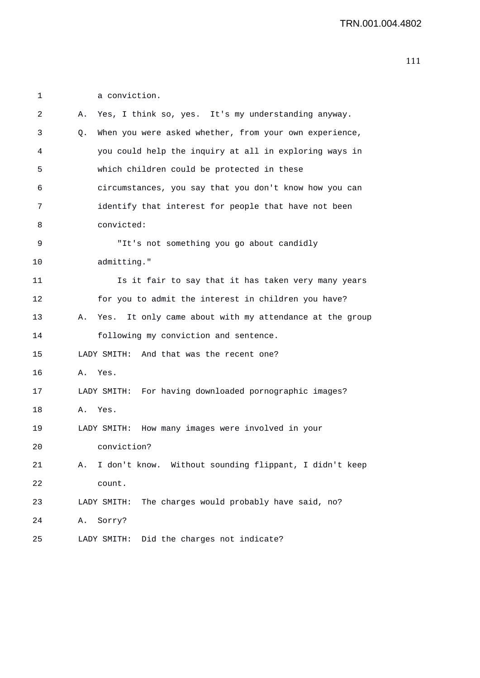1 a conviction. 2 A. Yes, I think so, yes. It's my understanding anyway. 3 Q. When you were asked whether, from your own experience, 4 you could help the inquiry at all in exploring ways in 5 which children could be protected in these 6 circumstances, you say that you don't know how you can 7 identify that interest for people that have not been 8 convicted: 9 "It's not something you go about candidly 10 admitting." 11 Is it fair to say that it has taken very many years 12 for you to admit the interest in children you have? 13 A. Yes. It only came about with my attendance at the group 14 following my conviction and sentence. 15 LADY SMITH: And that was the recent one? 16 A. Yes. 17 LADY SMITH: For having downloaded pornographic images? 18 A. Yes. 19 LADY SMITH: How many images were involved in your 20 conviction? 21 A. I don't know. Without sounding flippant, I didn't keep 22 count. 23 LADY SMITH: The charges would probably have said, no? 24 A. Sorry? 25 LADY SMITH: Did the charges not indicate?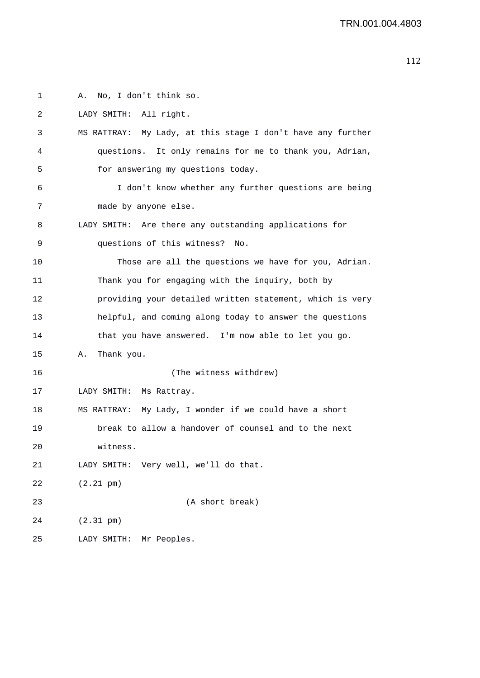```
1 A. No, I don't think so. 
2 LADY SMITH: All right. 
3 MS RATTRAY: My Lady, at this stage I don't have any further 
4 questions. It only remains for me to thank you, Adrian, 
5 for answering my questions today. 
6 I don't know whether any further questions are being 
7 made by anyone else. 
8 LADY SMITH: Are there any outstanding applications for 
9 questions of this witness? No. 
10 Those are all the questions we have for you, Adrian. 
11 Thank you for engaging with the inquiry, both by 
12 providing your detailed written statement, which is very 
13 helpful, and coming along today to answer the questions 
14 that you have answered. I'm now able to let you go. 
15 A. Thank you. 
16 (The witness withdrew) 
17 LADY SMITH: Ms Rattray. 
18 MS RATTRAY: My Lady, I wonder if we could have a short 
19 break to allow a handover of counsel and to the next 
20 witness. 
21 LADY SMITH: Very well, we'll do that. 
22 (2.21 pm) 
23 (A short break) 
24 (2.31 pm) 
25 LADY SMITH: Mr Peoples.
```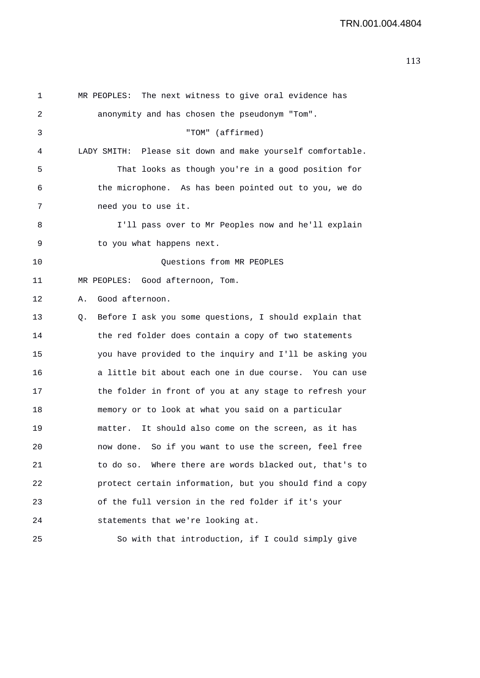1 MR PEOPLES: The next witness to give oral evidence has 2 anonymity and has chosen the pseudonym "Tom". 3 "TOM" (affirmed) 4 LADY SMITH: Please sit down and make yourself comfortable. 5 That looks as though you're in a good position for 6 the microphone. As has been pointed out to you, we do 7 need you to use it. 8 I'll pass over to Mr Peoples now and he'll explain 9 to you what happens next. 10 Ouestions from MR PEOPLES 11 MR PEOPLES: Good afternoon, Tom. 12 A. Good afternoon. 13 Q. Before I ask you some questions, I should explain that 14 the red folder does contain a copy of two statements 15 you have provided to the inquiry and I'll be asking you 16 a little bit about each one in due course. You can use 17 the folder in front of you at any stage to refresh your 18 memory or to look at what you said on a particular 19 matter. It should also come on the screen, as it has 20 now done. So if you want to use the screen, feel free 21 to do so. Where there are words blacked out, that's to 22 protect certain information, but you should find a copy 23 of the full version in the red folder if it's your 24 statements that we're looking at. 25 So with that introduction, if I could simply give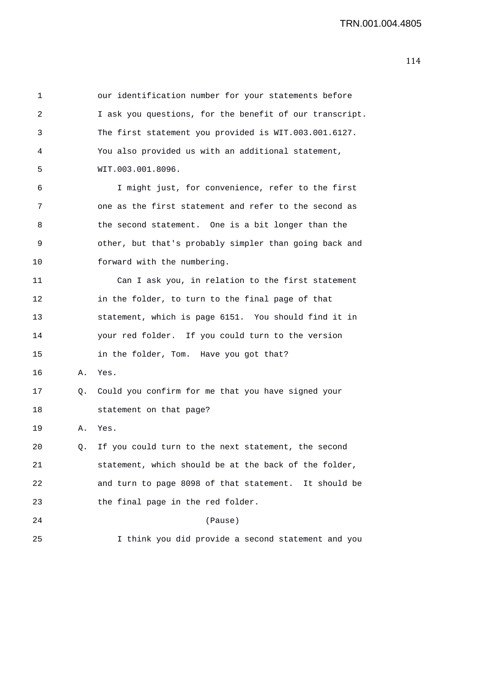1 our identification number for your statements before 2 I ask you questions, for the benefit of our transcript. 3 The first statement you provided is WIT.003.001.6127. 4 You also provided us with an additional statement, 5 WIT.003.001.8096. 6 I might just, for convenience, refer to the first 7 one as the first statement and refer to the second as 8 the second statement. One is a bit longer than the 9 other, but that's probably simpler than going back and 10 forward with the numbering. 11 Can I ask you, in relation to the first statement 12 in the folder, to turn to the final page of that 13 statement, which is page 6151. You should find it in 14 your red folder. If you could turn to the version 15 in the folder, Tom. Have you got that? 16 A. Yes. 17 Q. Could you confirm for me that you have signed your 18 statement on that page? 19 A. Yes. 20 Q. If you could turn to the next statement, the second 21 statement, which should be at the back of the folder, 22 and turn to page 8098 of that statement. It should be 23 the final page in the red folder. 24 (Pause) 25 I think you did provide a second statement and you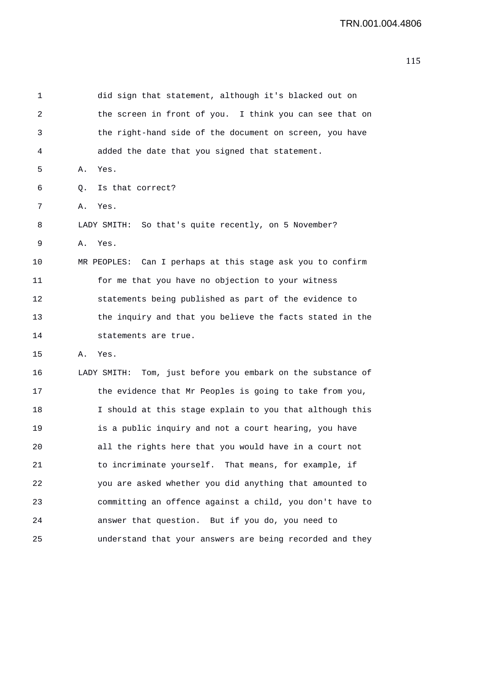```
1 did sign that statement, although it's blacked out on 
2 the screen in front of you. I think you can see that on 
3 the right-hand side of the document on screen, you have 
4 added the date that you signed that statement. 
5 A. Yes. 
6 Q. Is that correct? 
7 A. Yes. 
8 LADY SMITH: So that's quite recently, on 5 November? 
9 A. Yes. 
10 MR PEOPLES: Can I perhaps at this stage ask you to confirm 
11 for me that you have no objection to your witness 
12 statements being published as part of the evidence to 
13 the inquiry and that you believe the facts stated in the 
14 statements are true. 
15 A. Yes. 
16 LADY SMITH: Tom, just before you embark on the substance of 
17 the evidence that Mr Peoples is going to take from you, 
18 I should at this stage explain to you that although this 
19 is a public inquiry and not a court hearing, you have 
20 all the rights here that you would have in a court not 
21 to incriminate yourself. That means, for example, if 
22 you are asked whether you did anything that amounted to 
23 committing an offence against a child, you don't have to 
24 answer that question. But if you do, you need to 
25 understand that your answers are being recorded and they
```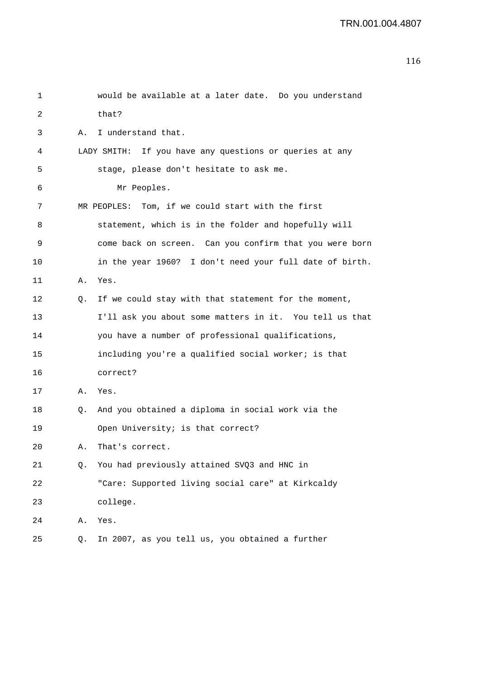| 1  |    | would be available at a later date. Do you understand   |
|----|----|---------------------------------------------------------|
| 2  |    | that?                                                   |
| 3  | Α. | I understand that.                                      |
| 4  |    | LADY SMITH: If you have any questions or queries at any |
| 5  |    | stage, please don't hesitate to ask me.                 |
| 6  |    | Mr Peoples.                                             |
| 7  |    | MR PEOPLES: Tom, if we could start with the first       |
| 8  |    | statement, which is in the folder and hopefully will    |
| 9  |    | come back on screen. Can you confirm that you were born |
| 10 |    | in the year 1960? I don't need your full date of birth. |
| 11 | Α. | Yes.                                                    |
| 12 | Q. | If we could stay with that statement for the moment,    |
| 13 |    | I'll ask you about some matters in it. You tell us that |
| 14 |    | you have a number of professional qualifications,       |
| 15 |    | including you're a qualified social worker; is that     |
| 16 |    | correct?                                                |
| 17 | Α. | Yes.                                                    |
| 18 | Q. | And you obtained a diploma in social work via the       |
| 19 |    | Open University; is that correct?                       |
| 20 | Α. | That's correct.                                         |
| 21 | Q. | You had previously attained SVQ3 and HNC in             |
| 22 |    | "Care: Supported living social care" at Kirkcaldy       |
| 23 |    | college.                                                |
| 24 | Α. | Yes.                                                    |
| 25 | Q. | In 2007, as you tell us, you obtained a further         |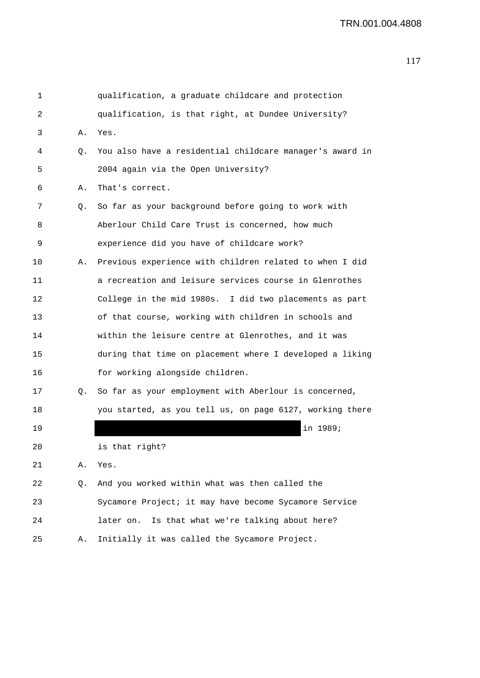| 1  |    | qualification, a graduate childcare and protection       |
|----|----|----------------------------------------------------------|
| 2  |    | qualification, is that right, at Dundee University?      |
| 3  | Α. | Yes.                                                     |
| 4  | Q. | You also have a residential childcare manager's award in |
| 5  |    | 2004 again via the Open University?                      |
| 6  | Α. | That's correct.                                          |
| 7  | Q. | So far as your background before going to work with      |
| 8  |    | Aberlour Child Care Trust is concerned, how much         |
| 9  |    | experience did you have of childcare work?               |
| 10 | Α. | Previous experience with children related to when I did  |
| 11 |    | a recreation and leisure services course in Glenrothes   |
| 12 |    | College in the mid 1980s. I did two placements as part   |
| 13 |    | of that course, working with children in schools and     |
| 14 |    | within the leisure centre at Glenrothes, and it was      |
| 15 |    | during that time on placement where I developed a liking |
| 16 |    | for working alongside children.                          |
| 17 | Q. | So far as your employment with Aberlour is concerned,    |
| 18 |    | you started, as you tell us, on page 6127, working there |
| 19 |    | in 1989;                                                 |
| 20 |    | is that right?                                           |
| 21 | Α. | Yes.                                                     |
| 22 | Q. | And you worked within what was then called the           |
| 23 |    | Sycamore Project; it may have become Sycamore Service    |
| 24 |    | Is that what we're talking about here?<br>later on.      |
| 25 | Α. | Initially it was called the Sycamore Project.            |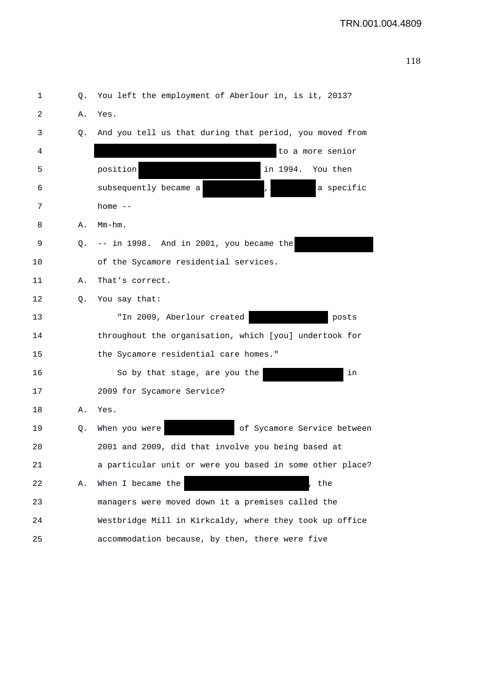| 1  | Q. | You left the employment of Aberlour in, is it, 2013?     |
|----|----|----------------------------------------------------------|
| 2  | Α. | Yes.                                                     |
| 3  | Q. | And you tell us that during that period, you moved from  |
| 4  |    | to a more senior                                         |
| 5  |    | position<br>in 1994.<br>You then                         |
| 6  |    | subsequently became a<br>a specific                      |
| 7  |    | home $--$                                                |
| 8  | Α. | $Mm-hm$ .                                                |
| 9  | Q. | -- in 1998. And in 2001, you became the                  |
| 10 |    | of the Sycamore residential services.                    |
| 11 | Α. | That's correct.                                          |
| 12 | Q. | You say that:                                            |
| 13 |    | "In 2009, Aberlour created<br>posts                      |
| 14 |    | throughout the organisation, which [you] undertook for   |
| 15 |    | the Sycamore residential care homes."                    |
| 16 |    | So by that stage, are you the<br>in                      |
| 17 |    | 2009 for Sycamore Service?                               |
| 18 | Α. | Yes.                                                     |
| 19 | Q. | of Sycamore Service between<br>When you were             |
| 20 |    | 2001 and 2009, did that involve you being based at       |
| 21 |    | a particular unit or were you based in some other place? |
| 22 | Α. | When I became the<br>, the                               |
| 23 |    | managers were moved down it a premises called the        |
| 24 |    | Westbridge Mill in Kirkcaldy, where they took up office  |
| 25 |    | accommodation because, by then, there were five          |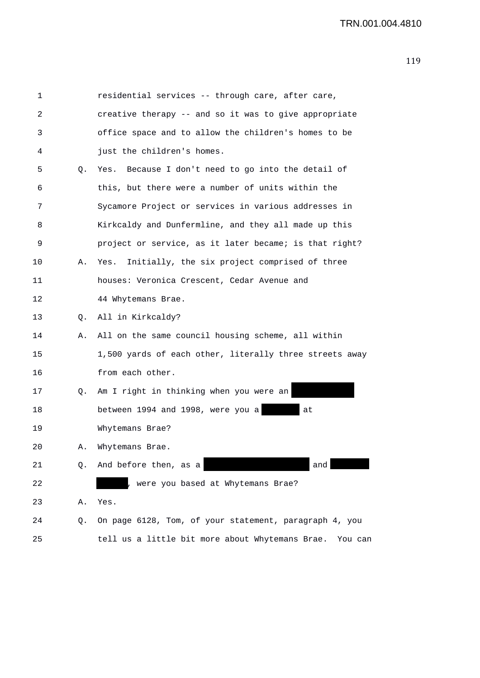| 1  |    | residential services -- through care, after care,          |
|----|----|------------------------------------------------------------|
| 2  |    | creative therapy -- and so it was to give appropriate      |
| 3  |    | office space and to allow the children's homes to be       |
| 4  |    | just the children's homes.                                 |
| 5  | Q. | Yes. Because I don't need to go into the detail of         |
| 6  |    | this, but there were a number of units within the          |
| 7  |    | Sycamore Project or services in various addresses in       |
| 8  |    | Kirkcaldy and Dunfermline, and they all made up this       |
| 9  |    | project or service, as it later became; is that right?     |
| 10 | Α. | Yes. Initially, the six project comprised of three         |
| 11 |    | houses: Veronica Crescent, Cedar Avenue and                |
| 12 |    | 44 Whytemans Brae.                                         |
| 13 | О. | All in Kirkcaldy?                                          |
| 14 | Α. | All on the same council housing scheme, all within         |
| 15 |    | 1,500 yards of each other, literally three streets away    |
| 16 |    | from each other.                                           |
| 17 | Q. | Am I right in thinking when you were an                    |
| 18 |    | between 1994 and 1998, were you a<br>at                    |
| 19 |    | Whytemans Brae?                                            |
| 20 | Α. | Whytemans Brae.                                            |
| 21 | Q. | And before then, as a<br>and                               |
| 22 |    | were you based at Whytemans Brae?                          |
| 23 | Α. | Yes.                                                       |
| 24 | Q. | On page 6128, Tom, of your statement, paragraph 4, you     |
| 25 |    | tell us a little bit more about Whytemans Brae.<br>You can |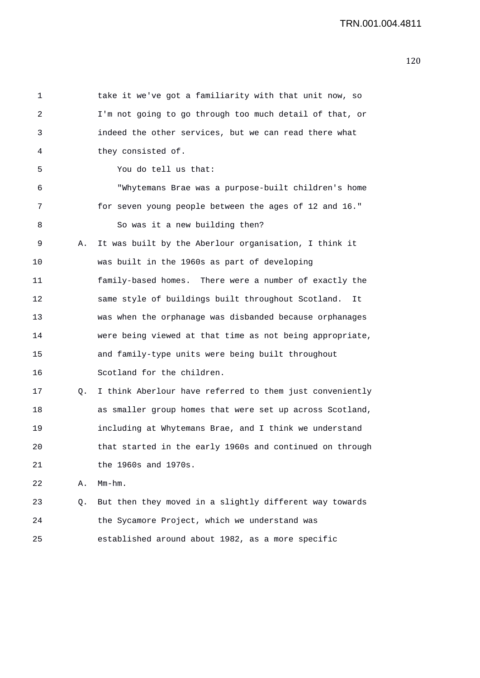| 1  |    | take it we've got a familiarity with that unit now, so   |
|----|----|----------------------------------------------------------|
| 2  |    | I'm not going to go through too much detail of that, or  |
| 3  |    | indeed the other services, but we can read there what    |
| 4  |    | they consisted of.                                       |
| 5  |    | You do tell us that:                                     |
| 6  |    | "Whytemans Brae was a purpose-built children's home      |
| 7  |    | for seven young people between the ages of 12 and 16."   |
| 8  |    | So was it a new building then?                           |
| 9  | Α. | It was built by the Aberlour organisation, I think it    |
| 10 |    | was built in the 1960s as part of developing             |
| 11 |    | family-based homes. There were a number of exactly the   |
| 12 |    | same style of buildings built throughout Scotland.<br>It |
| 13 |    | was when the orphanage was disbanded because orphanages  |
| 14 |    | were being viewed at that time as not being appropriate, |
| 15 |    | and family-type units were being built throughout        |
| 16 |    | Scotland for the children.                               |
| 17 | Q. | I think Aberlour have referred to them just conveniently |
| 18 |    | as smaller group homes that were set up across Scotland, |
| 19 |    | including at Whytemans Brae, and I think we understand   |
| 20 |    | that started in the early 1960s and continued on through |
| 21 |    | the 1960s and 1970s.                                     |
| 22 | Α. | $Mm-hm$ .                                                |
| 23 | Q. | But then they moved in a slightly different way towards  |
| 24 |    | the Sycamore Project, which we understand was            |
| 25 |    | established around about 1982, as a more specific        |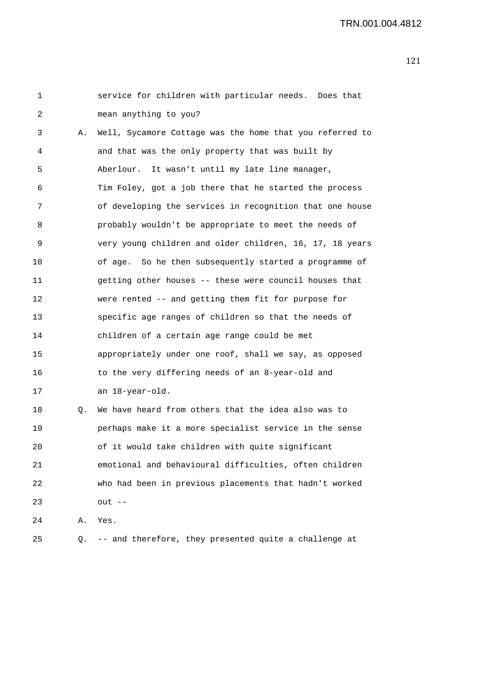1 service for children with particular needs. Does that 2 mean anything to you? 3 A. Well, Sycamore Cottage was the home that you referred to 4 and that was the only property that was built by 5 Aberlour. It wasn't until my late line manager, 6 Tim Foley, got a job there that he started the process 7 of developing the services in recognition that one house 8 probably wouldn't be appropriate to meet the needs of 9 very young children and older children, 16, 17, 18 years 10 of age. So he then subsequently started a programme of 11 getting other houses -- these were council houses that 12 were rented -- and getting them fit for purpose for 13 specific age ranges of children so that the needs of 14 children of a certain age range could be met 15 appropriately under one roof, shall we say, as opposed 16 to the very differing needs of an 8-year-old and 17 an 18-year-old. 18 Q. We have heard from others that the idea also was to 19 perhaps make it a more specialist service in the sense 20 of it would take children with quite significant 21 emotional and behavioural difficulties, often children 22 who had been in previous placements that hadn't worked 23 out -- 24 A. Yes. 25 Q. -- and therefore, they presented quite a challenge at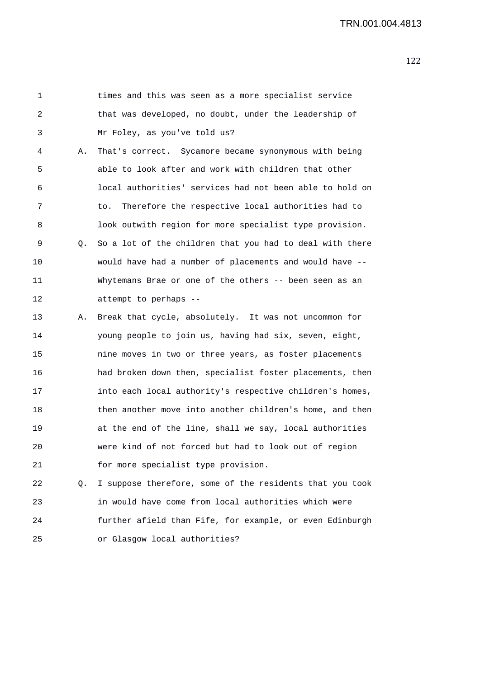1 times and this was seen as a more specialist service 2 that was developed, no doubt, under the leadership of 3 Mr Foley, as you've told us? 4 A. That's correct. Sycamore became synonymous with being 5 able to look after and work with children that other 6 local authorities' services had not been able to hold on 7 to. Therefore the respective local authorities had to 8 look outwith region for more specialist type provision. 9 Q. So a lot of the children that you had to deal with there 10 would have had a number of placements and would have -- 11 Whytemans Brae or one of the others -- been seen as an 12 attempt to perhaps -- 13 A. Break that cycle, absolutely. It was not uncommon for 14 young people to join us, having had six, seven, eight, 15 nine moves in two or three years, as foster placements 16 had broken down then, specialist foster placements, then 17 into each local authority's respective children's homes, 18 then another move into another children's home, and then 19 at the end of the line, shall we say, local authorities 20 were kind of not forced but had to look out of region 21 for more specialist type provision. 22 Q. I suppose therefore, some of the residents that you took 23 in would have come from local authorities which were 24 further afield than Fife, for example, or even Edinburgh 25 or Glasgow local authorities?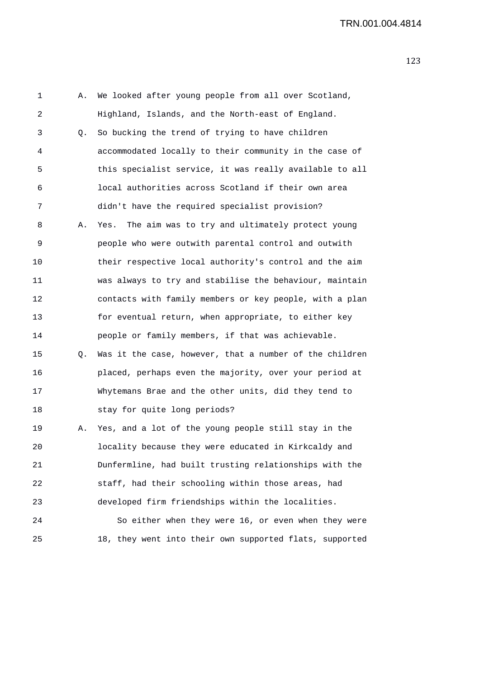1 A. We looked after young people from all over Scotland, 2 Highland, Islands, and the North-east of England. 3 Q. So bucking the trend of trying to have children 4 accommodated locally to their community in the case of 5 this specialist service, it was really available to all 6 local authorities across Scotland if their own area 7 didn't have the required specialist provision? 8 A. Yes. The aim was to try and ultimately protect young 9 people who were outwith parental control and outwith 10 their respective local authority's control and the aim 11 was always to try and stabilise the behaviour, maintain 12 contacts with family members or key people, with a plan 13 for eventual return, when appropriate, to either key 14 people or family members, if that was achievable. 15 Q. Was it the case, however, that a number of the children 16 placed, perhaps even the majority, over your period at 17 Whytemans Brae and the other units, did they tend to 18 stay for quite long periods? 19 A. Yes, and a lot of the young people still stay in the 20 locality because they were educated in Kirkcaldy and 21 Dunfermline, had built trusting relationships with the 22 staff, had their schooling within those areas, had 23 developed firm friendships within the localities. 24 So either when they were 16, or even when they were 25 18, they went into their own supported flats, supported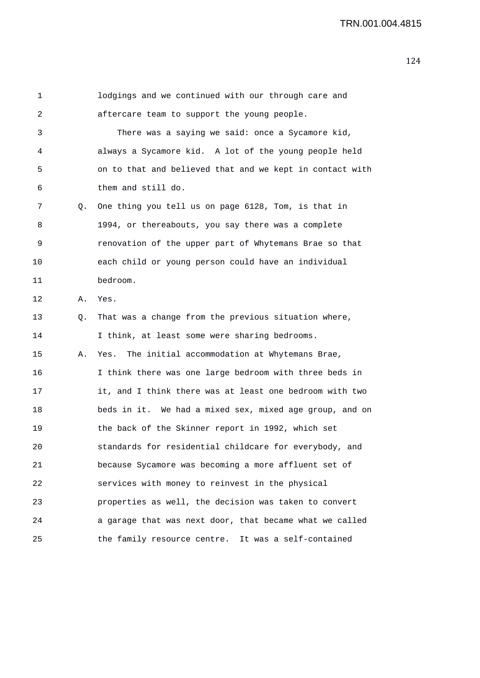| 1  |    | lodgings and we continued with our through care and      |
|----|----|----------------------------------------------------------|
| 2  |    | aftercare team to support the young people.              |
| 3  |    | There was a saying we said: once a Sycamore kid,         |
| 4  |    | always a Sycamore kid. A lot of the young people held    |
| 5  |    | on to that and believed that and we kept in contact with |
| 6  |    | them and still do.                                       |
| 7  | Q. | One thing you tell us on page 6128, Tom, is that in      |
| 8  |    | 1994, or thereabouts, you say there was a complete       |
| 9  |    | renovation of the upper part of Whytemans Brae so that   |
| 10 |    | each child or young person could have an individual      |
| 11 |    | bedroom.                                                 |
| 12 | Α. | Yes.                                                     |
| 13 | Q. | That was a change from the previous situation where,     |
| 14 |    | I think, at least some were sharing bedrooms.            |
| 15 | Α. | Yes. The initial accommodation at Whytemans Brae,        |
| 16 |    | I think there was one large bedroom with three beds in   |
| 17 |    | it, and I think there was at least one bedroom with two  |
| 18 |    | beds in it. We had a mixed sex, mixed age group, and on  |
| 19 |    | the back of the Skinner report in 1992, which set        |
| 20 |    | standards for residential childcare for everybody, and   |
| 21 |    | because Sycamore was becoming a more affluent set of     |
| 22 |    | services with money to reinvest in the physical          |
| 23 |    | properties as well, the decision was taken to convert    |
| 24 |    | a garage that was next door, that became what we called  |
| 25 |    | the family resource centre. It was a self-contained      |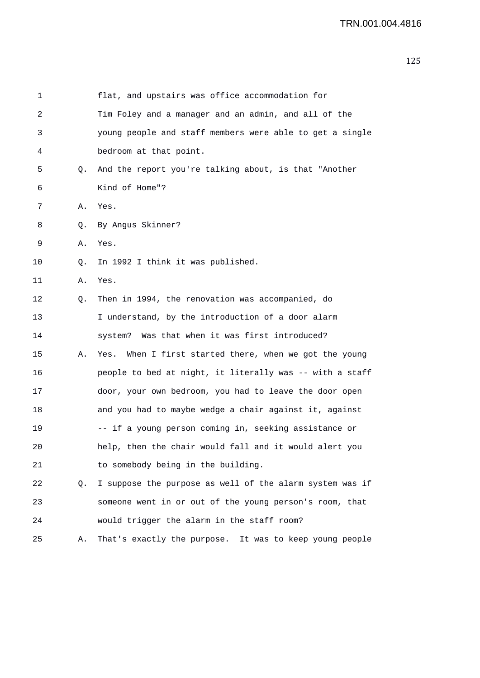| 1  |    | flat, and upstairs was office accommodation for          |
|----|----|----------------------------------------------------------|
| 2  |    | Tim Foley and a manager and an admin, and all of the     |
| 3  |    | young people and staff members were able to get a single |
| 4  |    | bedroom at that point.                                   |
| 5  | Q. | And the report you're talking about, is that "Another    |
| 6  |    | Kind of Home"?                                           |
| 7  | Α. | Yes.                                                     |
| 8  | Q. | By Angus Skinner?                                        |
| 9  | Α. | Yes.                                                     |
| 10 | Q. | In 1992 I think it was published.                        |
| 11 | Α. | Yes.                                                     |
| 12 | Q. | Then in 1994, the renovation was accompanied, do         |
| 13 |    | I understand, by the introduction of a door alarm        |
| 14 |    | system? Was that when it was first introduced?           |
| 15 | Α. | Yes. When I first started there, when we got the young   |
| 16 |    | people to bed at night, it literally was -- with a staff |
| 17 |    | door, your own bedroom, you had to leave the door open   |
| 18 |    | and you had to maybe wedge a chair against it, against   |
| 19 |    | -- if a young person coming in, seeking assistance or    |
| 20 |    | help, then the chair would fall and it would alert you   |
| 21 |    | to somebody being in the building.                       |
| 22 | Q. | I suppose the purpose as well of the alarm system was if |
| 23 |    | someone went in or out of the young person's room, that  |
| 24 |    | would trigger the alarm in the staff room?               |
| 25 | Α. | That's exactly the purpose. It was to keep young people  |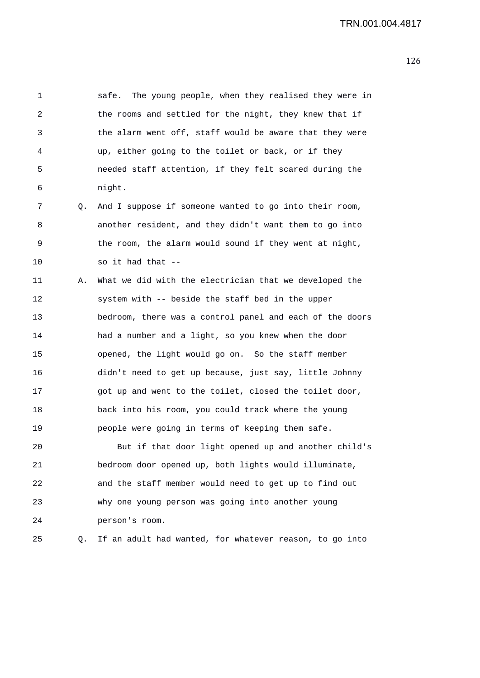1 safe. The young people, when they realised they were in 2 the rooms and settled for the night, they knew that if 3 the alarm went off, staff would be aware that they were 4 up, either going to the toilet or back, or if they 5 needed staff attention, if they felt scared during the 6 night. 7 Q. And I suppose if someone wanted to go into their room, 8 another resident, and they didn't want them to go into 9 the room, the alarm would sound if they went at night, 10 so it had that -- 11 A. What we did with the electrician that we developed the 12 system with -- beside the staff bed in the upper 13 bedroom, there was a control panel and each of the doors 14 had a number and a light, so you knew when the door 15 opened, the light would go on. So the staff member 16 didn't need to get up because, just say, little Johnny 17 got up and went to the toilet, closed the toilet door, 18 back into his room, you could track where the young 19 people were going in terms of keeping them safe. 20 But if that door light opened up and another child's 21 bedroom door opened up, both lights would illuminate, 22 and the staff member would need to get up to find out 23 why one young person was going into another young 24 person's room. 25 Q. If an adult had wanted, for whatever reason, to go into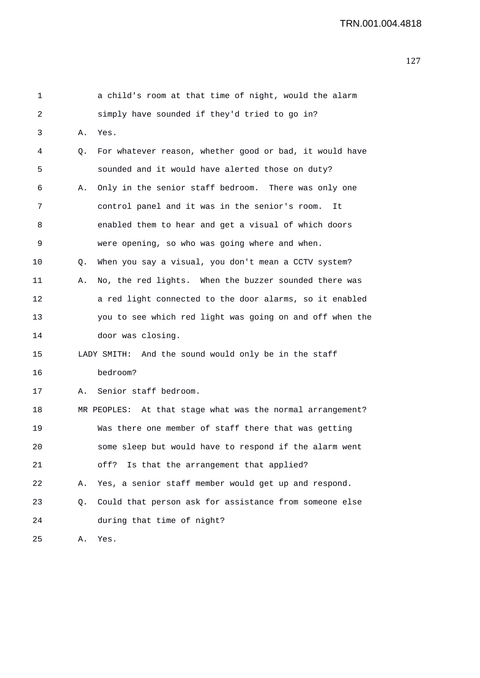| 1  |    | a child's room at that time of night, would the alarm      |
|----|----|------------------------------------------------------------|
| 2  |    | simply have sounded if they'd tried to go in?              |
| 3  | Α. | Yes.                                                       |
| 4  | Q. | For whatever reason, whether good or bad, it would have    |
| 5  |    | sounded and it would have alerted those on duty?           |
| 6  | Α. | Only in the senior staff bedroom. There was only one       |
| 7  |    | control panel and it was in the senior's room.<br>It       |
| 8  |    | enabled them to hear and get a visual of which doors       |
| 9  |    | were opening, so who was going where and when.             |
| 10 | Q. | When you say a visual, you don't mean a CCTV system?       |
| 11 | Α. | No, the red lights. When the buzzer sounded there was      |
| 12 |    | a red light connected to the door alarms, so it enabled    |
| 13 |    | you to see which red light was going on and off when the   |
| 14 |    | door was closing.                                          |
| 15 |    | LADY SMITH: And the sound would only be in the staff       |
| 16 |    | bedroom?                                                   |
| 17 | Α. | Senior staff bedroom.                                      |
| 18 |    | MR PEOPLES: At that stage what was the normal arrangement? |
| 19 |    | Was there one member of staff there that was getting       |
| 20 |    | some sleep but would have to respond if the alarm went     |
| 21 |    | Is that the arrangement that applied?<br>off?              |
| 22 | Α. | Yes, a senior staff member would get up and respond.       |
| 23 | Q. | Could that person ask for assistance from someone else     |
| 24 |    | during that time of night?                                 |
| 25 | Α. | Yes.                                                       |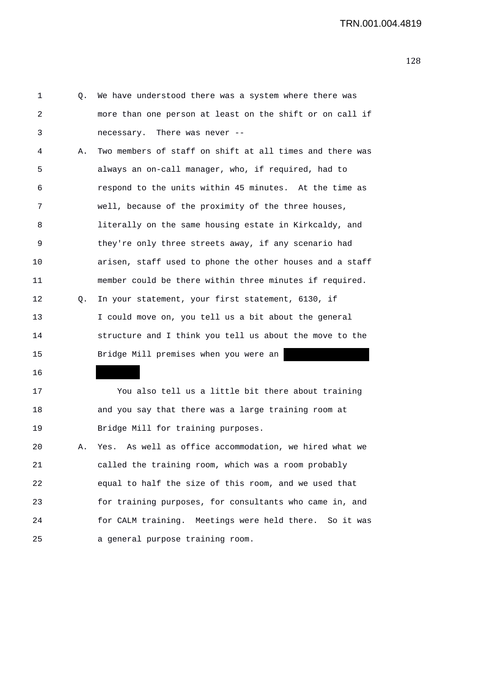1 Q. We have understood there was a system where there was 2 more than one person at least on the shift or on call if 3 necessary. There was never -- 4 A. Two members of staff on shift at all times and there was 5 always an on-call manager, who, if required, had to 6 respond to the units within 45 minutes. At the time as 7 well, because of the proximity of the three houses, 8 literally on the same housing estate in Kirkcaldy, and 9 they're only three streets away, if any scenario had 10 arisen, staff used to phone the other houses and a staff 11 member could be there within three minutes if required. 12 Q. In your statement, your first statement, 6130, if 13 I could move on, you tell us a bit about the general 14 structure and I think you tell us about the move to the 15 Bridge Mill premises when you were an 16 17 You also tell us a little bit there about training 18 and you say that there was a large training room at

20 A. Yes. As well as office accommodation, we hired what we 21 called the training room, which was a room probably 22 equal to half the size of this room, and we used that 23 for training purposes, for consultants who came in, and 24 for CALM training. Meetings were held there. So it was 25 a general purpose training room.

19 Bridge Mill for training purposes.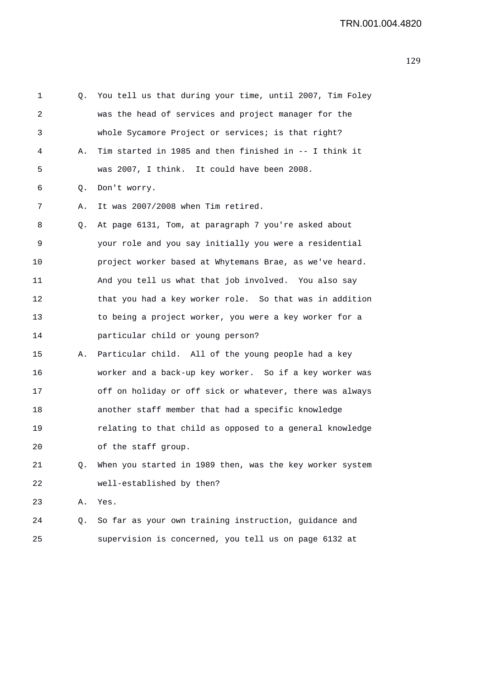| $\mathbf 1$ | Q. | You tell us that during your time, until 2007, Tim Foley |
|-------------|----|----------------------------------------------------------|
| 2           |    | was the head of services and project manager for the     |
| 3           |    | whole Sycamore Project or services; is that right?       |
| 4           | Α. | Tim started in 1985 and then finished in -- I think it   |
| 5           |    | was 2007, I think. It could have been 2008.              |
| 6           | Q. | Don't worry.                                             |
| 7           | Α. | It was 2007/2008 when Tim retired.                       |
| 8           | Q. | At page 6131, Tom, at paragraph 7 you're asked about     |
| 9           |    | your role and you say initially you were a residential   |
| 10          |    | project worker based at Whytemans Brae, as we've heard.  |
| 11          |    | And you tell us what that job involved. You also say     |
| 12          |    | that you had a key worker role. So that was in addition  |
| 13          |    | to being a project worker, you were a key worker for a   |
| 14          |    | particular child or young person?                        |
| 15          | Α. | Particular child. All of the young people had a key      |
| 16          |    | worker and a back-up key worker. So if a key worker was  |
| 17          |    | off on holiday or off sick or whatever, there was always |
| 18          |    | another staff member that had a specific knowledge       |
| 19          |    | relating to that child as opposed to a general knowledge |
| 20          |    | of the staff group.                                      |
| 21          | Q. | When you started in 1989 then, was the key worker system |
| 22          |    | well-established by then?                                |
| 23          | Α. | Yes.                                                     |
| 24          | Q. | So far as your own training instruction, guidance and    |
| 25          |    | supervision is concerned, you tell us on page 6132 at    |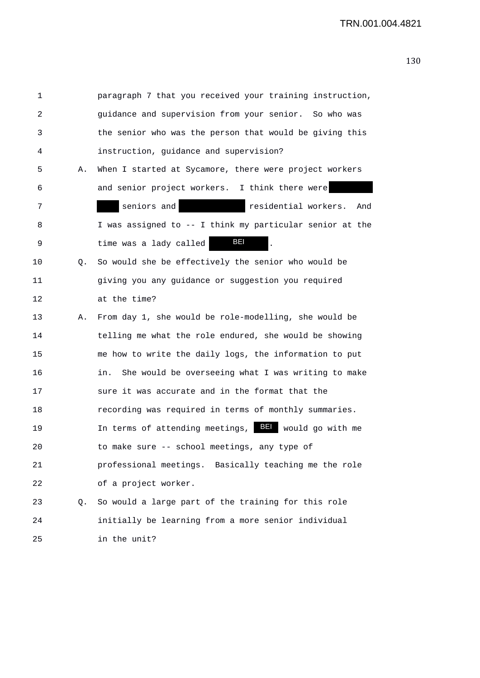| 1  |    | paragraph 7 that you received your training instruction,                                        |
|----|----|-------------------------------------------------------------------------------------------------|
| 2  |    | guidance and supervision from your senior. So who was                                           |
| 3  |    | the senior who was the person that would be giving this                                         |
| 4  |    | instruction, guidance and supervision?                                                          |
| 5  | Α. | When I started at Sycamore, there were project workers                                          |
| 6  |    | and senior project workers. I think there were                                                  |
| 7  |    | seniors and<br>residential workers.<br><u> 1989 - Johann Barnett, fransk politiker (</u><br>And |
| 8  |    | I was assigned to -- I think my particular senior at the                                        |
| 9  |    | BEI<br>time was a lady called                                                                   |
| 10 | Q. | So would she be effectively the senior who would be                                             |
| 11 |    | giving you any guidance or suggestion you required                                              |
| 12 |    | at the time?                                                                                    |
| 13 | Α. | From day 1, she would be role-modelling, she would be                                           |
| 14 |    | telling me what the role endured, she would be showing                                          |
| 15 |    | me how to write the daily logs, the information to put                                          |
| 16 |    | She would be overseeing what I was writing to make<br>in.                                       |
| 17 |    | sure it was accurate and in the format that the                                                 |
| 18 |    | recording was required in terms of monthly summaries.                                           |
| 19 |    | In terms of attending meetings, BEI would go with me                                            |
| 20 |    | to make sure -- school meetings, any type of                                                    |
| 21 |    | professional meetings. Basically teaching me the role                                           |
| 22 |    | of a project worker.                                                                            |
| 23 | Q. | So would a large part of the training for this role                                             |
| 24 |    | initially be learning from a more senior individual                                             |
| 25 |    | in the unit?                                                                                    |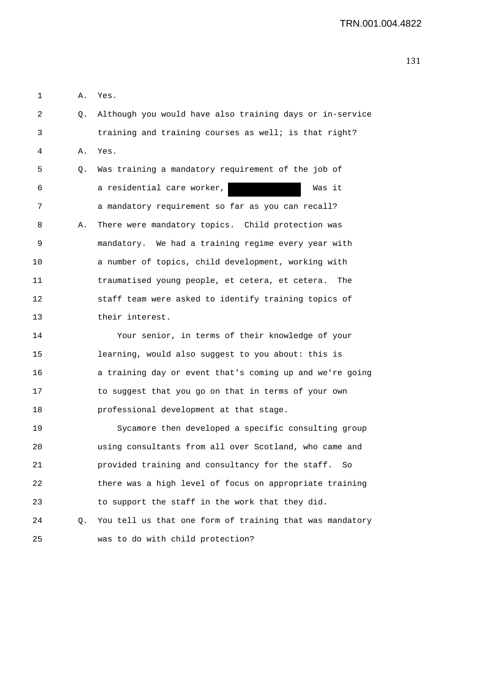1 A. Yes. 2 Q. Although you would have also training days or in-service 3 training and training courses as well; is that right? 4 A. Yes. 5 Q. Was training a mandatory requirement of the job of 6 a residential care worker, Was it 7 a mandatory requirement so far as you can recall? 8 A. There were mandatory topics. Child protection was 9 mandatory. We had a training regime every year with 10 a number of topics, child development, working with 11 traumatised young people, et cetera, et cetera. The 12 staff team were asked to identify training topics of 13 their interest. 14 Your senior, in terms of their knowledge of your 15 learning, would also suggest to you about: this is 16 a training day or event that's coming up and we're going 17 to suggest that you go on that in terms of your own 18 professional development at that stage. 19 Sycamore then developed a specific consulting group 20 using consultants from all over Scotland, who came and 21 provided training and consultancy for the staff. So 22 there was a high level of focus on appropriate training 23 to support the staff in the work that they did. 24 Q. You tell us that one form of training that was mandatory

25 was to do with child protection?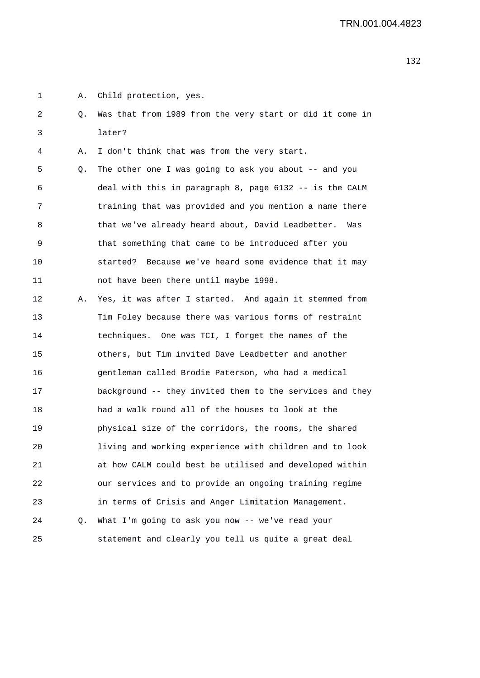1 A. Child protection, yes.

2 Q. Was that from 1989 from the very start or did it come in 3 later?

4 A. I don't think that was from the very start.

5 Q. The other one I was going to ask you about -- and you 6 deal with this in paragraph 8, page 6132 -- is the CALM 7 training that was provided and you mention a name there 8 that we've already heard about, David Leadbetter. Was 9 that something that came to be introduced after you 10 started? Because we've heard some evidence that it may 11 not have been there until maybe 1998.

12 A. Yes, it was after I started. And again it stemmed from 13 Tim Foley because there was various forms of restraint 14 techniques. One was TCI, I forget the names of the 15 others, but Tim invited Dave Leadbetter and another 16 gentleman called Brodie Paterson, who had a medical 17 background -- they invited them to the services and they 18 had a walk round all of the houses to look at the 19 physical size of the corridors, the rooms, the shared 20 living and working experience with children and to look 21 at how CALM could best be utilised and developed within 22 our services and to provide an ongoing training regime 23 in terms of Crisis and Anger Limitation Management. 24 Q. What I'm going to ask you now -- we've read your 25 statement and clearly you tell us quite a great deal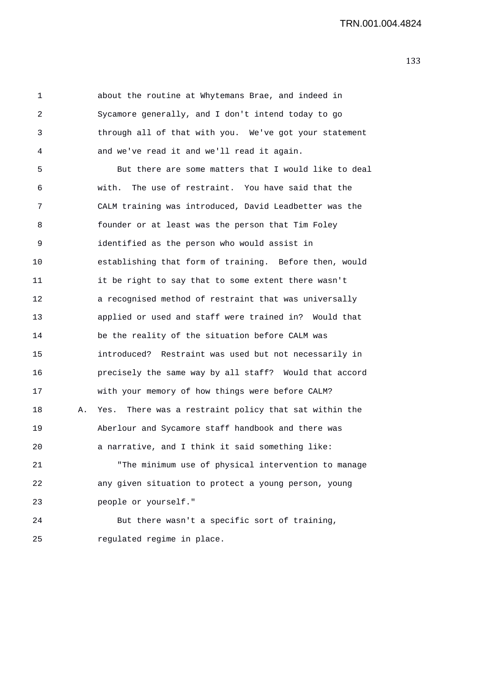1 about the routine at Whytemans Brae, and indeed in 2 Sycamore generally, and I don't intend today to go 3 through all of that with you. We've got your statement 4 and we've read it and we'll read it again. 5 But there are some matters that I would like to deal 6 with. The use of restraint. You have said that the 7 CALM training was introduced, David Leadbetter was the 8 founder or at least was the person that Tim Foley 9 identified as the person who would assist in 10 establishing that form of training. Before then, would 11 it be right to say that to some extent there wasn't 12 a recognised method of restraint that was universally 13 applied or used and staff were trained in? Would that 14 be the reality of the situation before CALM was 15 introduced? Restraint was used but not necessarily in 16 precisely the same way by all staff? Would that accord 17 with your memory of how things were before CALM? 18 A. Yes. There was a restraint policy that sat within the 19 Aberlour and Sycamore staff handbook and there was 20 a narrative, and I think it said something like: 21 "The minimum use of physical intervention to manage 22 any given situation to protect a young person, young 23 people or yourself." 24 But there wasn't a specific sort of training, 25 regulated regime in place.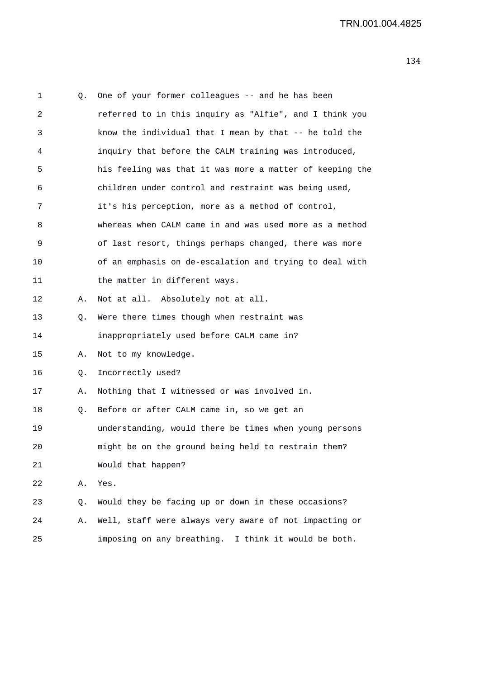| 1  | Q. | One of your former colleagues -- and he has been         |
|----|----|----------------------------------------------------------|
| 2  |    | referred to in this inquiry as "Alfie", and I think you  |
| 3  |    | know the individual that I mean by that -- he told the   |
| 4  |    | inquiry that before the CALM training was introduced,    |
| 5  |    | his feeling was that it was more a matter of keeping the |
| 6  |    | children under control and restraint was being used,     |
| 7  |    | it's his perception, more as a method of control,        |
| 8  |    | whereas when CALM came in and was used more as a method  |
| 9  |    | of last resort, things perhaps changed, there was more   |
| 10 |    | of an emphasis on de-escalation and trying to deal with  |
| 11 |    | the matter in different ways.                            |
| 12 | Α. | Not at all. Absolutely not at all.                       |
| 13 | Q. | Were there times though when restraint was               |
| 14 |    | inappropriately used before CALM came in?                |
| 15 | Α. | Not to my knowledge.                                     |
| 16 | Q. | Incorrectly used?                                        |
| 17 | Α. | Nothing that I witnessed or was involved in.             |
| 18 | Q. | Before or after CALM came in, so we get an               |
| 19 |    | understanding, would there be times when young persons   |
| 20 |    | might be on the ground being held to restrain them?      |
| 21 |    | Would that happen?                                       |
| 22 | Α. | Yes.                                                     |
| 23 | Q. | Would they be facing up or down in these occasions?      |
| 24 | Α. | Well, staff were always very aware of not impacting or   |
| 25 |    | imposing on any breathing.<br>I think it would be both.  |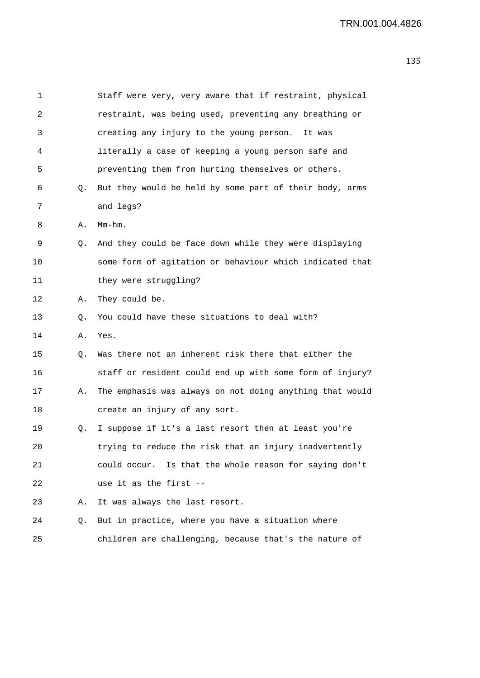| 1  |    | Staff were very, very aware that if restraint, physical  |
|----|----|----------------------------------------------------------|
| 2  |    | restraint, was being used, preventing any breathing or   |
| 3  |    | creating any injury to the young person.<br>It was       |
| 4  |    | literally a case of keeping a young person safe and      |
| 5  |    | preventing them from hurting themselves or others.       |
| 6  | Q. | But they would be held by some part of their body, arms  |
| 7  |    | and legs?                                                |
| 8  | Α. | $Mm-hm$ .                                                |
| 9  | Q. | And they could be face down while they were displaying   |
| 10 |    | some form of agitation or behaviour which indicated that |
| 11 |    | they were struggling?                                    |
| 12 | Α. | They could be.                                           |
| 13 | Q. | You could have these situations to deal with?            |
| 14 | Α. | Yes.                                                     |
| 15 | Q. | Was there not an inherent risk there that either the     |
| 16 |    | staff or resident could end up with some form of injury? |
| 17 | Α. | The emphasis was always on not doing anything that would |
| 18 |    | create an injury of any sort.                            |
| 19 | Q. | I suppose if it's a last resort then at least you're     |
| 20 |    | trying to reduce the risk that an injury inadvertently   |
| 21 |    | could occur. Is that the whole reason for saying don't   |
| 22 |    | use it as the first --                                   |
| 23 | Α. | It was always the last resort.                           |
| 24 | Q. | But in practice, where you have a situation where        |
| 25 |    | children are challenging, because that's the nature of   |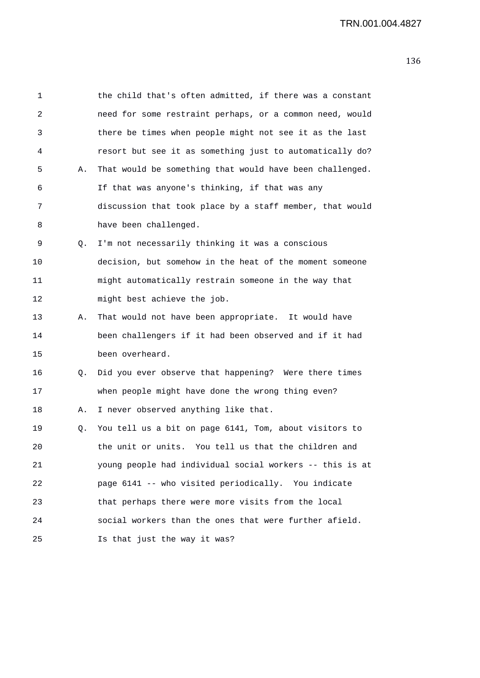| 1       |    | the child that's often admitted, if there was a constant |
|---------|----|----------------------------------------------------------|
| 2       |    | need for some restraint perhaps, or a common need, would |
| 3       |    | there be times when people might not see it as the last  |
| 4       |    | resort but see it as something just to automatically do? |
| 5       | Α. | That would be something that would have been challenged. |
| 6       |    | If that was anyone's thinking, if that was any           |
| 7       |    | discussion that took place by a staff member, that would |
| 8       |    | have been challenged.                                    |
| 9       | Q. | I'm not necessarily thinking it was a conscious          |
| $10 \,$ |    | decision, but somehow in the heat of the moment someone  |
| 11      |    | might automatically restrain someone in the way that     |
| 12      |    | might best achieve the job.                              |
| 13      | Α. | That would not have been appropriate. It would have      |
| 14      |    | been challengers if it had been observed and if it had   |
| 15      |    | been overheard.                                          |
| 16      | Q. | Did you ever observe that happening? Were there times    |
| 17      |    | when people might have done the wrong thing even?        |
| 18      | Α. | I never observed anything like that.                     |
| 19      | Q. | You tell us a bit on page 6141, Tom, about visitors to   |
| 20      |    | the unit or units. You tell us that the children and     |
| 21      |    | young people had individual social workers -- this is at |
| 22      |    | page 6141 -- who visited periodically. You indicate      |
| 23      |    | that perhaps there were more visits from the local       |
| 24      |    | social workers than the ones that were further afield.   |
| 25      |    | Is that just the way it was?                             |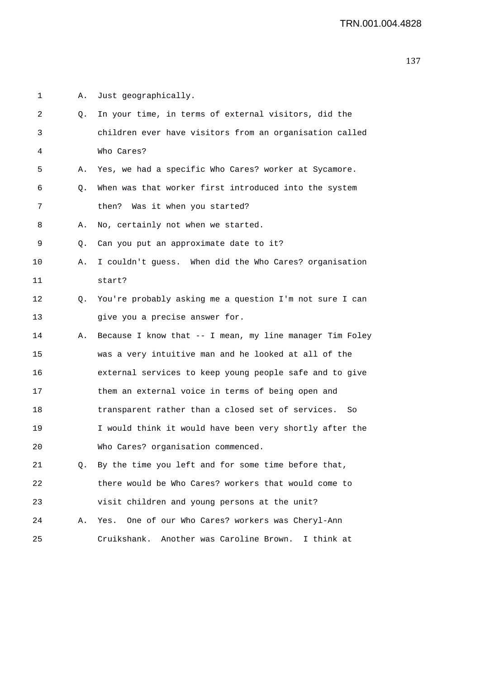1 A. Just geographically. 2 Q. In your time, in terms of external visitors, did the 3 children ever have visitors from an organisation called 4 Who Cares? 5 A. Yes, we had a specific Who Cares? worker at Sycamore. 6 Q. When was that worker first introduced into the system 7 then? Was it when you started? 8 A. No, certainly not when we started. 9 Q. Can you put an approximate date to it? 10 A. I couldn't guess. When did the Who Cares? organisation 11 start? 12 Q. You're probably asking me a question I'm not sure I can 13 give you a precise answer for. 14 A. Because I know that -- I mean, my line manager Tim Foley 15 was a very intuitive man and he looked at all of the 16 external services to keep young people safe and to give 17 them an external voice in terms of being open and 18 transparent rather than a closed set of services. So 19 I would think it would have been very shortly after the 20 Who Cares? organisation commenced. 21 Q. By the time you left and for some time before that, 22 there would be Who Cares? workers that would come to 23 visit children and young persons at the unit? 24 A. Yes. One of our Who Cares? workers was Cheryl-Ann 25 Cruikshank. Another was Caroline Brown. I think at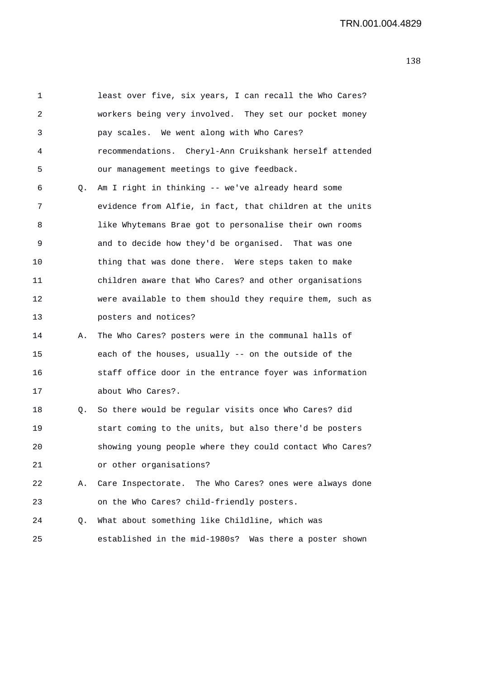1 least over five, six years, I can recall the Who Cares? 2 workers being very involved. They set our pocket money 3 pay scales. We went along with Who Cares? 4 recommendations. Cheryl-Ann Cruikshank herself attended 5 our management meetings to give feedback. 6 Q. Am I right in thinking -- we've already heard some 7 evidence from Alfie, in fact, that children at the units 8 like Whytemans Brae got to personalise their own rooms 9 and to decide how they'd be organised. That was one 10 thing that was done there. Were steps taken to make 11 children aware that Who Cares? and other organisations 12 were available to them should they require them, such as 13 posters and notices? 14 A. The Who Cares? posters were in the communal halls of 15 each of the houses, usually -- on the outside of the 16 staff office door in the entrance foyer was information 17 about Who Cares?. 18 Q. So there would be regular visits once Who Cares? did 19 start coming to the units, but also there'd be posters 20 showing young people where they could contact Who Cares? 21 or other organisations? 22 A. Care Inspectorate. The Who Cares? ones were always done 23 on the Who Cares? child-friendly posters. 24 Q. What about something like Childline, which was 25 established in the mid-1980s? Was there a poster shown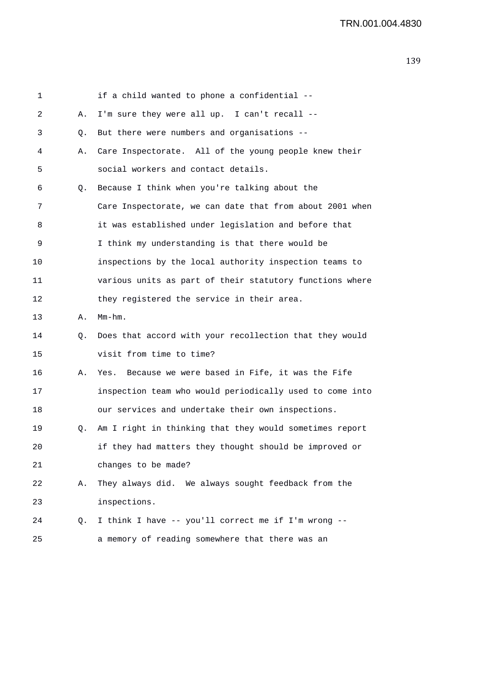| 1  |    | if a child wanted to phone a confidential --             |
|----|----|----------------------------------------------------------|
| 2  | Α. | I'm sure they were all up. I can't recall --             |
| 3  | Q. | But there were numbers and organisations --              |
| 4  | Α. | Care Inspectorate. All of the young people knew their    |
| 5  |    | social workers and contact details.                      |
| 6  | Q. | Because I think when you're talking about the            |
| 7  |    | Care Inspectorate, we can date that from about 2001 when |
| 8  |    | it was established under legislation and before that     |
| 9  |    | I think my understanding is that there would be          |
| 10 |    | inspections by the local authority inspection teams to   |
| 11 |    | various units as part of their statutory functions where |
| 12 |    | they registered the service in their area.               |
| 13 | Α. | $Mm-hm$ .                                                |
| 14 | Q. | Does that accord with your recollection that they would  |
| 15 |    | visit from time to time?                                 |
| 16 | Α. | Because we were based in Fife, it was the Fife<br>Yes.   |
| 17 |    | inspection team who would periodically used to come into |
| 18 |    | our services and undertake their own inspections.        |
| 19 | Q. | Am I right in thinking that they would sometimes report  |
| 20 |    | if they had matters they thought should be improved or   |
| 21 |    | changes to be made?                                      |
| 22 | Α. | They always did. We always sought feedback from the      |
| 23 |    | inspections.                                             |
| 24 | Q. | I think I have -- you'll correct me if I'm wrong --      |
| 25 |    | a memory of reading somewhere that there was an          |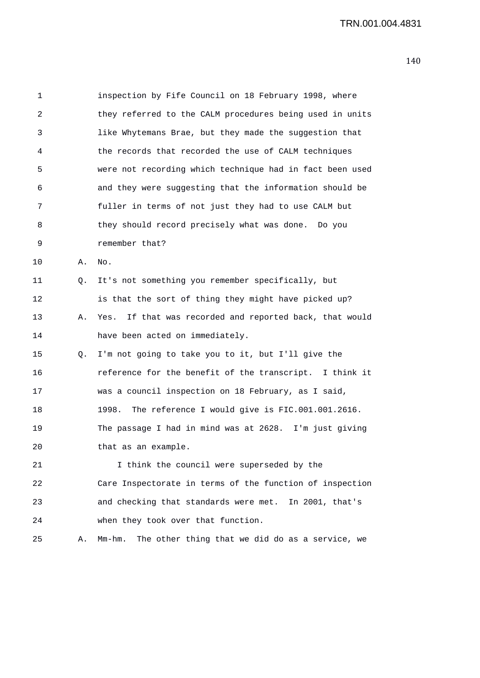1 inspection by Fife Council on 18 February 1998, where 2 they referred to the CALM procedures being used in units 3 like Whytemans Brae, but they made the suggestion that 4 the records that recorded the use of CALM techniques 5 were not recording which technique had in fact been used 6 and they were suggesting that the information should be 7 fuller in terms of not just they had to use CALM but 8 they should record precisely what was done. Do you 9 remember that? 10 A. No. 11 Q. It's not something you remember specifically, but 12 is that the sort of thing they might have picked up? 13 A. Yes. If that was recorded and reported back, that would 14 have been acted on immediately. 15 Q. I'm not going to take you to it, but I'll give the 16 reference for the benefit of the transcript. I think it 17 was a council inspection on 18 February, as I said, 18 1998. The reference I would give is FIC.001.001.2616. 19 The passage I had in mind was at 2628. I'm just giving 20 that as an example. 21 1 I think the council were superseded by the 22 Care Inspectorate in terms of the function of inspection 23 and checking that standards were met. In 2001, that's 24 when they took over that function. 25 A. Mm-hm. The other thing that we did do as a service, we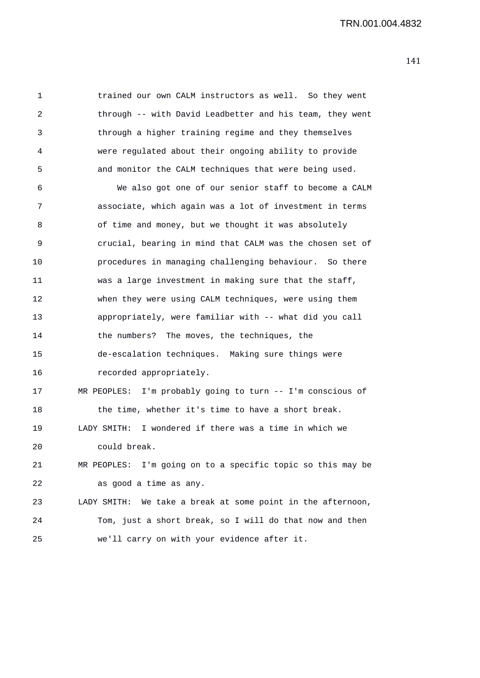1 trained our own CALM instructors as well. So they went 2 through -- with David Leadbetter and his team, they went 3 through a higher training regime and they themselves 4 were regulated about their ongoing ability to provide 5 and monitor the CALM techniques that were being used.

6 We also got one of our senior staff to become a CALM 7 associate, which again was a lot of investment in terms 8 of time and money, but we thought it was absolutely 9 crucial, bearing in mind that CALM was the chosen set of 10 procedures in managing challenging behaviour. So there 11 was a large investment in making sure that the staff, 12 when they were using CALM techniques, were using them 13 appropriately, were familiar with -- what did you call 14 the numbers? The moves, the techniques, the 15 de-escalation techniques. Making sure things were 16 recorded appropriately. 17 MR PEOPLES: I'm probably going to turn -- I'm conscious of 18 the time, whether it's time to have a short break. 19 LADY SMITH: I wondered if there was a time in which we 20 could break. 21 MR PEOPLES: I'm going on to a specific topic so this may be 22 as good a time as any. 23 LADY SMITH: We take a break at some point in the afternoon,

25 we'll carry on with your evidence after it.

24 Tom, just a short break, so I will do that now and then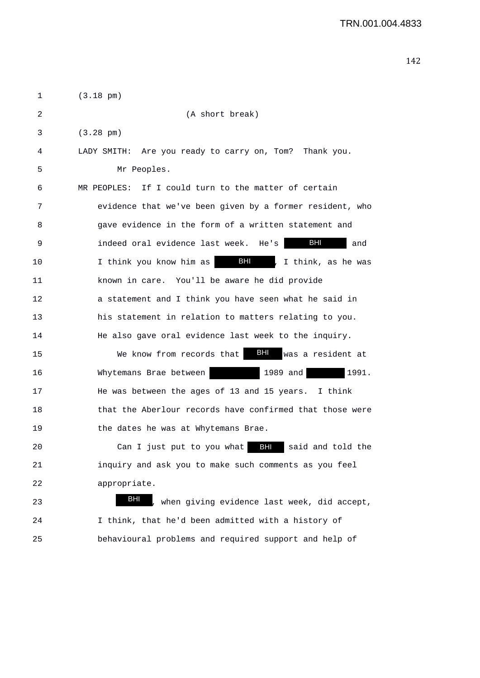| 1  | $(3.18 \text{ pm})$                                               |
|----|-------------------------------------------------------------------|
| 2  | (A short break)                                                   |
| 3  | $(3.28 \text{ pm})$                                               |
| 4  | LADY SMITH: Are you ready to carry on, Tom? Thank you.            |
| 5  | Mr Peoples.                                                       |
| 6  | If I could turn to the matter of certain<br>MR PEOPLES:           |
| 7  | evidence that we've been given by a former resident, who          |
| 8  | gave evidence in the form of a written statement and              |
| 9  | BHI<br>indeed oral evidence last week. He's<br>and                |
| 10 | <b>BHI</b><br>I think, as he was<br>I think you know him as<br>I, |
| 11 | known in care. You'll be aware he did provide                     |
| 12 | a statement and I think you have seen what he said in             |
| 13 | his statement in relation to matters relating to you.             |
| 14 | He also gave oral evidence last week to the inquiry.              |
| 15 | $-BH1$<br>was a resident at<br>We know from records that          |
| 16 | Whytemans Brae between<br>1989 and<br>1991.                       |
| 17 | He was between the ages of 13 and 15 years.<br>I think            |
| 18 | that the Aberlour records have confirmed that those were          |
| 19 | the dates he was at Whytemans Brae.                               |
| 20 | Can I just put to you what BH said and told the                   |
| 21 | inquiry and ask you to make such comments as you feel             |
| 22 | appropriate.                                                      |
| 23 | BHI<br>when giving evidence last week, did accept,                |
| 24 | I think, that he'd been admitted with a history of                |

25 behavioural problems and required support and help of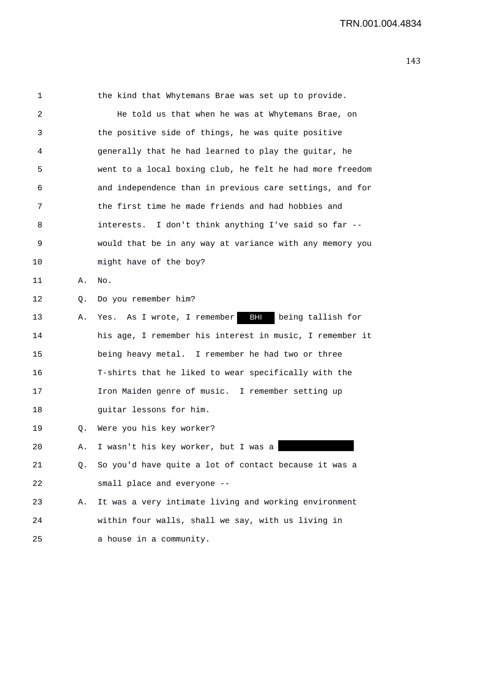| 1  |    | the kind that Whytemans Brae was set up to provide.      |
|----|----|----------------------------------------------------------|
| 2  |    | He told us that when he was at Whytemans Brae, on        |
| 3  |    | the positive side of things, he was quite positive       |
| 4  |    | generally that he had learned to play the guitar, he     |
| 5  |    | went to a local boxing club, he felt he had more freedom |
| 6  |    | and independence than in previous care settings, and for |
| 7  |    | the first time he made friends and had hobbies and       |
| 8  |    | interests. I don't think anything I've said so far --    |
| 9  |    | would that be in any way at variance with any memory you |
| 10 |    | might have of the boy?                                   |
| 11 | Α. | No.                                                      |
| 12 | Q. | Do you remember him?                                     |
| 13 | Α. | BHI<br>Yes. As I wrote, I remember<br>being tallish for  |
| 14 |    | his age, I remember his interest in music, I remember it |
| 15 |    | being heavy metal. I remember he had two or three        |
| 16 |    | T-shirts that he liked to wear specifically with the     |
| 17 |    | Iron Maiden genre of music. I remember setting up        |
| 18 |    | guitar lessons for him.                                  |
| 19 | Q. | Were you his key worker?                                 |
| 20 | А. | I wasn't his key worker, but I was a                     |
| 21 | Q. | So you'd have quite a lot of contact because it was a    |
| 22 |    | small place and everyone --                              |
| 23 | Α. | It was a very intimate living and working environment    |
| 24 |    | within four walls, shall we say, with us living in       |
| 25 |    | a house in a community.                                  |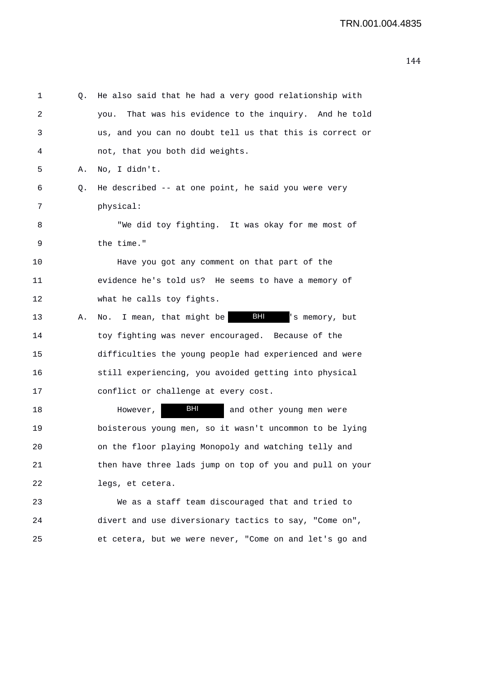| 1  | Q. | He also said that he had a very good relationship with       |
|----|----|--------------------------------------------------------------|
| 2  |    | That was his evidence to the inquiry. And he told<br>you.    |
| 3  |    | us, and you can no doubt tell us that this is correct or     |
| 4  |    | not, that you both did weights.                              |
| 5  | Α. | No, I didn't.                                                |
| 6  | Q. | He described -- at one point, he said you were very          |
| 7  |    | physical:                                                    |
| 8  |    | "We did toy fighting. It was okay for me most of             |
| 9  |    | the time."                                                   |
| 10 |    | Have you got any comment on that part of the                 |
| 11 |    | evidence he's told us? He seems to have a memory of          |
| 12 |    | what he calls toy fights.                                    |
| 13 | Α. | <b>BHI</b><br>I mean, that might be<br>'s memory, but<br>No. |
| 14 |    | toy fighting was never encouraged. Because of the            |
| 15 |    | difficulties the young people had experienced and were       |
| 16 |    | still experiencing, you avoided getting into physical        |
| 17 |    | conflict or challenge at every cost.                         |
| 18 |    | BHI<br>and other young men were<br>However,                  |
| 19 |    | boisterous young men, so it wasn't uncommon to be lying      |
| 20 |    | on the floor playing Monopoly and watching telly and         |
| 21 |    | then have three lads jump on top of you and pull on your     |
| 22 |    | legs, et cetera.                                             |
| 23 |    | We as a staff team discouraged that and tried to             |
| 24 |    | divert and use diversionary tactics to say, "Come on",       |
| 25 |    | et cetera, but we were never, "Come on and let's go and      |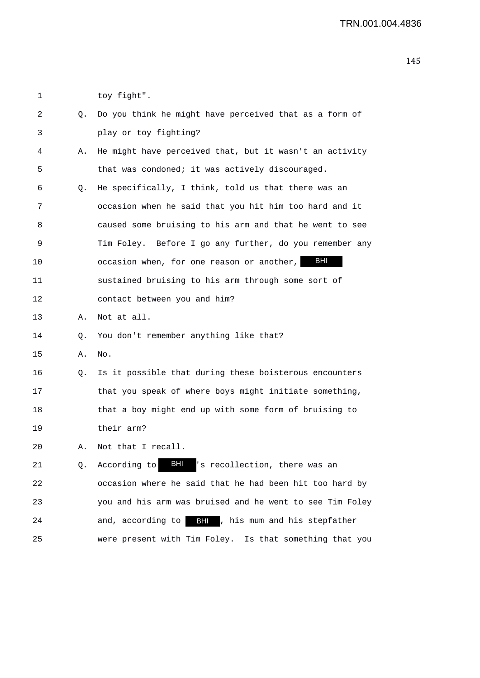| 1  |    | toy fight".                                              |
|----|----|----------------------------------------------------------|
| 2  | О. | Do you think he might have perceived that as a form of   |
| 3  |    | play or toy fighting?                                    |
| 4  | Α. | He might have perceived that, but it wasn't an activity  |
| 5  |    | that was condoned; it was actively discouraged.          |
| 6  | Q. | He specifically, I think, told us that there was an      |
| 7  |    | occasion when he said that you hit him too hard and it   |
| 8  |    | caused some bruising to his arm and that he went to see  |
| 9  |    | Tim Foley. Before I go any further, do you remember any  |
| 10 |    | BHI<br>occasion when, for one reason or another,         |
| 11 |    | sustained bruising to his arm through some sort of       |
| 12 |    | contact between you and him?                             |
| 13 | А. | Not at all.                                              |
| 14 | Q. | You don't remember anything like that?                   |
| 15 | Α. | No.                                                      |
| 16 | Q. | Is it possible that during these boisterous encounters   |
| 17 |    | that you speak of where boys might initiate something,   |
| 18 |    | that a boy might end up with some form of bruising to    |
| 19 |    | their arm?                                               |
| 20 | Α. | Not that I recall.                                       |
| 21 | Q. | BHI<br>'s recollection, there was an<br>According to     |
| 22 |    | occasion where he said that he had been hit too hard by  |
| 23 |    | you and his arm was bruised and he went to see Tim Foley |
| 24 |    | and, according to<br>BH , his mum and his stepfather     |
| 25 |    | were present with Tim Foley. Is that something that you  |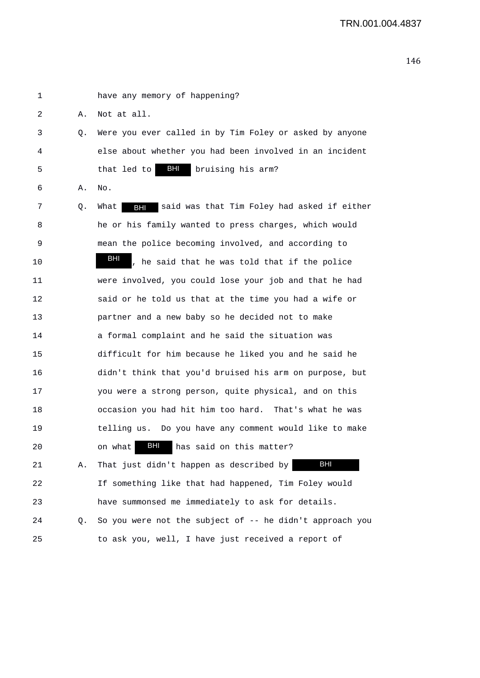1 have any memory of happening? 2 A. Not at all. 3 Q. Were you ever called in by Tim Foley or asked by anyone 4 else about whether you had been involved in an incident 5 that led to **BHI** bruising his arm? 6 A. No. 7 9. What **BHI** said was that Tim Foley had asked if either 8 he or his family wanted to press charges, which would 9 mean the police becoming involved, and according to 10 **BH**, he said that he was told that if the police 11 were involved, you could lose your job and that he had 12 said or he told us that at the time you had a wife or 13 partner and a new baby so he decided not to make 14 a formal complaint and he said the situation was 15 difficult for him because he liked you and he said he 16 didn't think that you'd bruised his arm on purpose, but 17 you were a strong person, quite physical, and on this 18 occasion you had hit him too hard. That's what he was 19 telling us. Do you have any comment would like to make 20 on what **BHI** has said on this matter? 21 A. That just didn't happen as described by 22 If something like that had happened, Tim Foley would 23 have summonsed me immediately to ask for details. 24 Q. So you were not the subject of -- he didn't approach you 25 to ask you, well, I have just received a report of BHI BHI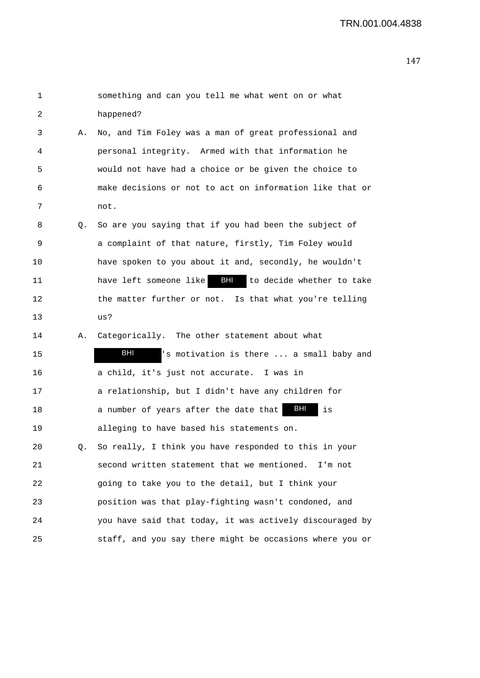| $\mathbf 1$ |    | something and can you tell me what went on or what         |
|-------------|----|------------------------------------------------------------|
| 2           |    | happened?                                                  |
| 3           | Α. | No, and Tim Foley was a man of great professional and      |
| 4           |    | personal integrity. Armed with that information he         |
| 5           |    | would not have had a choice or be given the choice to      |
| 6           |    | make decisions or not to act on information like that or   |
| 7           |    | not.                                                       |
| 8           | Q. | So are you saying that if you had been the subject of      |
| 9           |    | a complaint of that nature, firstly, Tim Foley would       |
| 10          |    | have spoken to you about it and, secondly, he wouldn't     |
| 11          |    | have left someone like <b>BH</b> to decide whether to take |
| 12          |    | the matter further or not. Is that what you're telling     |
| 13          |    | us?                                                        |
| 14          | Α. | Categorically. The other statement about what              |
| 15          |    | BHI<br>'s motivation is there  a small baby and            |
| 16          |    | a child, it's just not accurate. I was in                  |
| 17          |    | a relationship, but I didn't have any children for         |
| 18          |    | BHI<br>a number of years after the date that<br>is         |
| 19          |    | alleging to have based his statements on.                  |
| 20          | Q. | So really, I think you have responded to this in your      |
| 21          |    | second written statement that we mentioned. I'm not        |
| 22          |    | going to take you to the detail, but I think your          |
| 23          |    | position was that play-fighting wasn't condoned, and       |
| 24          |    | you have said that today, it was actively discouraged by   |
| 25          |    | staff, and you say there might be occasions where you or   |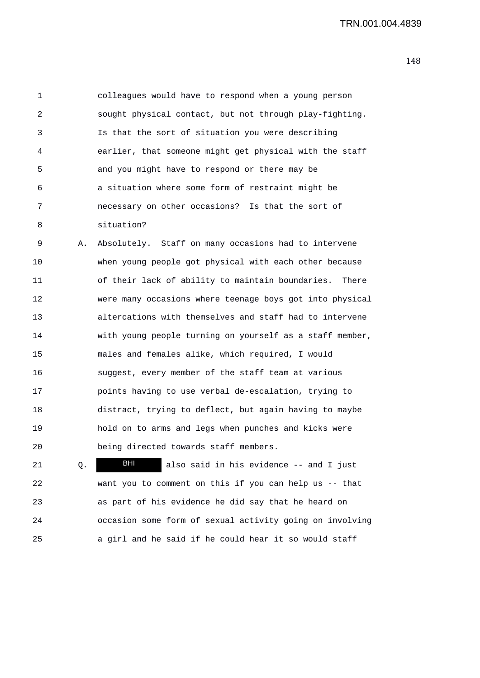TRN.001.004.4839

1 colleagues would have to respond when a young person 2 sought physical contact, but not through play-fighting. 3 Is that the sort of situation you were describing 4 earlier, that someone might get physical with the staff 5 and you might have to respond or there may be 6 a situation where some form of restraint might be 7 necessary on other occasions? Is that the sort of 8 situation?

9 A. Absolutely. Staff on many occasions had to intervene 10 when young people got physical with each other because 11 of their lack of ability to maintain boundaries. There 12 were many occasions where teenage boys got into physical 13 altercations with themselves and staff had to intervene 14 with young people turning on yourself as a staff member, 15 males and females alike, which required, I would 16 suggest, every member of the staff team at various 17 points having to use verbal de-escalation, trying to 18 distract, trying to deflect, but again having to maybe 19 hold on to arms and legs when punches and kicks were 20 being directed towards staff members.

21 Q. **Bill** also said in his evidence -- and I just 22 want you to comment on this if you can help us -- that 23 as part of his evidence he did say that he heard on 24 occasion some form of sexual activity going on involving 25 a girl and he said if he could hear it so would staff BHI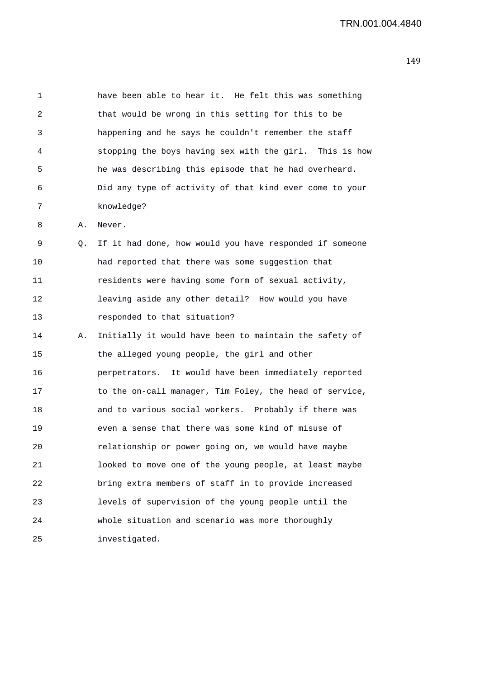| 1  |    | have been able to hear it. He felt this was something   |
|----|----|---------------------------------------------------------|
| 2  |    | that would be wrong in this setting for this to be      |
| 3  |    | happening and he says he couldn't remember the staff    |
| 4  |    | stopping the boys having sex with the girl. This is how |
| 5  |    | he was describing this episode that he had overheard.   |
| 6  |    | Did any type of activity of that kind ever come to your |
| 7  |    | knowledge?                                              |
| 8  | Α. | Never.                                                  |
| 9  | Q. | If it had done, how would you have responded if someone |
| 10 |    | had reported that there was some suggestion that        |
| 11 |    | residents were having some form of sexual activity,     |
| 12 |    | leaving aside any other detail? How would you have      |
| 13 |    | responded to that situation?                            |
| 14 | Α. | Initially it would have been to maintain the safety of  |
| 15 |    | the alleged young people, the girl and other            |
| 16 |    | perpetrators. It would have been immediately reported   |
| 17 |    | to the on-call manager, Tim Foley, the head of service, |
| 18 |    | and to various social workers. Probably if there was    |
| 19 |    | even a sense that there was some kind of misuse of      |
| 20 |    | relationship or power going on, we would have maybe     |
| 21 |    | looked to move one of the young people, at least maybe  |
| 22 |    | bring extra members of staff in to provide increased    |
| 23 |    | levels of supervision of the young people until the     |
| 24 |    | whole situation and scenario was more thoroughly        |
| 25 |    | investigated.                                           |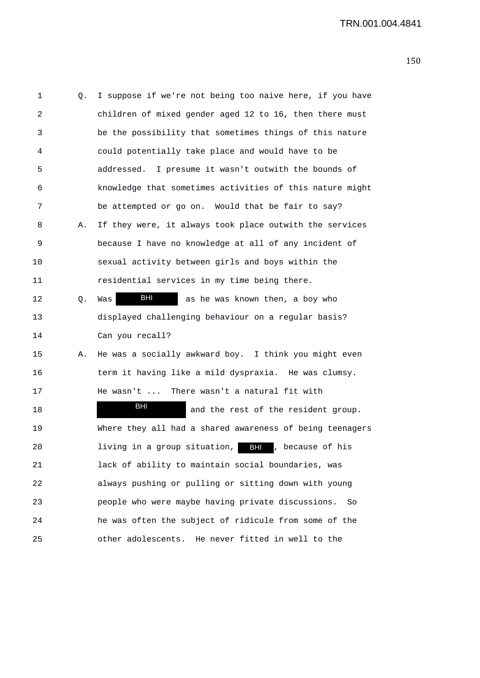1 Q. I suppose if we're not being too naive here, if you have 2 children of mixed gender aged 12 to 16, then there must 3 be the possibility that sometimes things of this nature 4 could potentially take place and would have to be 5 addressed. I presume it wasn't outwith the bounds of 6 knowledge that sometimes activities of this nature might 7 be attempted or go on. Would that be fair to say? 8 A. If they were, it always took place outwith the services 9 because I have no knowledge at all of any incident of 10 sexual activity between girls and boys within the 11 residential services in my time being there. 12  $\bullet$  Q. Was  $\bullet$  BHI as he was known then, a boy who 13 displayed challenging behaviour on a regular basis? 14 Can you recall? 15 A. He was a socially awkward boy. I think you might even 16 term it having like a mild dyspraxia. He was clumsy. 17 He wasn't ... There wasn't a natural fit with 18 **Bill** and the rest of the resident group. 19 Where they all had a shared awareness of being teenagers 20 1iving in a group situation, BHI , because of his 21 lack of ability to maintain social boundaries, was 22 always pushing or pulling or sitting down with young 23 people who were maybe having private discussions. So 24 he was often the subject of ridicule from some of the 25 other adolescents. He never fitted in well to the BHI BHI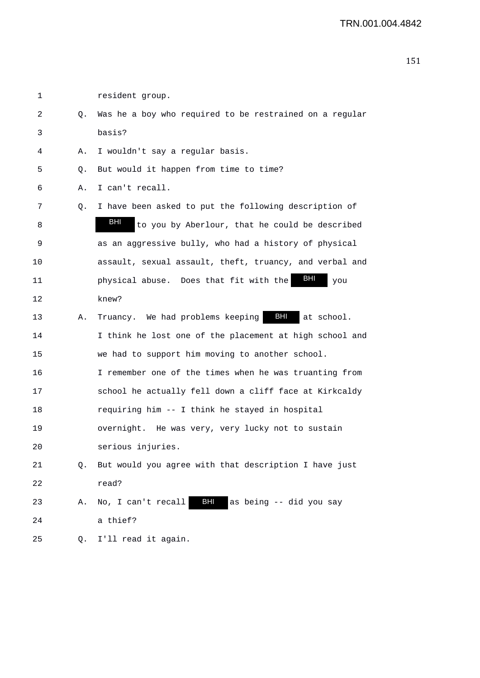| 2  | Q. | Was he a boy who required to be restrained on a regular |
|----|----|---------------------------------------------------------|
| 3  |    | basis?                                                  |
| 4  | Α. | I wouldn't say a regular basis.                         |
| 5  | Q. | But would it happen from time to time?                  |
| 6  | Α. | I can't recall.                                         |
| 7  | Q. | I have been asked to put the following description of   |
| 8  |    | BHI<br>to you by Aberlour, that he could be described   |
| 9  |    | as an aggressive bully, who had a history of physical   |
| 10 |    | assault, sexual assault, theft, truancy, and verbal and |
| 11 |    | BHI<br>physical abuse. Does that fit with the<br>you    |
| 12 |    | knew?                                                   |
| 13 | Α. | BHI<br>Truancy. We had problems keeping<br>at school.   |
| 14 |    | I think he lost one of the placement at high school and |
| 15 |    | we had to support him moving to another school.         |
| 16 |    | I remember one of the times when he was truanting from  |
| 17 |    | school he actually fell down a cliff face at Kirkcaldy  |
| 18 |    | requiring him -- I think he stayed in hospital          |
| 19 |    | overnight. He was very, very lucky not to sustain       |
| 20 |    | serious injuries.                                       |
| 21 |    | But would you agree with that description I have just   |
| 22 |    | read?                                                   |
| 23 | Α. | BHI<br>No, I can't recall<br>as being -- did you say    |
| 24 |    | a thief?                                                |
| 25 | Q. | I'll read it again.                                     |

1 resident group.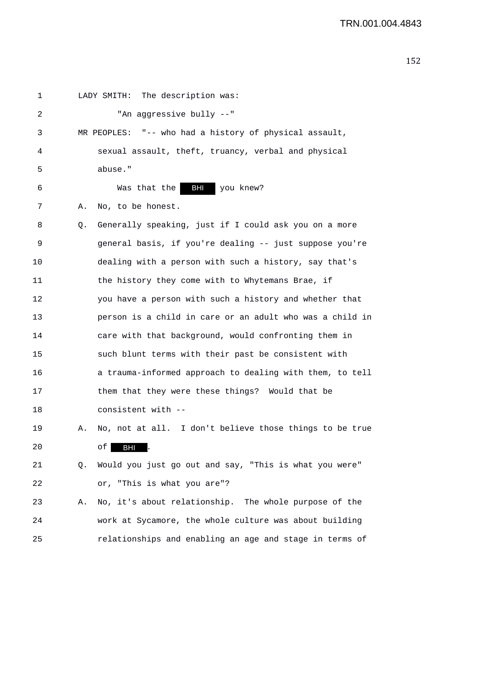| 1  |    | The description was:<br>LADY SMITH:                      |
|----|----|----------------------------------------------------------|
| 2  |    | "An aggressive bully --"                                 |
| 3  |    | MR PEOPLES: "-- who had a history of physical assault,   |
| 4  |    | sexual assault, theft, truancy, verbal and physical      |
| 5  |    | abuse."                                                  |
| 6  |    | <b>BHI</b><br>Was that the<br>you knew?                  |
| 7  | Α. | No, to be honest.                                        |
| 8  | Q. | Generally speaking, just if I could ask you on a more    |
| 9  |    | general basis, if you're dealing -- just suppose you're  |
| 10 |    | dealing with a person with such a history, say that's    |
| 11 |    | the history they come with to Whytemans Brae, if         |
| 12 |    | you have a person with such a history and whether that   |
| 13 |    | person is a child in care or an adult who was a child in |
| 14 |    | care with that background, would confronting them in     |
| 15 |    | such blunt terms with their past be consistent with      |
| 16 |    | a trauma-informed approach to dealing with them, to tell |
| 17 |    | them that they were these things? Would that be          |
| 18 |    | consistent with --                                       |
| 19 | Α. | No, not at all. I don't believe those things to be true  |
| 20 |    | of I<br><b>BHI</b>                                       |
| 21 | Q. | Would you just go out and say, "This is what you were"   |
| 22 |    | or, "This is what you are"?                              |
| 23 | Α. | No, it's about relationship. The whole purpose of the    |
| 24 |    | work at Sycamore, the whole culture was about building   |
| 25 |    | relationships and enabling an age and stage in terms of  |
|    |    |                                                          |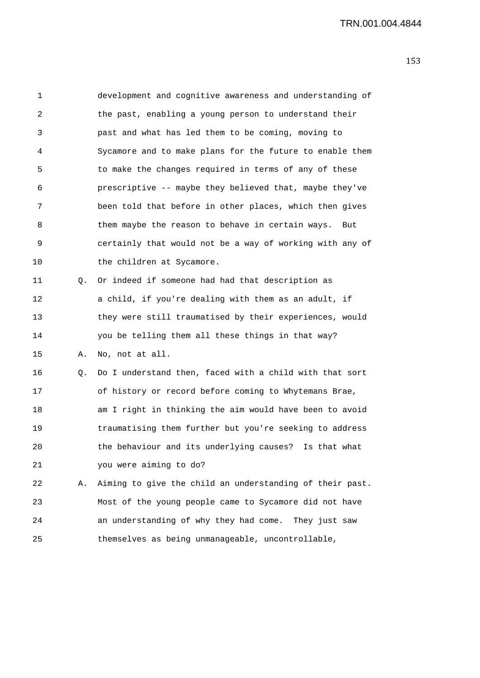1 development and cognitive awareness and understanding of 2 the past, enabling a young person to understand their 3 past and what has led them to be coming, moving to 4 Sycamore and to make plans for the future to enable them 5 to make the changes required in terms of any of these 6 prescriptive -- maybe they believed that, maybe they've 7 been told that before in other places, which then gives 8 them maybe the reason to behave in certain ways. But 9 certainly that would not be a way of working with any of 10 the children at Sycamore. 11 Q. Or indeed if someone had had that description as 12 a child, if you're dealing with them as an adult, if 13 they were still traumatised by their experiences, would 14 you be telling them all these things in that way? 15 A. No, not at all. 16 Q. Do I understand then, faced with a child with that sort 17 of history or record before coming to Whytemans Brae, 18 am I right in thinking the aim would have been to avoid 19 traumatising them further but you're seeking to address 20 the behaviour and its underlying causes? Is that what 21 you were aiming to do? 22 A. Aiming to give the child an understanding of their past. 23 Most of the young people came to Sycamore did not have 24 an understanding of why they had come. They just saw 25 themselves as being unmanageable, uncontrollable,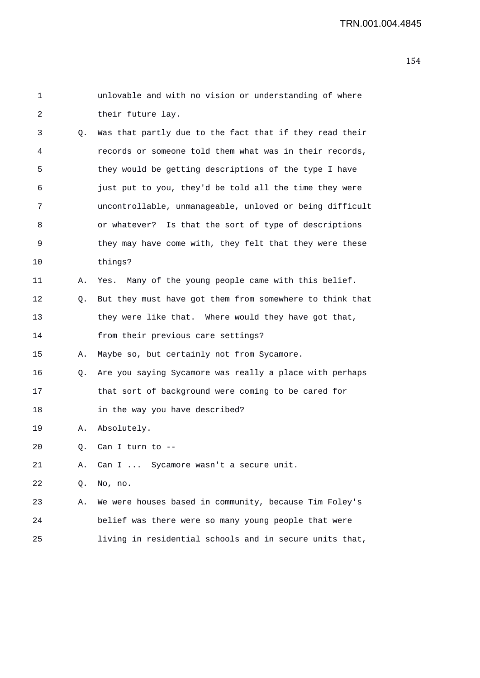| 1  |    | unlovable and with no vision or understanding of where   |
|----|----|----------------------------------------------------------|
| 2  |    | their future lay.                                        |
| 3  | Q. | Was that partly due to the fact that if they read their  |
| 4  |    | records or someone told them what was in their records,  |
| 5  |    | they would be getting descriptions of the type I have    |
| 6  |    | just put to you, they'd be told all the time they were   |
| 7  |    | uncontrollable, unmanageable, unloved or being difficult |
| 8  |    | or whatever? Is that the sort of type of descriptions    |
| 9  |    | they may have come with, they felt that they were these  |
| 10 |    | things?                                                  |
| 11 | Α. | Yes. Many of the young people came with this belief.     |
| 12 | Q. | But they must have got them from somewhere to think that |
| 13 |    | they were like that. Where would they have got that,     |
| 14 |    | from their previous care settings?                       |
| 15 | Α. | Maybe so, but certainly not from Sycamore.               |
| 16 | Q. | Are you saying Sycamore was really a place with perhaps  |
| 17 |    | that sort of background were coming to be cared for      |
| 18 |    | in the way you have described?                           |
| 19 | Α. | Absolutely.                                              |
| 20 |    | Q. Can I turn to --                                      |
| 21 | Α. | Can I  Sycamore wasn't a secure unit.                    |
| 22 | Q. | No, no.                                                  |
| 23 | Α. | We were houses based in community, because Tim Foley's   |
| 24 |    | belief was there were so many young people that were     |
| 25 |    | living in residential schools and in secure units that,  |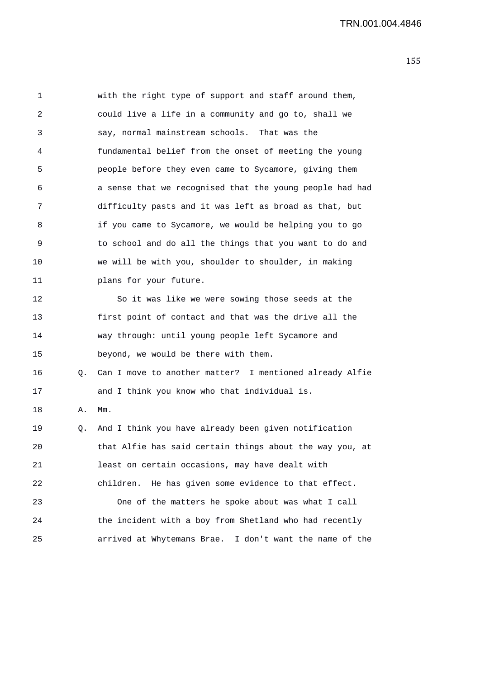1 with the right type of support and staff around them, 2 could live a life in a community and go to, shall we 3 say, normal mainstream schools. That was the 4 fundamental belief from the onset of meeting the young 5 people before they even came to Sycamore, giving them 6 a sense that we recognised that the young people had had 7 difficulty pasts and it was left as broad as that, but 8 if you came to Sycamore, we would be helping you to go 9 to school and do all the things that you want to do and 10 we will be with you, shoulder to shoulder, in making 11 plans for your future. 12 So it was like we were sowing those seeds at the 13 first point of contact and that was the drive all the 14 way through: until young people left Sycamore and 15 beyond, we would be there with them. 16 Q. Can I move to another matter? I mentioned already Alfie 17 and I think you know who that individual is. 18 A. Mm. 19 Q. And I think you have already been given notification 20 that Alfie has said certain things about the way you, at 21 least on certain occasions, may have dealt with 22 children. He has given some evidence to that effect. 23 One of the matters he spoke about was what I call 24 the incident with a boy from Shetland who had recently 25 arrived at Whytemans Brae. I don't want the name of the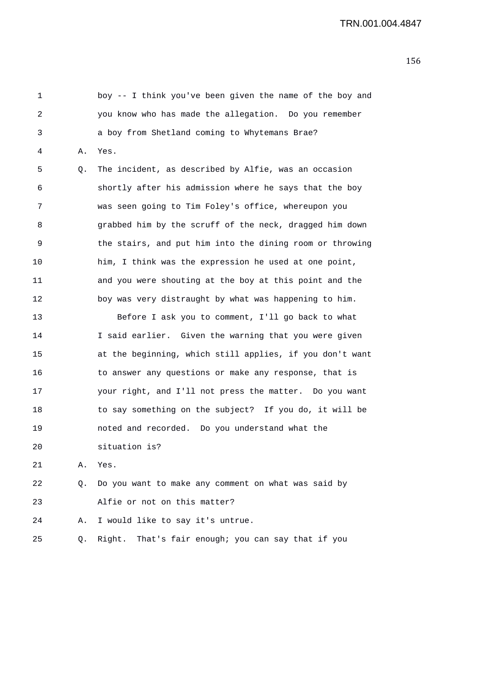1 boy -- I think you've been given the name of the boy and 2 you know who has made the allegation. Do you remember 3 a boy from Shetland coming to Whytemans Brae? 4 A. Yes. 5 Q. The incident, as described by Alfie, was an occasion 6 shortly after his admission where he says that the boy 7 was seen going to Tim Foley's office, whereupon you 8 grabbed him by the scruff of the neck, dragged him down 9 the stairs, and put him into the dining room or throwing 10 him, I think was the expression he used at one point, 11 and you were shouting at the boy at this point and the 12 boy was very distraught by what was happening to him. 13 Before I ask you to comment, I'll go back to what 14 I said earlier. Given the warning that you were given 15 at the beginning, which still applies, if you don't want 16 to answer any questions or make any response, that is 17 your right, and I'll not press the matter. Do you want 18 to say something on the subject? If you do, it will be 19 noted and recorded. Do you understand what the 20 situation is? 21 A. Yes. 22 Q. Do you want to make any comment on what was said by 23 Alfie or not on this matter? 24 A. I would like to say it's untrue.

25 Q. Right. That's fair enough; you can say that if you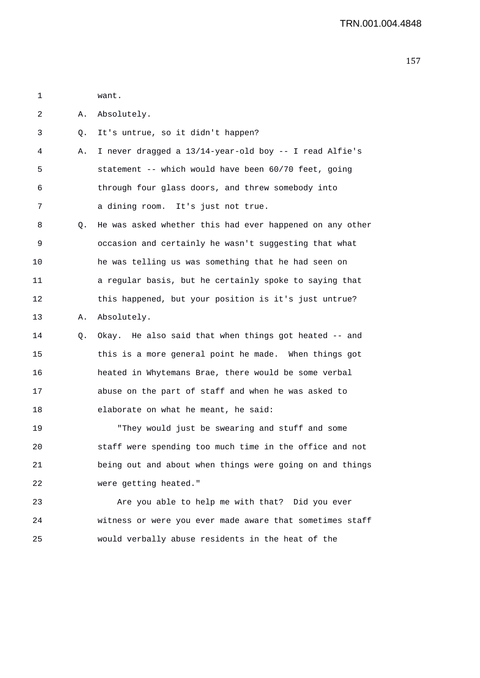1 want. 2 A. Absolutely. 3 Q. It's untrue, so it didn't happen? 4 A. I never dragged a 13/14-year-old boy -- I read Alfie's 5 statement -- which would have been 60/70 feet, going 6 through four glass doors, and threw somebody into 7 a dining room. It's just not true. 8 Q. He was asked whether this had ever happened on any other 9 occasion and certainly he wasn't suggesting that what 10 he was telling us was something that he had seen on 11 a regular basis, but he certainly spoke to saying that 12 this happened, but your position is it's just untrue? 13 A. Absolutely. 14 Q. Okay. He also said that when things got heated -- and 15 this is a more general point he made. When things got 16 heated in Whytemans Brae, there would be some verbal 17 abuse on the part of staff and when he was asked to 18 elaborate on what he meant, he said: 19 "They would just be swearing and stuff and some 20 staff were spending too much time in the office and not 21 being out and about when things were going on and things 22 were getting heated." 23 Are you able to help me with that? Did you ever 24 witness or were you ever made aware that sometimes staff

25 would verbally abuse residents in the heat of the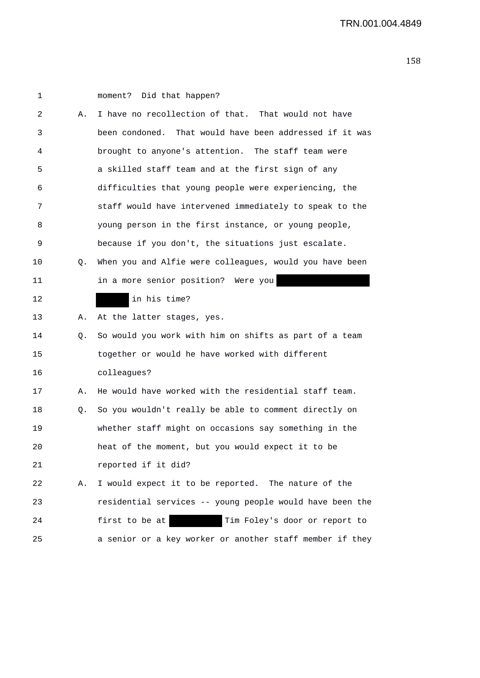| 1  |    | moment? Did that happen?                                 |
|----|----|----------------------------------------------------------|
| 2  | Α. | I have no recollection of that. That would not have      |
| 3  |    | been condoned. That would have been addressed if it was  |
| 4  |    | brought to anyone's attention. The staff team were       |
| 5  |    | a skilled staff team and at the first sign of any        |
| 6  |    | difficulties that young people were experiencing, the    |
| 7  |    | staff would have intervened immediately to speak to the  |
| 8  |    | young person in the first instance, or young people,     |
| 9  |    | because if you don't, the situations just escalate.      |
| 10 | Q. | When you and Alfie were colleagues, would you have been  |
| 11 |    | in a more senior position? Were you                      |
| 12 |    | in his time?                                             |
| 13 | Α. | At the latter stages, yes.                               |
| 14 | Q. | So would you work with him on shifts as part of a team   |
| 15 |    | together or would he have worked with different          |
| 16 |    | colleagues?                                              |
| 17 | Α. | He would have worked with the residential staff team.    |
| 18 | Q. | So you wouldn't really be able to comment directly on    |
| 19 |    | whether staff might on occasions say something in the    |
| 20 |    | heat of the moment, but you would expect it to be        |
| 21 |    | reported if it did?                                      |
| 22 | Α. | I would expect it to be reported. The nature of the      |
| 23 |    | residential services -- young people would have been the |
| 24 |    | Tim Foley's door or report to<br>first to be at          |
| 25 |    | a senior or a key worker or another staff member if they |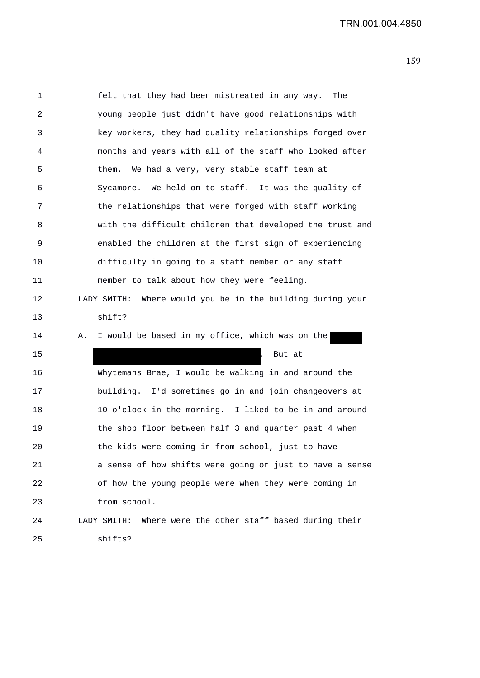1 felt that they had been mistreated in any way. The 2 young people just didn't have good relationships with 3 key workers, they had quality relationships forged over 4 months and years with all of the staff who looked after 5 them. We had a very, very stable staff team at 6 Sycamore. We held on to staff. It was the quality of 7 the relationships that were forged with staff working 8 with the difficult children that developed the trust and 9 enabled the children at the first sign of experiencing 10 difficulty in going to a staff member or any staff 11 member to talk about how they were feeling. 12 LADY SMITH: Where would you be in the building during your 13 shift? 14 A. I would be based in my office, which was on the 15 . But at the set of the set of the set of the set of the set of the set of the set of the set of the set of the set of the set of the set of the set of the set of the set of the set of the set of the set of the set of t 16 Whytemans Brae, I would be walking in and around the 17 building. I'd sometimes go in and join changeovers at 18 10 o'clock in the morning. I liked to be in and around 19 the shop floor between half 3 and quarter past 4 when 20 the kids were coming in from school, just to have 21 a sense of how shifts were going or just to have a sense 22 of how the young people were when they were coming in 23 from school. 24 LADY SMITH: Where were the other staff based during their 25 shifts?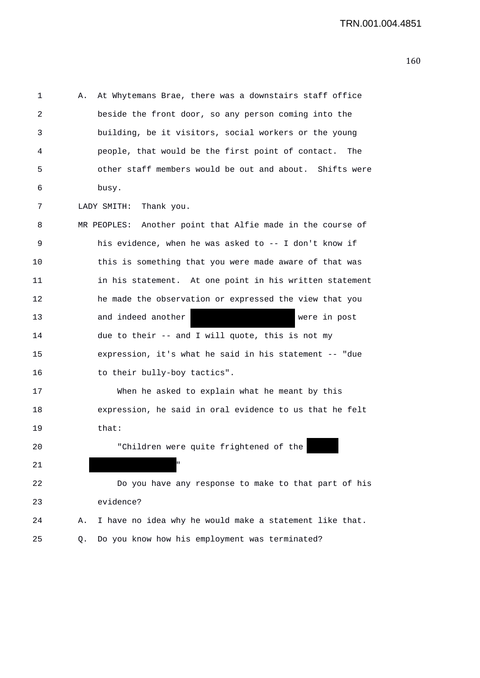| 1  | At Whytemans Brae, there was a downstairs staff office<br>Α.  |
|----|---------------------------------------------------------------|
| 2  | beside the front door, so any person coming into the          |
| 3  | building, be it visitors, social workers or the young         |
| 4  | people, that would be the first point of contact. The         |
| 5  | other staff members would be out and about. Shifts were       |
| 6  | busy.                                                         |
| 7  | LADY SMITH: Thank you.                                        |
| 8  | MR PEOPLES: Another point that Alfie made in the course of    |
| 9  | his evidence, when he was asked to -- I don't know if         |
| 10 | this is something that you were made aware of that was        |
| 11 | in his statement. At one point in his written statement       |
| 12 | he made the observation or expressed the view that you        |
| 13 | and indeed another<br>were in post                            |
| 14 | due to their -- and I will quote, this is not my              |
| 15 | expression, it's what he said in his statement -- "due        |
| 16 | to their bully-boy tactics".                                  |
| 17 | When he asked to explain what he meant by this                |
| 18 | expression, he said in oral evidence to us that he felt       |
| 19 | that:                                                         |
| 20 | "Children were quite frightened of the                        |
| 21 | п                                                             |
| 22 | Do you have any response to make to that part of his          |
| 23 | evidence?                                                     |
| 24 | I have no idea why he would make a statement like that.<br>Α. |
| 25 | Do you know how his employment was terminated?<br>Q.          |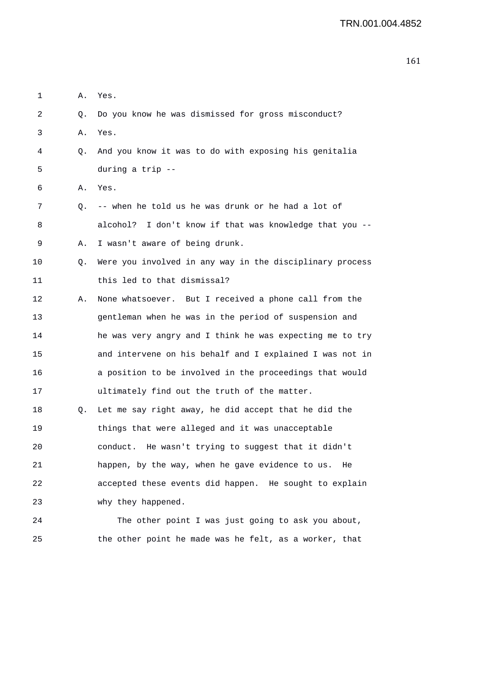| 1  | Α. | Yes.                                                       |
|----|----|------------------------------------------------------------|
| 2  | Q. | Do you know he was dismissed for gross misconduct?         |
| 3  | Α. | Yes.                                                       |
| 4  | Q. | And you know it was to do with exposing his genitalia      |
| 5  |    | during a trip --                                           |
| 6  | Α. | Yes.                                                       |
| 7  | Q. | -- when he told us he was drunk or he had a lot of         |
| 8  |    | alcohol?<br>I don't know if that was knowledge that you -- |
| 9  | Α. | I wasn't aware of being drunk.                             |
| 10 | Q. | Were you involved in any way in the disciplinary process   |
| 11 |    | this led to that dismissal?                                |
| 12 | Α. | None whatsoever. But I received a phone call from the      |
| 13 |    | gentleman when he was in the period of suspension and      |
| 14 |    | he was very angry and I think he was expecting me to try   |
| 15 |    | and intervene on his behalf and I explained I was not in   |
| 16 |    | a position to be involved in the proceedings that would    |
| 17 |    | ultimately find out the truth of the matter.               |
| 18 | Q. | Let me say right away, he did accept that he did the       |
| 19 |    | things that were alleged and it was unacceptable           |
| 20 |    | He wasn't trying to suggest that it didn't<br>conduct.     |
| 21 |    | happen, by the way, when he gave evidence to us. He        |
| 22 |    | accepted these events did happen. He sought to explain     |
| 23 |    | why they happened.                                         |
| 24 |    | The other point I was just going to ask you about,         |
| 25 |    | the other point he made was he felt, as a worker, that     |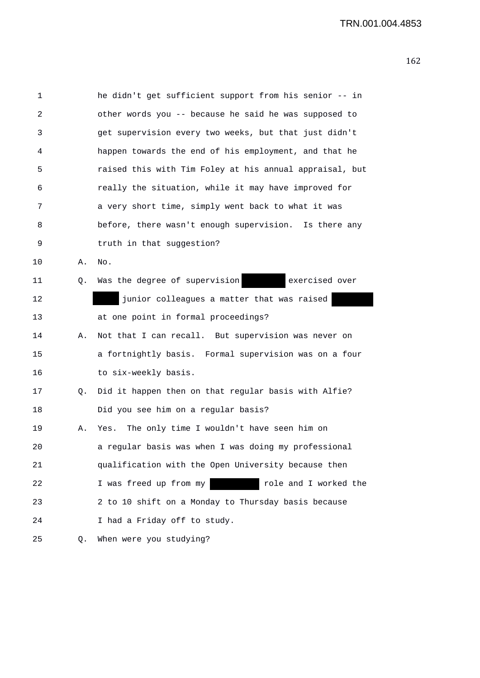| 1               |    | he didn't get sufficient support from his senior -- in  |
|-----------------|----|---------------------------------------------------------|
| 2               |    | other words you -- because he said he was supposed to   |
| 3               |    | get supervision every two weeks, but that just didn't   |
| 4               |    | happen towards the end of his employment, and that he   |
| 5               |    | raised this with Tim Foley at his annual appraisal, but |
| 6               |    | really the situation, while it may have improved for    |
| 7               |    | a very short time, simply went back to what it was      |
| 8               |    | before, there wasn't enough supervision. Is there any   |
| 9               |    | truth in that suggestion?                               |
| $10 \,$         | Α. | $\rm No$ .                                              |
| 11              | Q. | Was the degree of supervision<br>exercised over         |
| 12 <sub>2</sub> |    | junior colleagues a matter that was raised              |
| 13              |    | at one point in formal proceedings?                     |
| 14              | Α. | Not that I can recall. But supervision was never on     |
| 15              |    | a fortnightly basis. Formal supervision was on a four   |
| 16              |    | to six-weekly basis.                                    |
| 17              | Q. | Did it happen then on that regular basis with Alfie?    |
| 18              |    | Did you see him on a regular basis?                     |
| 19              | Α. | The only time I wouldn't have seen him on<br>Yes.       |
| 20              |    | a regular basis was when I was doing my professional    |
| 21              |    | qualification with the Open University because then     |
| 22              |    | I was freed up from my<br>role and I worked the         |
| 23              |    | 2 to 10 shift on a Monday to Thursday basis because     |
| 24              |    | I had a Friday off to study.                            |
| 25              | Q. | When were you studying?                                 |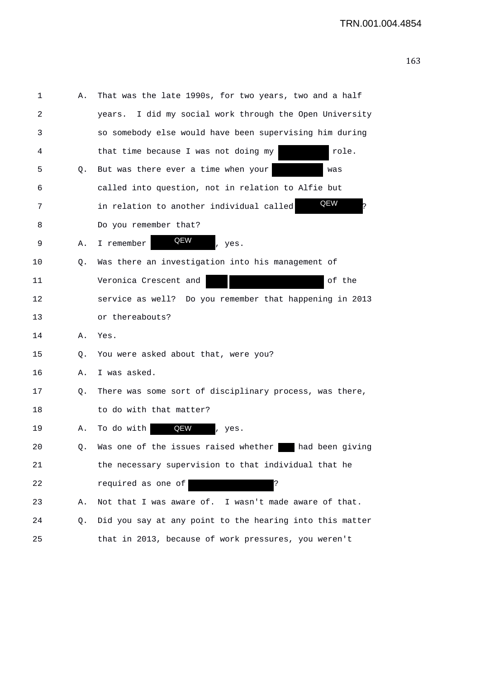| 1  | Α. | That was the late 1990s, for two years, two and a half     |
|----|----|------------------------------------------------------------|
| 2  |    | I did my social work through the Open University<br>vears. |
| 3  |    | so somebody else would have been supervising him during    |
| 4  |    | that time because I was not doing my<br>role.              |
| 5  | Q. | But was there ever a time when your<br>was                 |
| 6  |    | called into question, not in relation to Alfie but         |
| 7  |    | QEW<br>in relation to another individual called            |
| 8  |    | Do you remember that?                                      |
| 9  | Α. | QEW<br>I remember<br>, yes.                                |
| 10 | Q. | Was there an investigation into his management of          |
| 11 |    | Veronica Crescent and<br>of the                            |
| 12 |    | service as well? Do you remember that happening in 2013    |
| 13 |    | or thereabouts?                                            |
| 14 | Α. | Yes.                                                       |
| 15 | Q. | You were asked about that, were you?                       |
| 16 | Α. | I was asked.                                               |
| 17 | Q. | There was some sort of disciplinary process, was there,    |
| 18 |    | to do with that matter?                                    |
| 19 | Α. | QEW<br>To do with<br>, yes.                                |
| 20 | Q. | Was one of the issues raised whether<br>had been giving    |
| 21 |    | the necessary supervision to that individual that he       |
| 22 |    | required as one of<br>ذ:                                   |
| 23 | Α. | Not that I was aware of. I wasn't made aware of that.      |
| 24 | Q. | Did you say at any point to the hearing into this matter   |
| 25 |    | that in 2013, because of work pressures, you weren't       |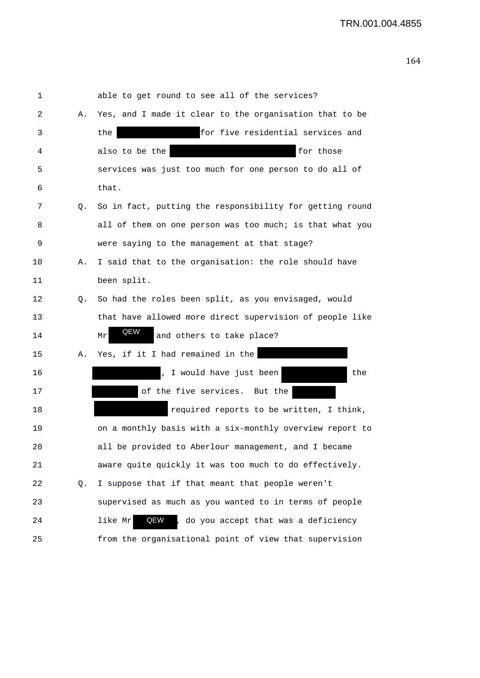1 able to get round to see all of the services? 2 A. Yes, and I made it clear to the organisation that to be 3 the for five residential services and 4 also to be the for those 5 services was just too much for one person to do all of 6 that. 7 Q. So in fact, putting the responsibility for getting round 8 all of them on one person was too much; is that what you 9 were saying to the management at that stage? 10 A. I said that to the organisation: the role should have 11 been split. 12 Q. So had the roles been split, as you envisaged, would 13 that have allowed more direct supervision of people like 14 Mr **ALW** and others to take place? 15 A. Yes, if it I had remained in the 16 and 16 and 16 minutes of the state of the state of the state of the state of the state of the state of the state of the state of the state of the state of the state of the state of the state of the state of the state of 17 of the five services. But the 18 required reports to be written, I think, 19 on a monthly basis with a six-monthly overview report to 20 all be provided to Aberlour management, and I became 21 aware quite quickly it was too much to do effectively. 22 Q. I suppose that if that meant that people weren't 23 supervised as much as you wanted to in terms of people 24 1ike Mr **QEW**, do you accept that was a deficiency 25 from the organisational point of view that supervision QEW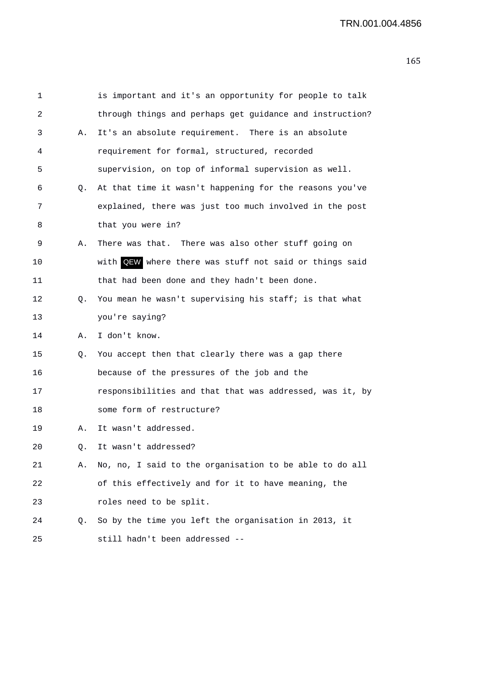| 1  |    | is important and it's an opportunity for people to talk  |
|----|----|----------------------------------------------------------|
| 2  |    | through things and perhaps get guidance and instruction? |
| 3  | Α. | It's an absolute requirement. There is an absolute       |
| 4  |    | requirement for formal, structured, recorded             |
| 5  |    | supervision, on top of informal supervision as well.     |
| 6  | Q. | At that time it wasn't happening for the reasons you've  |
| 7  |    | explained, there was just too much involved in the post  |
| 8  |    | that you were in?                                        |
| 9  | Α. | There was that. There was also other stuff going on      |
| 10 |    | with QEW where there was stuff not said or things said   |
| 11 |    | that had been done and they hadn't been done.            |
| 12 | Q. | You mean he wasn't supervising his staff; is that what   |
| 13 |    | you're saying?                                           |
| 14 | Α. | I don't know.                                            |
| 15 | Q. | You accept then that clearly there was a gap there       |
| 16 |    | because of the pressures of the job and the              |
| 17 |    | responsibilities and that that was addressed, was it, by |
| 18 |    | some form of restructure?                                |
| 19 | Α. | It wasn't addressed.                                     |
| 20 | Q. | It wasn't addressed?                                     |
| 21 | Α. | No, no, I said to the organisation to be able to do all  |
| 22 |    | of this effectively and for it to have meaning, the      |
| 23 |    | roles need to be split.                                  |
| 24 | Q. | So by the time you left the organisation in 2013, it     |
| 25 |    | still hadn't been addressed --                           |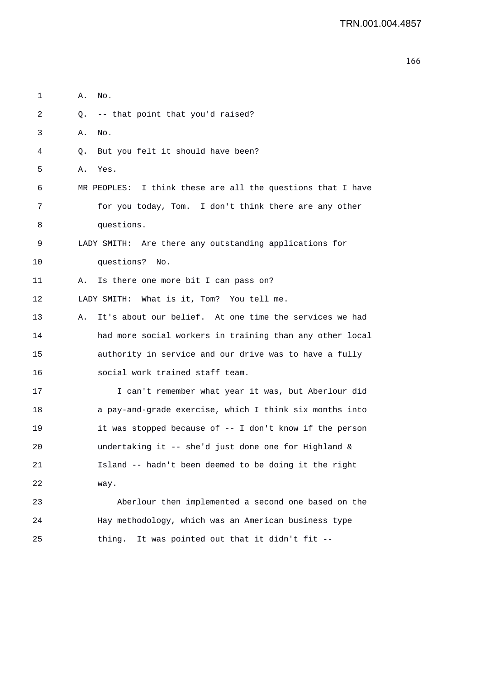| 3  | Α.<br>No.                                                    |
|----|--------------------------------------------------------------|
| 4  | Q. But you felt it should have been?                         |
| 5  | Yes.<br>Α.                                                   |
| 6  | MR PEOPLES: I think these are all the questions that I have  |
| 7  | for you today, Tom. I don't think there are any other        |
| 8  | questions.                                                   |
| 9  | LADY SMITH: Are there any outstanding applications for       |
| 10 | questions? No.                                               |
| 11 | Is there one more bit I can pass on?<br>Α.                   |
| 12 | LADY SMITH: What is it, Tom? You tell me.                    |
| 13 | It's about our belief. At one time the services we had<br>Α. |
| 14 | had more social workers in training than any other local     |
| 15 | authority in service and our drive was to have a fully       |
| 16 | social work trained staff team.                              |
| 17 | I can't remember what year it was, but Aberlour did          |
| 18 | a pay-and-grade exercise, which I think six months into      |
| 19 | it was stopped because of -- I don't know if the person      |
| 20 | undertaking it -- she'd just done one for Highland &         |
| 21 | Island -- hadn't been deemed to be doing it the right        |
| 22 | way.                                                         |
| 23 | Aberlour then implemented a second one based on the          |
| 24 | Hay methodology, which was an American business type         |
| 25 | thing. It was pointed out that it didn't fit --              |

1 A. No.

2 Q. -- that point that you'd raised?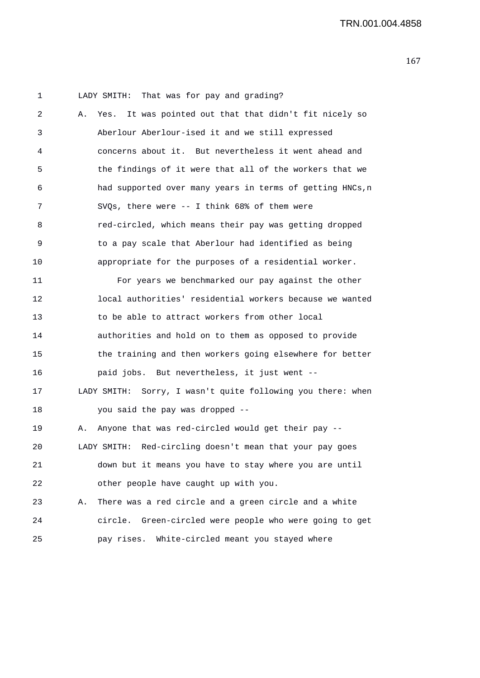1 LADY SMITH: That was for pay and grading? 2 A. Yes. It was pointed out that that didn't fit nicely so 3 Aberlour Aberlour-ised it and we still expressed 4 concerns about it. But nevertheless it went ahead and 5 the findings of it were that all of the workers that we 6 had supported over many years in terms of getting HNCs,n 7 SVQs, there were -- I think 68% of them were 8 red-circled, which means their pay was getting dropped 9 to a pay scale that Aberlour had identified as being 10 appropriate for the purposes of a residential worker. 11 For years we benchmarked our pay against the other 12 local authorities' residential workers because we wanted 13 to be able to attract workers from other local 14 authorities and hold on to them as opposed to provide 15 the training and then workers going elsewhere for better 16 paid jobs. But nevertheless, it just went -- 17 LADY SMITH: Sorry, I wasn't quite following you there: when 18 you said the pay was dropped -- 19 A. Anyone that was red-circled would get their pay -- 20 LADY SMITH: Red-circling doesn't mean that your pay goes 21 down but it means you have to stay where you are until 22 other people have caught up with you. 23 A. There was a red circle and a green circle and a white 24 circle. Green-circled were people who were going to get 25 pay rises. White-circled meant you stayed where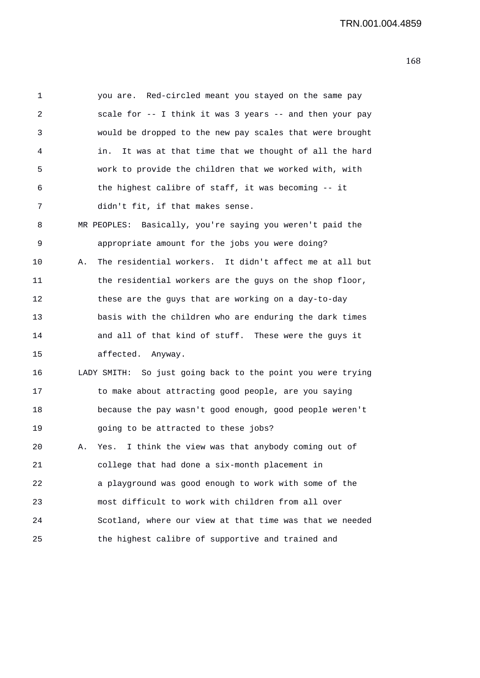| 1  | you are. Red-circled meant you stayed on the same pay         |
|----|---------------------------------------------------------------|
| 2  | scale for -- I think it was 3 years -- and then your pay      |
| 3  | would be dropped to the new pay scales that were brought      |
| 4  | It was at that time that we thought of all the hard<br>in.    |
| 5  | work to provide the children that we worked with, with        |
| 6  | the highest calibre of staff, it was becoming -- it           |
| 7  | didn't fit, if that makes sense.                              |
| 8  | MR PEOPLES: Basically, you're saying you weren't paid the     |
| 9  | appropriate amount for the jobs you were doing?               |
| 10 | The residential workers. It didn't affect me at all but<br>Α. |
| 11 | the residential workers are the guys on the shop floor,       |
| 12 | these are the guys that are working on a day-to-day           |
| 13 | basis with the children who are enduring the dark times       |
| 14 | and all of that kind of stuff. These were the guys it         |
| 15 | affected. Anyway.                                             |
| 16 | LADY SMITH: So just going back to the point you were trying   |
| 17 | to make about attracting good people, are you saying          |
| 18 | because the pay wasn't good enough, good people weren't       |
| 19 | going to be attracted to these jobs?                          |
| 20 | I think the view was that anybody coming out of<br>Yes.<br>А. |
| 21 | college that had done a six-month placement in                |
| 22 | a playground was good enough to work with some of the         |
| 23 | most difficult to work with children from all over            |
| 24 | Scotland, where our view at that time was that we needed      |
| 25 | the highest calibre of supportive and trained and             |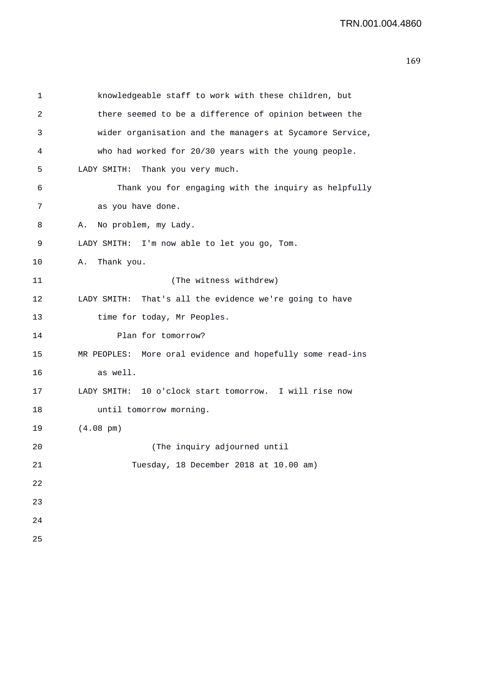| 1  | knowledgeable staff to work with these children, but       |
|----|------------------------------------------------------------|
| 2  | there seemed to be a difference of opinion between the     |
| 3  | wider organisation and the managers at Sycamore Service,   |
| 4  | who had worked for 20/30 years with the young people.      |
| 5  | LADY SMITH:<br>Thank you very much.                        |
| 6  | Thank you for engaging with the inquiry as helpfully       |
| 7  | as you have done.                                          |
| 8  | No problem, my Lady.<br>Α.                                 |
| 9  | LADY SMITH: I'm now able to let you go, Tom.               |
| 10 | Thank you.<br>Α.                                           |
| 11 | (The witness withdrew)                                     |
| 12 | LADY SMITH: That's all the evidence we're going to have    |
| 13 | time for today, Mr Peoples.                                |
| 14 | Plan for tomorrow?                                         |
| 15 | MR PEOPLES: More oral evidence and hopefully some read-ins |
| 16 | as well.                                                   |
| 17 | LADY SMITH: 10 o'clock start tomorrow. I will rise now     |
| 18 | until tomorrow morning.                                    |
| 19 | $(4.08 \text{ pm})$                                        |
| 20 | (The inquiry adjourned until                               |
| 21 | Tuesday, 18 December 2018 at 10.00 am)                     |
| 22 |                                                            |
| 23 |                                                            |
| 24 |                                                            |
| 25 |                                                            |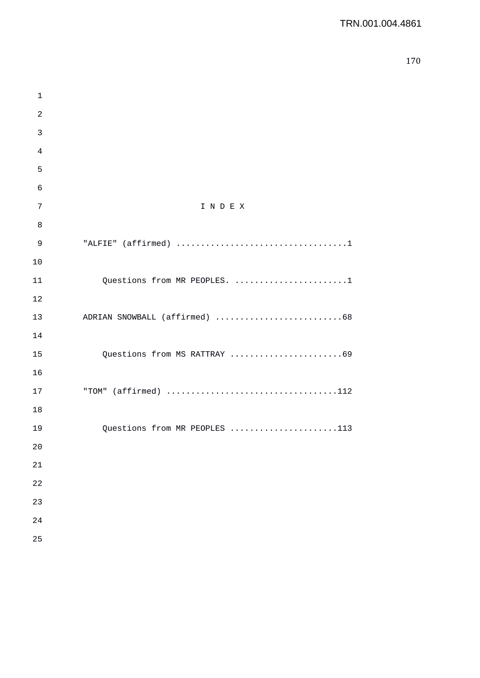| 1            |                               |
|--------------|-------------------------------|
| $\mathbf{2}$ |                               |
| 3            |                               |
| 4            |                               |
| 5            |                               |
| 6            |                               |
| 7            | INDEX                         |
| 8            |                               |
| 9            |                               |
| 10           |                               |
| 11           | Questions from MR PEOPLES. 1  |
| 12           |                               |
| 13           |                               |
| 14           |                               |
| 15           | Questions from MS RATTRAY 69  |
| 16           |                               |
| 17           |                               |
| 18           |                               |
| 19           | Questions from MR PEOPLES 113 |
| 20           |                               |
| 21           |                               |
| 22           |                               |
| 23           |                               |
| 24           |                               |
| 25           |                               |